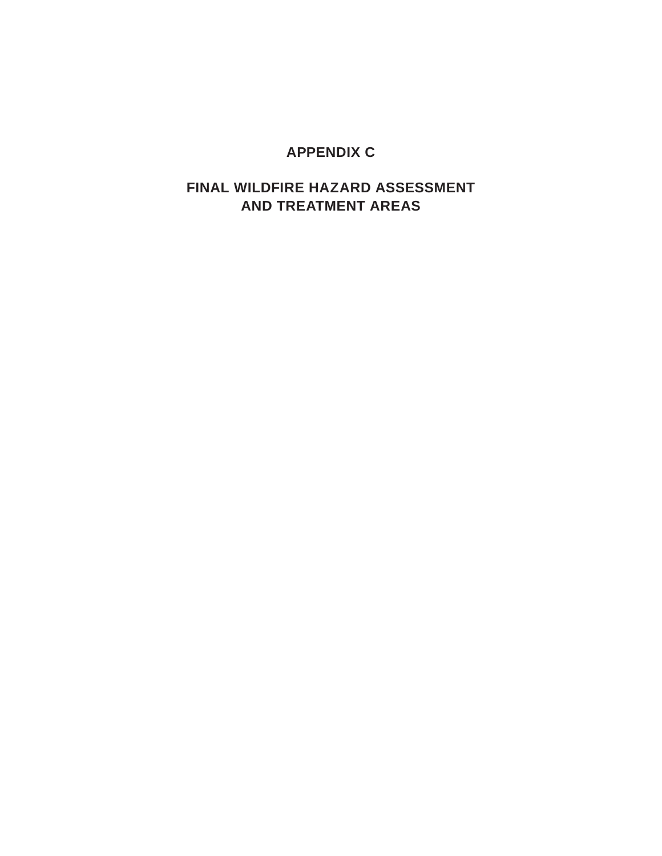### **APPENDIX C**

### **FINAL WILDFIRE HAZARD ASSESSMENT AND TREATMENT AREAS**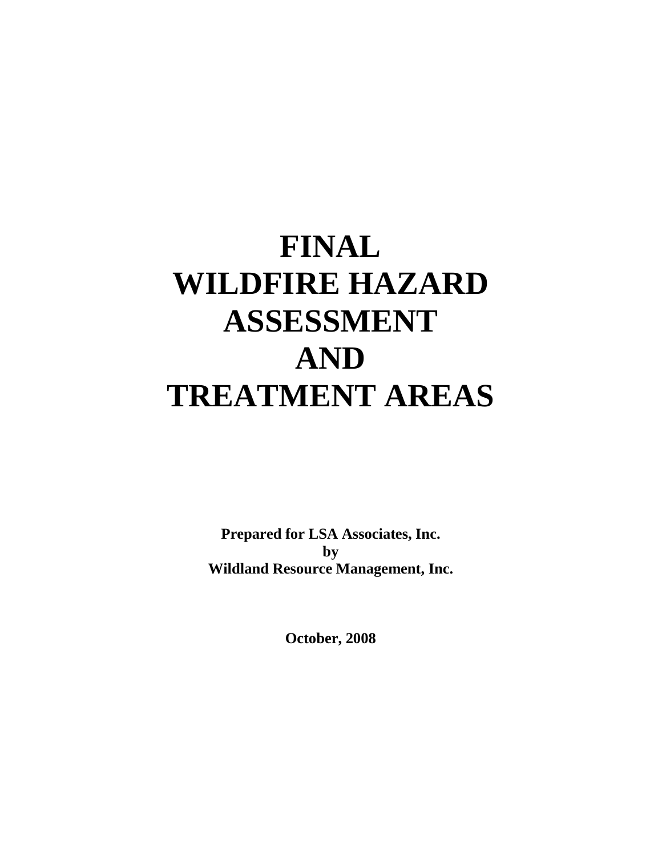# **FINAL WILDFIRE HAZARD ASSESSMENT AND TREATMENT AREAS**

**Prepared for LSA Associates, Inc. by Wildland Resource Management, Inc.** 

**October, 2008**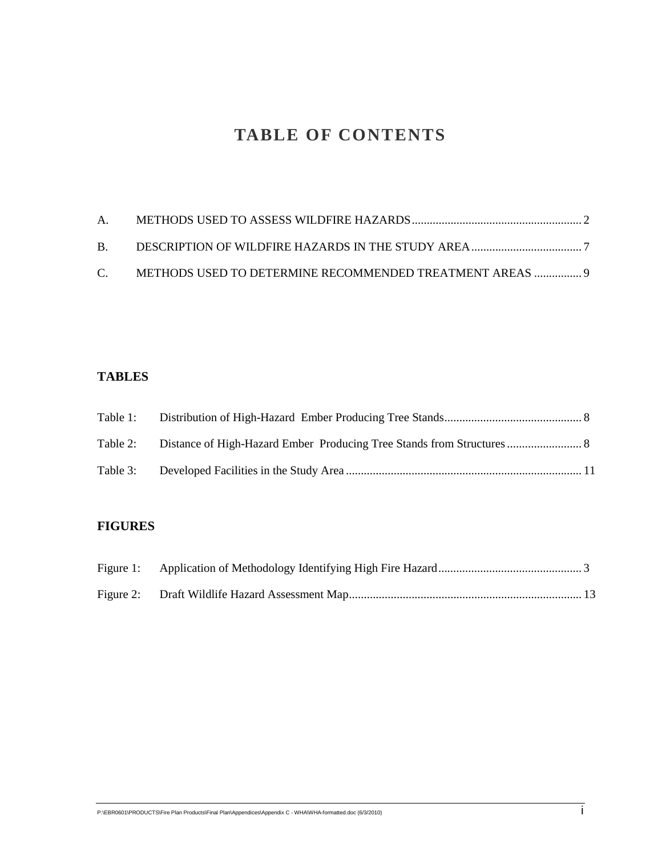# **TABLE OF CONTENTS**

| C. METHODS USED TO DETERMINE RECOMMENDED TREATMENT AREAS  9 |  |
|-------------------------------------------------------------|--|

### **TABLES**

| Table 3: |  |
|----------|--|

### **FIGURES**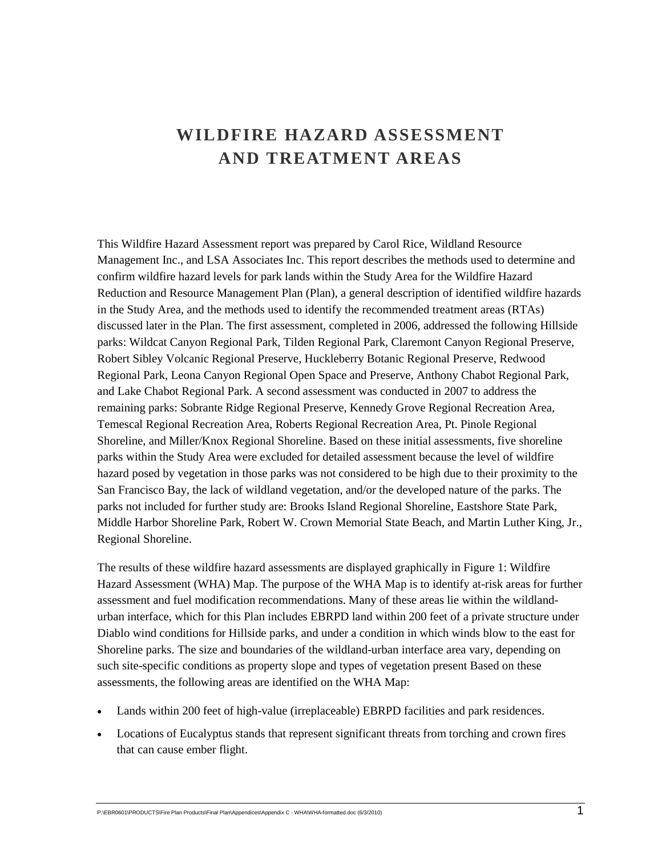# **WILDFIRE HAZARD ASSESSMENT AND TREATMENT AREAS**

This Wildfire Hazard Assessment report was prepared by Carol Rice, Wildland Resource Management Inc., and LSA Associates Inc. This report describes the methods used to determine and confirm wildfire hazard levels for park lands within the Study Area for the Wildfire Hazard Reduction and Resource Management Plan (Plan), a general description of identified wildfire hazards in the Study Area, and the methods used to identify the recommended treatment areas (RTAs) discussed later in the Plan. The first assessment, completed in 2006, addressed the following Hillside parks: Wildcat Canyon Regional Park, Tilden Regional Park, Claremont Canyon Regional Preserve, Robert Sibley Volcanic Regional Preserve, Huckleberry Botanic Regional Preserve, Redwood Regional Park, Leona Canyon Regional Open Space and Preserve, Anthony Chabot Regional Park, and Lake Chabot Regional Park. A second assessment was conducted in 2007 to address the remaining parks: Sobrante Ridge Regional Preserve, Kennedy Grove Regional Recreation Area, Temescal Regional Recreation Area, Roberts Regional Recreation Area, Pt. Pinole Regional Shoreline, and Miller/Knox Regional Shoreline. Based on these initial assessments, five shoreline parks within the Study Area were excluded for detailed assessment because the level of wildfire hazard posed by vegetation in those parks was not considered to be high due to their proximity to the San Francisco Bay, the lack of wildland vegetation, and/or the developed nature of the parks. The parks not included for further study are: Brooks Island Regional Shoreline, Eastshore State Park, Middle Harbor Shoreline Park, Robert W. Crown Memorial State Beach, and Martin Luther King, Jr., Regional Shoreline.

The results of these wildfire hazard assessments are displayed graphically in Figure 1: Wildfire Hazard Assessment (WHA) Map. The purpose of the WHA Map is to identify at-risk areas for further assessment and fuel modification recommendations. Many of these areas lie within the wildlandurban interface, which for this Plan includes EBRPD land within 200 feet of a private structure under Diablo wind conditions for Hillside parks, and under a condition in which winds blow to the east for Shoreline parks. The size and boundaries of the wildland-urban interface area vary, depending on such site-specific conditions as property slope and types of vegetation present Based on these assessments, the following areas are identified on the WHA Map:

- Lands within 200 feet of high-value (irreplaceable) EBRPD facilities and park residences.
- Locations of Eucalyptus stands that represent significant threats from torching and crown fires that can cause ember flight.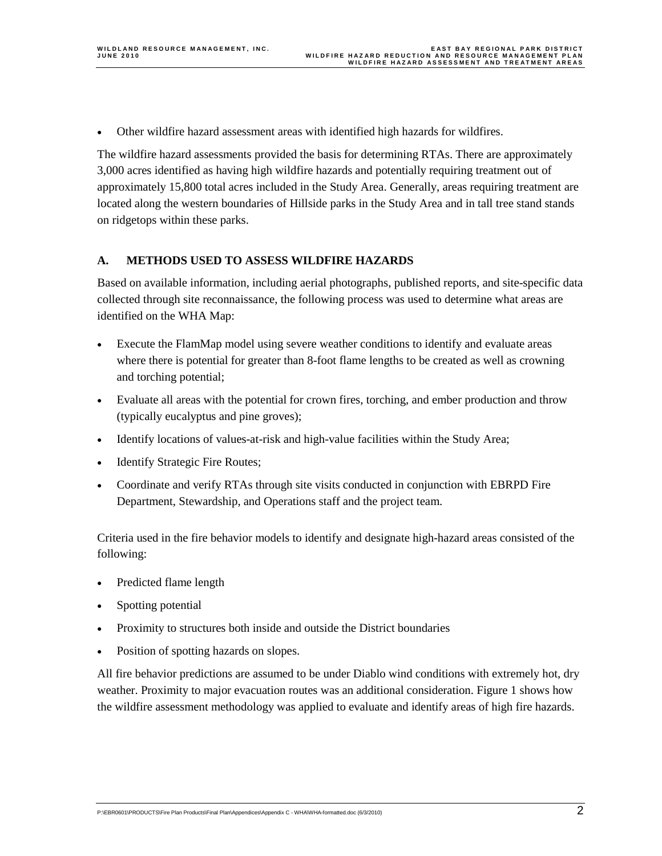• Other wildfire hazard assessment areas with identified high hazards for wildfires.

The wildfire hazard assessments provided the basis for determining RTAs. There are approximately 3,000 acres identified as having high wildfire hazards and potentially requiring treatment out of approximately 15,800 total acres included in the Study Area. Generally, areas requiring treatment are located along the western boundaries of Hillside parks in the Study Area and in tall tree stand stands on ridgetops within these parks.

#### **A. METHODS USED TO ASSESS WILDFIRE HAZARDS**

Based on available information, including aerial photographs, published reports, and site-specific data collected through site reconnaissance, the following process was used to determine what areas are identified on the WHA Map:

- Execute the FlamMap model using severe weather conditions to identify and evaluate areas where there is potential for greater than 8-foot flame lengths to be created as well as crowning and torching potential;
- Evaluate all areas with the potential for crown fires, torching, and ember production and throw (typically eucalyptus and pine groves);
- Identify locations of values-at-risk and high-value facilities within the Study Area;
- Identify Strategic Fire Routes;
- Coordinate and verify RTAs through site visits conducted in conjunction with EBRPD Fire Department, Stewardship, and Operations staff and the project team.

Criteria used in the fire behavior models to identify and designate high-hazard areas consisted of the following:

- Predicted flame length
- Spotting potential
- Proximity to structures both inside and outside the District boundaries
- Position of spotting hazards on slopes.

All fire behavior predictions are assumed to be under Diablo wind conditions with extremely hot, dry weather. Proximity to major evacuation routes was an additional consideration. Figure 1 shows how the wildfire assessment methodology was applied to evaluate and identify areas of high fire hazards.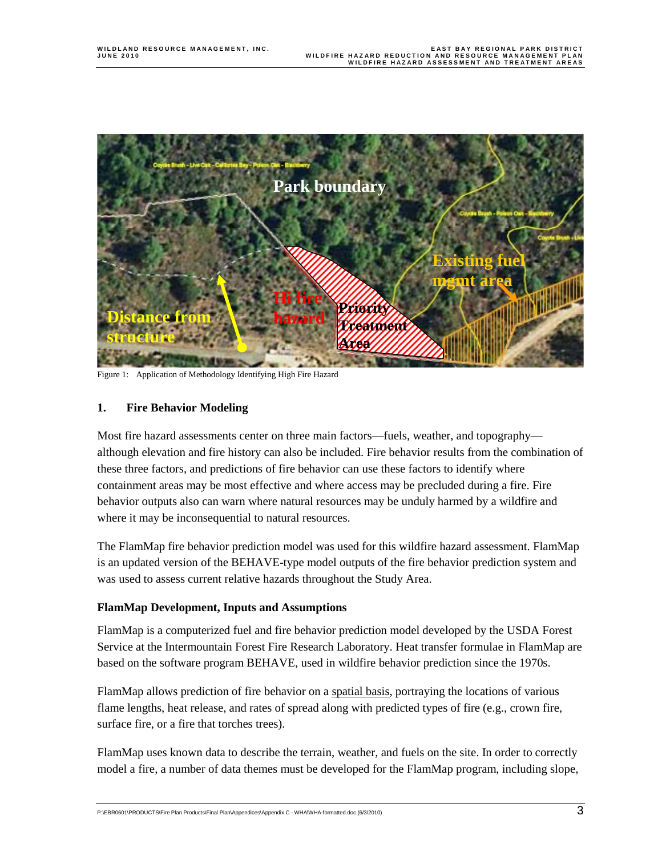

Figure 1: Application of Methodology Identifying High Fire Hazard

#### **1. Fire Behavior Modeling**

Most fire hazard assessments center on three main factors—fuels, weather, and topography although elevation and fire history can also be included. Fire behavior results from the combination of these three factors, and predictions of fire behavior can use these factors to identify where containment areas may be most effective and where access may be precluded during a fire. Fire behavior outputs also can warn where natural resources may be unduly harmed by a wildfire and where it may be inconsequential to natural resources.

The FlamMap fire behavior prediction model was used for this wildfire hazard assessment. FlamMap is an updated version of the BEHAVE-type model outputs of the fire behavior prediction system and was used to assess current relative hazards throughout the Study Area.

#### **FlamMap Development, Inputs and Assumptions**

FlamMap is a computerized fuel and fire behavior prediction model developed by the USDA Forest Service at the Intermountain Forest Fire Research Laboratory. Heat transfer formulae in FlamMap are based on the software program BEHAVE, used in wildfire behavior prediction since the 1970s.

FlamMap allows prediction of fire behavior on a spatial basis, portraying the locations of various flame lengths, heat release, and rates of spread along with predicted types of fire (e.g., crown fire, surface fire, or a fire that torches trees).

FlamMap uses known data to describe the terrain, weather, and fuels on the site. In order to correctly model a fire, a number of data themes must be developed for the FlamMap program, including slope,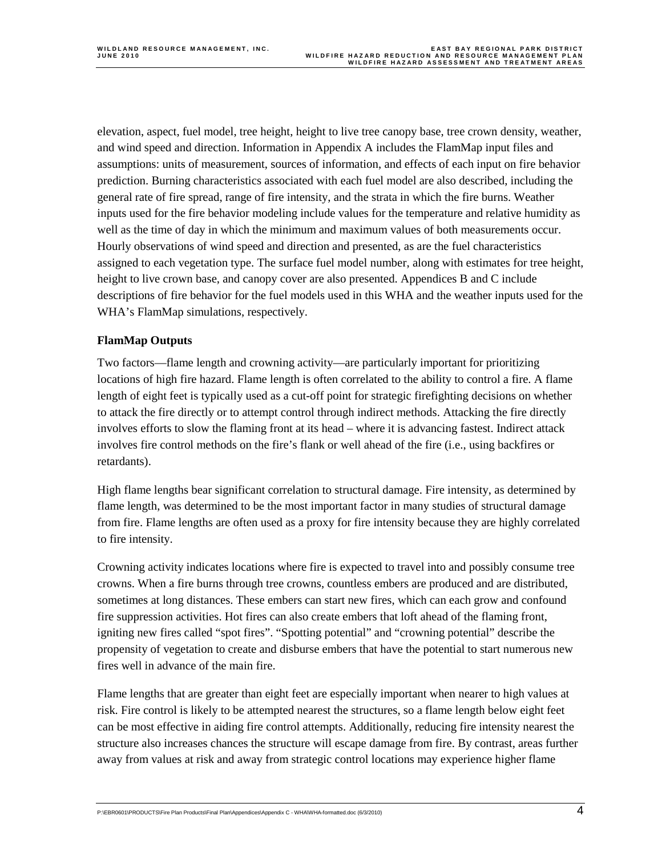elevation, aspect, fuel model, tree height, height to live tree canopy base, tree crown density, weather, and wind speed and direction. Information in Appendix A includes the FlamMap input files and assumptions: units of measurement, sources of information, and effects of each input on fire behavior prediction. Burning characteristics associated with each fuel model are also described, including the general rate of fire spread, range of fire intensity, and the strata in which the fire burns. Weather inputs used for the fire behavior modeling include values for the temperature and relative humidity as well as the time of day in which the minimum and maximum values of both measurements occur. Hourly observations of wind speed and direction and presented, as are the fuel characteristics assigned to each vegetation type. The surface fuel model number, along with estimates for tree height, height to live crown base, and canopy cover are also presented. Appendices B and C include descriptions of fire behavior for the fuel models used in this WHA and the weather inputs used for the WHA's FlamMap simulations, respectively.

#### **FlamMap Outputs**

Two factors—flame length and crowning activity—are particularly important for prioritizing locations of high fire hazard. Flame length is often correlated to the ability to control a fire. A flame length of eight feet is typically used as a cut-off point for strategic firefighting decisions on whether to attack the fire directly or to attempt control through indirect methods. Attacking the fire directly involves efforts to slow the flaming front at its head – where it is advancing fastest. Indirect attack involves fire control methods on the fire's flank or well ahead of the fire (i.e., using backfires or retardants).

High flame lengths bear significant correlation to structural damage. Fire intensity, as determined by flame length, was determined to be the most important factor in many studies of structural damage from fire. Flame lengths are often used as a proxy for fire intensity because they are highly correlated to fire intensity.

Crowning activity indicates locations where fire is expected to travel into and possibly consume tree crowns. When a fire burns through tree crowns, countless embers are produced and are distributed, sometimes at long distances. These embers can start new fires, which can each grow and confound fire suppression activities. Hot fires can also create embers that loft ahead of the flaming front, igniting new fires called "spot fires". "Spotting potential" and "crowning potential" describe the propensity of vegetation to create and disburse embers that have the potential to start numerous new fires well in advance of the main fire.

Flame lengths that are greater than eight feet are especially important when nearer to high values at risk. Fire control is likely to be attempted nearest the structures, so a flame length below eight feet can be most effective in aiding fire control attempts. Additionally, reducing fire intensity nearest the structure also increases chances the structure will escape damage from fire. By contrast, areas further away from values at risk and away from strategic control locations may experience higher flame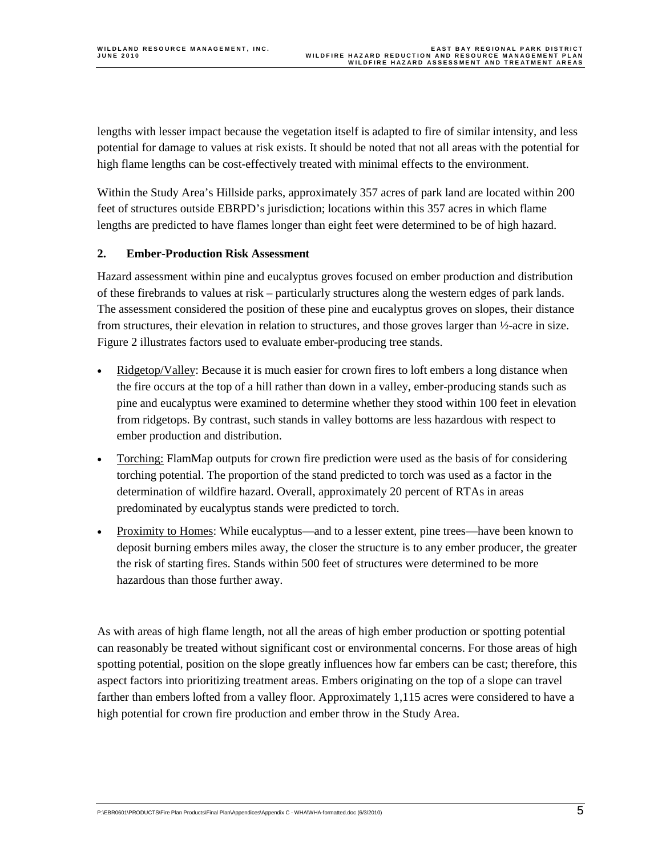lengths with lesser impact because the vegetation itself is adapted to fire of similar intensity, and less potential for damage to values at risk exists. It should be noted that not all areas with the potential for high flame lengths can be cost-effectively treated with minimal effects to the environment.

Within the Study Area's Hillside parks, approximately 357 acres of park land are located within 200 feet of structures outside EBRPD's jurisdiction; locations within this 357 acres in which flame lengths are predicted to have flames longer than eight feet were determined to be of high hazard.

#### **2. Ember-Production Risk Assessment**

Hazard assessment within pine and eucalyptus groves focused on ember production and distribution of these firebrands to values at risk – particularly structures along the western edges of park lands. The assessment considered the position of these pine and eucalyptus groves on slopes, their distance from structures, their elevation in relation to structures, and those groves larger than ½-acre in size. Figure 2 illustrates factors used to evaluate ember-producing tree stands.

- Ridgetop/Valley: Because it is much easier for crown fires to loft embers a long distance when the fire occurs at the top of a hill rather than down in a valley, ember-producing stands such as pine and eucalyptus were examined to determine whether they stood within 100 feet in elevation from ridgetops. By contrast, such stands in valley bottoms are less hazardous with respect to ember production and distribution.
- Torching: FlamMap outputs for crown fire prediction were used as the basis of for considering torching potential. The proportion of the stand predicted to torch was used as a factor in the determination of wildfire hazard. Overall, approximately 20 percent of RTAs in areas predominated by eucalyptus stands were predicted to torch.
- Proximity to Homes: While eucalyptus—and to a lesser extent, pine trees—have been known to deposit burning embers miles away, the closer the structure is to any ember producer, the greater the risk of starting fires. Stands within 500 feet of structures were determined to be more hazardous than those further away.

As with areas of high flame length, not all the areas of high ember production or spotting potential can reasonably be treated without significant cost or environmental concerns. For those areas of high spotting potential, position on the slope greatly influences how far embers can be cast; therefore, this aspect factors into prioritizing treatment areas. Embers originating on the top of a slope can travel farther than embers lofted from a valley floor. Approximately 1,115 acres were considered to have a high potential for crown fire production and ember throw in the Study Area.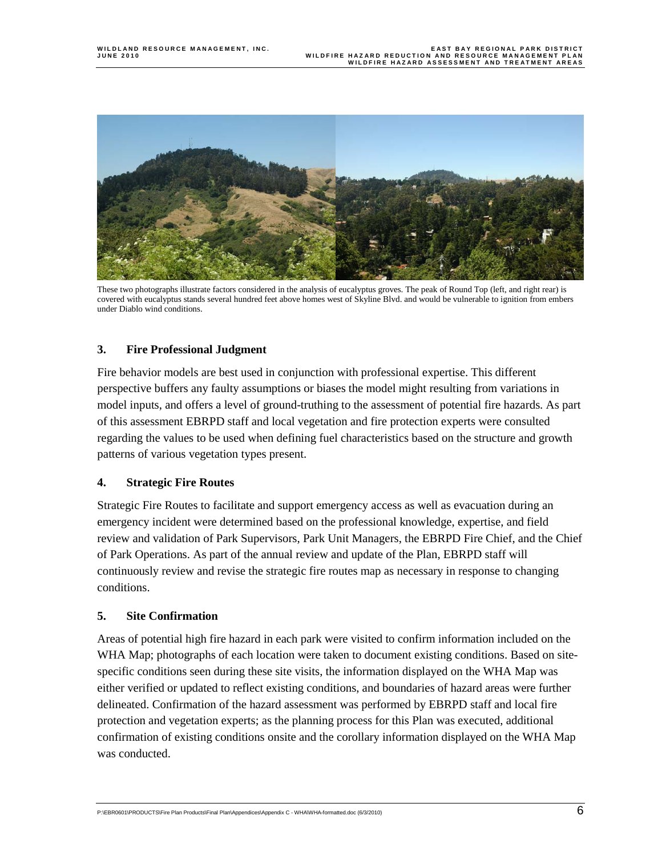

These two photographs illustrate factors considered in the analysis of eucalyptus groves. The peak of Round Top (left, and right rear) is covered with eucalyptus stands several hundred feet above homes west of Skyline Blvd. and would be vulnerable to ignition from embers under Diablo wind conditions.

#### **3. Fire Professional Judgment**

Fire behavior models are best used in conjunction with professional expertise. This different perspective buffers any faulty assumptions or biases the model might resulting from variations in model inputs, and offers a level of ground-truthing to the assessment of potential fire hazards. As part of this assessment EBRPD staff and local vegetation and fire protection experts were consulted regarding the values to be used when defining fuel characteristics based on the structure and growth patterns of various vegetation types present.

#### **4. Strategic Fire Routes**

Strategic Fire Routes to facilitate and support emergency access as well as evacuation during an emergency incident were determined based on the professional knowledge, expertise, and field review and validation of Park Supervisors, Park Unit Managers, the EBRPD Fire Chief, and the Chief of Park Operations. As part of the annual review and update of the Plan, EBRPD staff will continuously review and revise the strategic fire routes map as necessary in response to changing conditions.

#### **5. Site Confirmation**

Areas of potential high fire hazard in each park were visited to confirm information included on the WHA Map; photographs of each location were taken to document existing conditions. Based on sitespecific conditions seen during these site visits, the information displayed on the WHA Map was either verified or updated to reflect existing conditions, and boundaries of hazard areas were further delineated. Confirmation of the hazard assessment was performed by EBRPD staff and local fire protection and vegetation experts; as the planning process for this Plan was executed, additional confirmation of existing conditions onsite and the corollary information displayed on the WHA Map was conducted.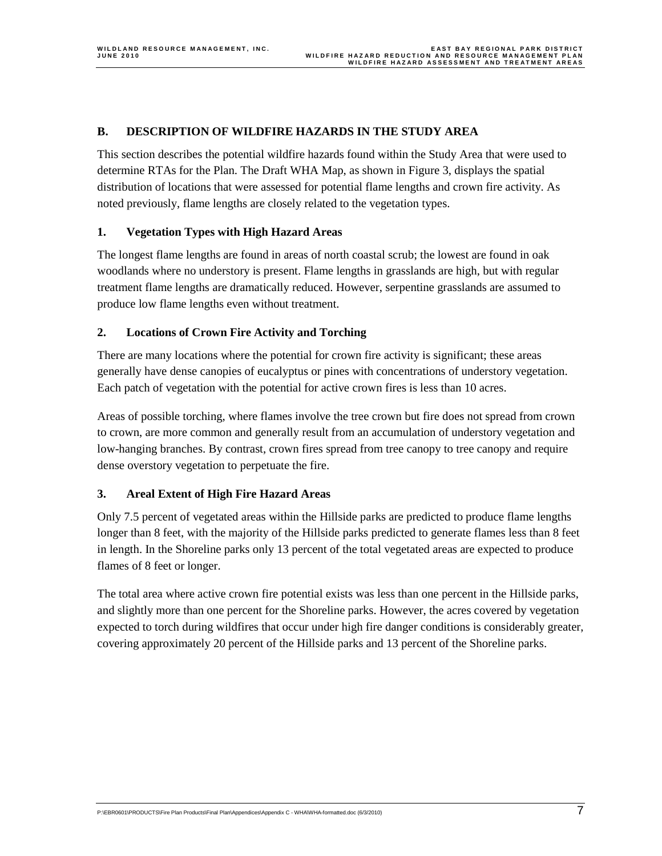#### **B. DESCRIPTION OF WILDFIRE HAZARDS IN THE STUDY AREA**

This section describes the potential wildfire hazards found within the Study Area that were used to determine RTAs for the Plan. The Draft WHA Map, as shown in Figure 3, displays the spatial distribution of locations that were assessed for potential flame lengths and crown fire activity. As noted previously, flame lengths are closely related to the vegetation types.

#### **1. Vegetation Types with High Hazard Areas**

The longest flame lengths are found in areas of north coastal scrub; the lowest are found in oak woodlands where no understory is present. Flame lengths in grasslands are high, but with regular treatment flame lengths are dramatically reduced. However, serpentine grasslands are assumed to produce low flame lengths even without treatment.

#### **2. Locations of Crown Fire Activity and Torching**

There are many locations where the potential for crown fire activity is significant; these areas generally have dense canopies of eucalyptus or pines with concentrations of understory vegetation. Each patch of vegetation with the potential for active crown fires is less than 10 acres.

Areas of possible torching, where flames involve the tree crown but fire does not spread from crown to crown, are more common and generally result from an accumulation of understory vegetation and low-hanging branches. By contrast, crown fires spread from tree canopy to tree canopy and require dense overstory vegetation to perpetuate the fire.

#### **3. Areal Extent of High Fire Hazard Areas**

Only 7.5 percent of vegetated areas within the Hillside parks are predicted to produce flame lengths longer than 8 feet, with the majority of the Hillside parks predicted to generate flames less than 8 feet in length. In the Shoreline parks only 13 percent of the total vegetated areas are expected to produce flames of 8 feet or longer.

The total area where active crown fire potential exists was less than one percent in the Hillside parks, and slightly more than one percent for the Shoreline parks. However, the acres covered by vegetation expected to torch during wildfires that occur under high fire danger conditions is considerably greater, covering approximately 20 percent of the Hillside parks and 13 percent of the Shoreline parks.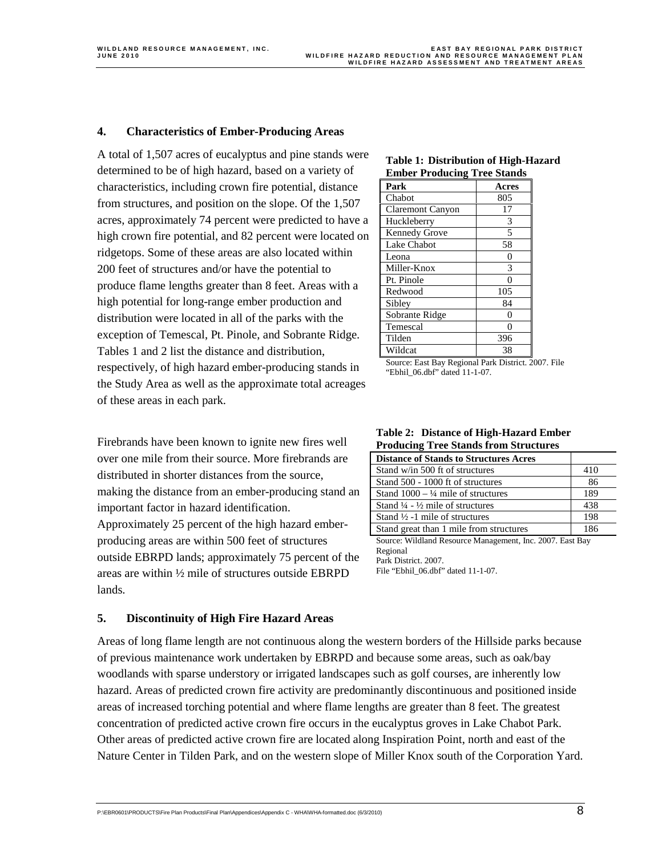#### **4. Characteristics of Ember-Producing Areas**

A total of 1,507 acres of eucalyptus and pine stands were determined to be of high hazard, based on a variety of characteristics, including crown fire potential, distance from structures, and position on the slope. Of the 1,507 acres, approximately 74 percent were predicted to have a high crown fire potential, and 82 percent were located on ridgetops. Some of these areas are also located within 200 feet of structures and/or have the potential to produce flame lengths greater than 8 feet. Areas with a high potential for long-range ember production and distribution were located in all of the parks with the exception of Temescal, Pt. Pinole, and Sobrante Ridge. Tables 1 and 2 list the distance and distribution, respectively, of high hazard ember-producing stands in the Study Area as well as the approximate total acreages of these areas in each park.

Firebrands have been known to ignite new fires well over one mile from their source. More firebrands are distributed in shorter distances from the source, making the distance from an ember-producing stand an important factor in hazard identification. Approximately 25 percent of the high hazard emberproducing areas are within 500 feet of structures outside EBRPD lands; approximately 75 percent of the areas are within ½ mile of structures outside EBRPD lands.

### **Table 1: Distribution of High-Hazard Ember Producing Tree Stands**

| Park                    | Acres |
|-------------------------|-------|
| Chabot                  | 805   |
| <b>Claremont Canyon</b> | 17    |
| Huckleberry             | 3     |
| Kennedy Grove           | 5     |
| Lake Chabot             | 58    |
| Leona                   | O     |
| Miller-Knox             | 3     |
| Pt. Pinole              |       |
| Redwood                 | 105   |
| Sibley                  | 84    |
| Sobrante Ridge          | O     |
| Temescal                | O     |
| Tilden                  | 396   |
| Wildcat                 | 38    |

Source: East Bay Regional Park District. 2007. File "Ebhil\_06.dbf" dated 11-1-07.

| <b>Table 2: Distance of High-Hazard Ember</b> |
|-----------------------------------------------|
| <b>Producing Tree Stands from Structures</b>  |

| <b>Distance of Stands to Structures Acres</b>          |     |
|--------------------------------------------------------|-----|
| Stand w/in 500 ft of structures                        | 410 |
| Stand 500 - 1000 ft of structures                      | 86  |
| Stand $1000 - \frac{1}{4}$ mile of structures          | 189 |
| Stand $\frac{1}{4}$ - $\frac{1}{2}$ mile of structures | 438 |
| Stand $\frac{1}{2}$ -1 mile of structures              | 198 |
| Stand great than 1 mile from structures                | 186 |
|                                                        |     |

Source: Wildland Resource Management, Inc. 2007. East Bay Regional Park District. 2007. File "Ebhil\_06.dbf" dated 11-1-07.

#### **5. Discontinuity of High Fire Hazard Areas**

Areas of long flame length are not continuous along the western borders of the Hillside parks because of previous maintenance work undertaken by EBRPD and because some areas, such as oak/bay woodlands with sparse understory or irrigated landscapes such as golf courses, are inherently low hazard. Areas of predicted crown fire activity are predominantly discontinuous and positioned inside areas of increased torching potential and where flame lengths are greater than 8 feet. The greatest concentration of predicted active crown fire occurs in the eucalyptus groves in Lake Chabot Park. Other areas of predicted active crown fire are located along Inspiration Point, north and east of the Nature Center in Tilden Park, and on the western slope of Miller Knox south of the Corporation Yard.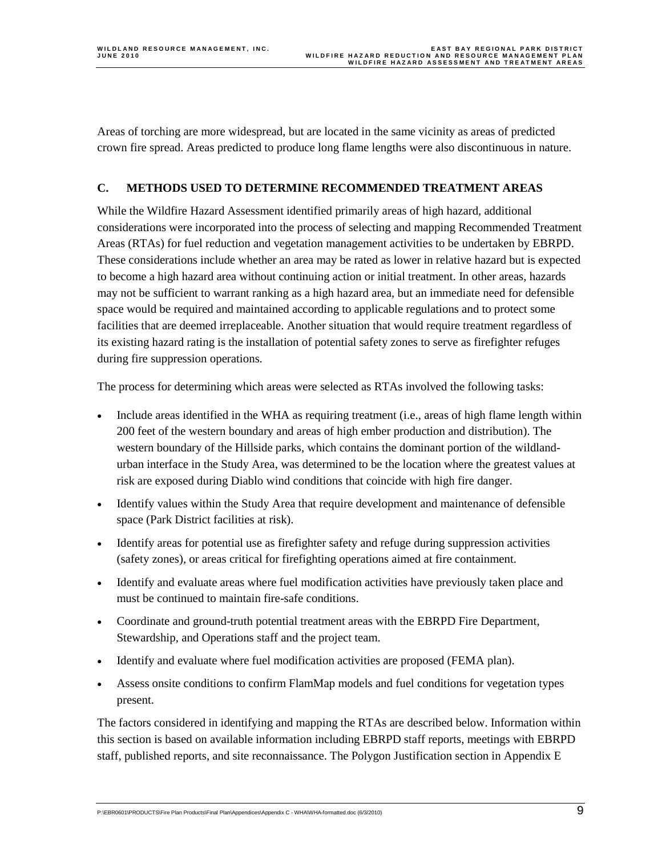Areas of torching are more widespread, but are located in the same vicinity as areas of predicted crown fire spread. Areas predicted to produce long flame lengths were also discontinuous in nature.

#### **C. METHODS USED TO DETERMINE RECOMMENDED TREATMENT AREAS**

While the Wildfire Hazard Assessment identified primarily areas of high hazard, additional considerations were incorporated into the process of selecting and mapping Recommended Treatment Areas (RTAs) for fuel reduction and vegetation management activities to be undertaken by EBRPD. These considerations include whether an area may be rated as lower in relative hazard but is expected to become a high hazard area without continuing action or initial treatment. In other areas, hazards may not be sufficient to warrant ranking as a high hazard area, but an immediate need for defensible space would be required and maintained according to applicable regulations and to protect some facilities that are deemed irreplaceable. Another situation that would require treatment regardless of its existing hazard rating is the installation of potential safety zones to serve as firefighter refuges during fire suppression operations.

The process for determining which areas were selected as RTAs involved the following tasks:

- Include areas identified in the WHA as requiring treatment (i.e., areas of high flame length within 200 feet of the western boundary and areas of high ember production and distribution). The western boundary of the Hillside parks, which contains the dominant portion of the wildlandurban interface in the Study Area, was determined to be the location where the greatest values at risk are exposed during Diablo wind conditions that coincide with high fire danger.
- Identify values within the Study Area that require development and maintenance of defensible space (Park District facilities at risk).
- Identify areas for potential use as firefighter safety and refuge during suppression activities (safety zones), or areas critical for firefighting operations aimed at fire containment.
- Identify and evaluate areas where fuel modification activities have previously taken place and must be continued to maintain fire-safe conditions.
- Coordinate and ground-truth potential treatment areas with the EBRPD Fire Department, Stewardship, and Operations staff and the project team.
- Identify and evaluate where fuel modification activities are proposed (FEMA plan).
- Assess onsite conditions to confirm FlamMap models and fuel conditions for vegetation types present.

The factors considered in identifying and mapping the RTAs are described below. Information within this section is based on available information including EBRPD staff reports, meetings with EBRPD staff, published reports, and site reconnaissance. The Polygon Justification section in Appendix E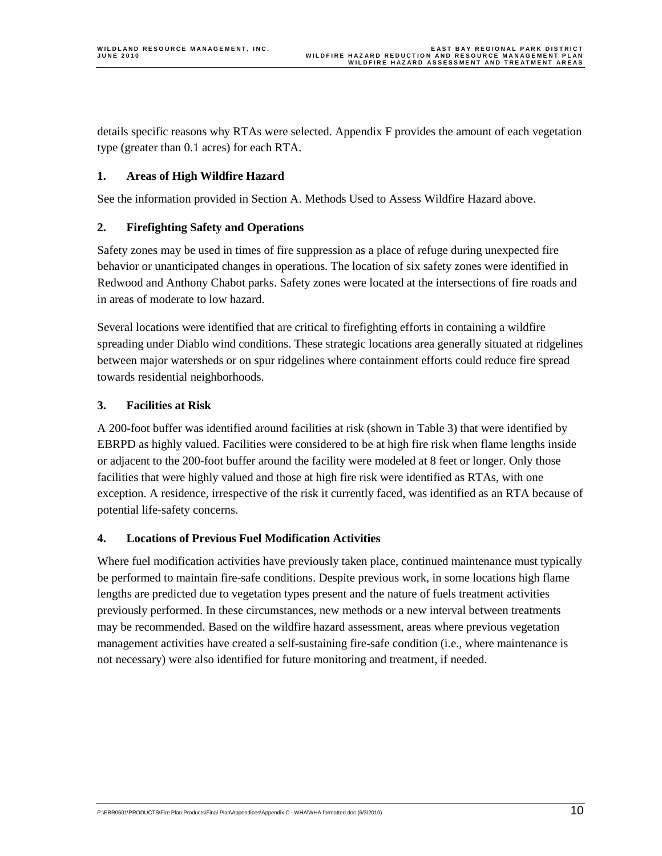details specific reasons why RTAs were selected. Appendix F provides the amount of each vegetation type (greater than 0.1 acres) for each RTA.

#### **1. Areas of High Wildfire Hazard**

See the information provided in Section A. Methods Used to Assess Wildfire Hazard above.

#### **2. Firefighting Safety and Operations**

Safety zones may be used in times of fire suppression as a place of refuge during unexpected fire behavior or unanticipated changes in operations. The location of six safety zones were identified in Redwood and Anthony Chabot parks. Safety zones were located at the intersections of fire roads and in areas of moderate to low hazard.

Several locations were identified that are critical to firefighting efforts in containing a wildfire spreading under Diablo wind conditions. These strategic locations area generally situated at ridgelines between major watersheds or on spur ridgelines where containment efforts could reduce fire spread towards residential neighborhoods.

#### **3. Facilities at Risk**

A 200-foot buffer was identified around facilities at risk (shown in Table 3) that were identified by EBRPD as highly valued. Facilities were considered to be at high fire risk when flame lengths inside or adjacent to the 200-foot buffer around the facility were modeled at 8 feet or longer. Only those facilities that were highly valued and those at high fire risk were identified as RTAs, with one exception. A residence, irrespective of the risk it currently faced, was identified as an RTA because of potential life-safety concerns.

#### **4. Locations of Previous Fuel Modification Activities**

Where fuel modification activities have previously taken place, continued maintenance must typically be performed to maintain fire-safe conditions. Despite previous work, in some locations high flame lengths are predicted due to vegetation types present and the nature of fuels treatment activities previously performed. In these circumstances, new methods or a new interval between treatments may be recommended. Based on the wildfire hazard assessment, areas where previous vegetation management activities have created a self-sustaining fire-safe condition (i.e., where maintenance is not necessary) were also identified for future monitoring and treatment, if needed.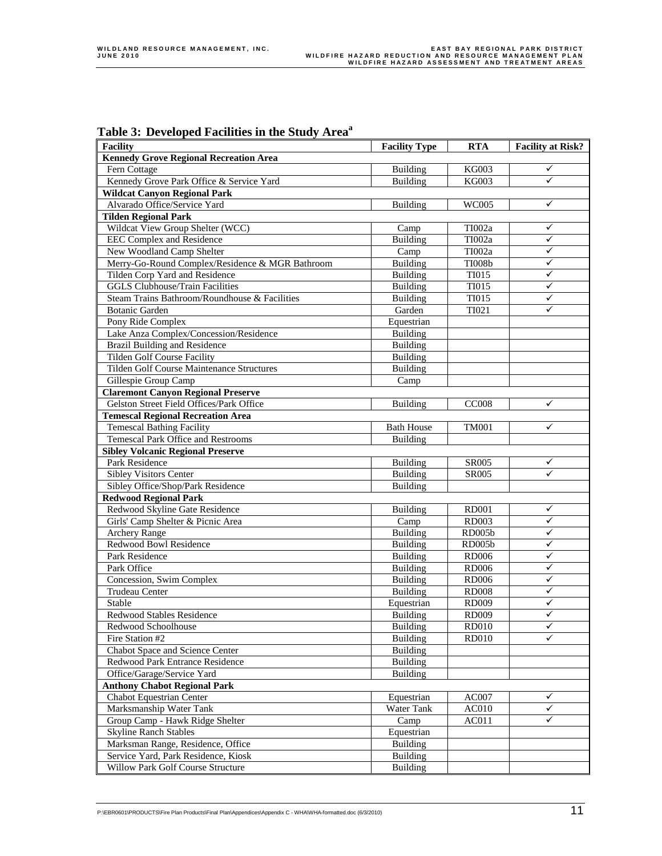| rabie 5. Developed Facilities in the Study Area  |                      |               |                          |
|--------------------------------------------------|----------------------|---------------|--------------------------|
| <b>Facility</b>                                  | <b>Facility Type</b> | <b>RTA</b>    | <b>Facility at Risk?</b> |
| <b>Kennedy Grove Regional Recreation Area</b>    |                      |               |                          |
| Fern Cottage                                     | Building             | <b>KG003</b>  | ✓                        |
| Kennedy Grove Park Office & Service Yard         | Building             | <b>KG003</b>  | ✓                        |
| <b>Wildcat Canyon Regional Park</b>              |                      |               |                          |
| Alvarado Office/Service Yard                     | Building             | WC005         | ✓                        |
| <b>Tilden Regional Park</b>                      |                      |               |                          |
| Wildcat View Group Shelter (WCC)                 | Camp                 | TI002a        | ✓                        |
| <b>EEC Complex and Residence</b>                 | <b>Building</b>      | TI002a        | ✓                        |
| New Woodland Camp Shelter                        | Camp                 | TI002a        | ✓                        |
| Merry-Go-Round Complex/Residence & MGR Bathroom  | Building             | <b>TI008b</b> | ✓                        |
| Tilden Corp Yard and Residence                   | <b>Building</b>      | <b>TI015</b>  | ✓                        |
| <b>GGLS Clubhouse/Train Facilities</b>           | Building             | <b>TI015</b>  | ✓                        |
| Steam Trains Bathroom/Roundhouse & Facilities    | <b>Building</b>      | <b>TI015</b>  | ✓                        |
| <b>Botanic Garden</b>                            | Garden               | <b>TI021</b>  | ✓                        |
| Pony Ride Complex                                | Equestrian           |               |                          |
| Lake Anza Complex/Concession/Residence           | Building             |               |                          |
| <b>Brazil Building and Residence</b>             | Building             |               |                          |
| <b>Tilden Golf Course Facility</b>               | Building             |               |                          |
| <b>Tilden Golf Course Maintenance Structures</b> | Building             |               |                          |
| Gillespie Group Camp                             | Camp                 |               |                          |
| <b>Claremont Canyon Regional Preserve</b>        |                      |               |                          |
| Gelston Street Field Offices/Park Office         | <b>Building</b>      | <b>CC008</b>  | $\checkmark$             |
| <b>Temescal Regional Recreation Area</b>         |                      |               |                          |
| <b>Temescal Bathing Facility</b>                 | <b>Bath House</b>    | <b>TM001</b>  | ✓                        |
| Temescal Park Office and Restrooms               | <b>Building</b>      |               |                          |
| <b>Sibley Volcanic Regional Preserve</b>         |                      |               |                          |
| Park Residence                                   | Building             | SR005         | ✓                        |
| <b>Sibley Visitors Center</b>                    | Building             | <b>SR005</b>  | ✓                        |
| Sibley Office/Shop/Park Residence                | <b>Building</b>      |               |                          |
| <b>Redwood Regional Park</b>                     |                      |               |                          |
| Redwood Skyline Gate Residence                   | Building             | <b>RD001</b>  | ✓                        |
| Girls' Camp Shelter & Picnic Area                | Camp                 | <b>RD003</b>  | $\checkmark$             |
| <b>Archery Range</b>                             | Building             | <b>RD005b</b> | ✓                        |
| <b>Redwood Bowl Residence</b>                    | <b>Building</b>      | <b>RD005b</b> | ✓                        |
| Park Residence                                   | Building             | <b>RD006</b>  | ✓                        |
| Park Office                                      | Building             | <b>RD006</b>  | $\checkmark$             |
| Concession, Swim Complex                         | Building             | <b>RD006</b>  | ✓                        |
| Trudeau Center                                   | Building             | <b>RD008</b>  | ✓                        |
| Stable                                           | Equestrian           | <b>RD009</b>  | ✓                        |
| Redwood Stables Residence                        | Building             | <b>RD009</b>  | ✓                        |
| Redwood Schoolhouse                              | <b>Building</b>      | <b>RD010</b>  | ✓                        |
| Fire Station #2                                  | <b>Building</b>      | <b>RD010</b>  | ✓                        |
| Chabot Space and Science Center                  | Building             |               |                          |
| Redwood Park Entrance Residence                  | Building             |               |                          |
| Office/Garage/Service Yard                       | <b>Building</b>      |               |                          |
| <b>Anthony Chabot Regional Park</b>              |                      |               |                          |
| <b>Chabot Equestrian Center</b>                  | Equestrian           | AC007         | ✓                        |
| Marksmanship Water Tank                          | Water Tank           | <b>AC010</b>  | ✓                        |
| Group Camp - Hawk Ridge Shelter                  | Camp                 | AC011         | ✓                        |
| <b>Skyline Ranch Stables</b>                     | Equestrian           |               |                          |
| Marksman Range, Residence, Office                | <b>Building</b>      |               |                          |
| Service Yard, Park Residence, Kiosk              | <b>Building</b>      |               |                          |
| Willow Park Golf Course Structure                | <b>Building</b>      |               |                          |
|                                                  |                      |               |                          |

**Table 3: Developed Facilities in the Study Areaa**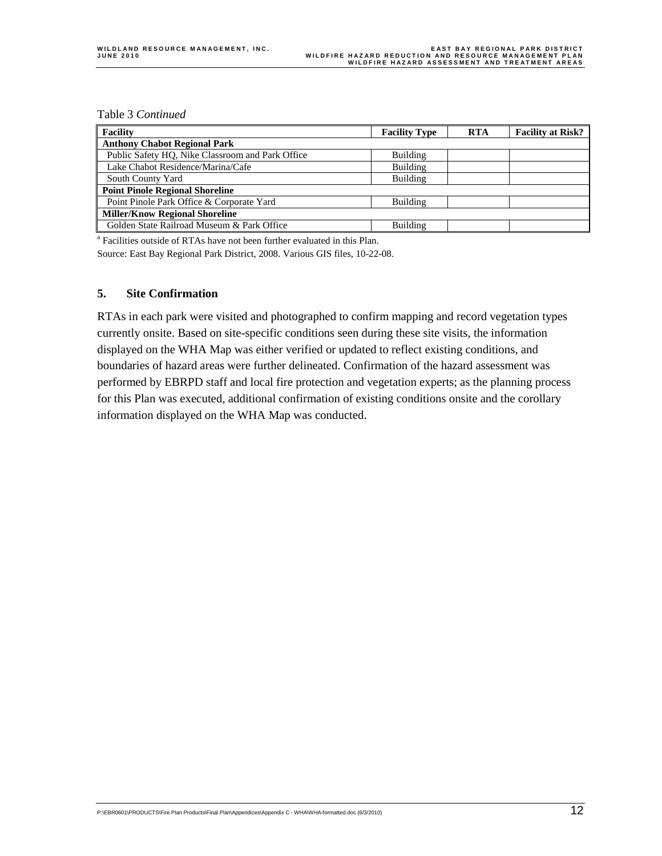Table 3 *Continued*

| <b>Facility</b>                                  | <b>Facility Type</b> | <b>RTA</b> | <b>Facility at Risk?</b> |
|--------------------------------------------------|----------------------|------------|--------------------------|
| <b>Anthony Chabot Regional Park</b>              |                      |            |                          |
| Public Safety HQ, Nike Classroom and Park Office | Building             |            |                          |
| Lake Chabot Residence/Marina/Cafe                | Building             |            |                          |
| South County Yard                                | Building             |            |                          |
| <b>Point Pinole Regional Shoreline</b>           |                      |            |                          |
| Point Pinole Park Office & Corporate Yard        | Building             |            |                          |
| <b>Miller/Know Regional Shoreline</b>            |                      |            |                          |
| Golden State Railroad Museum & Park Office       | Building             |            |                          |

<sup>a</sup> Facilities outside of RTAs have not been further evaluated in this Plan.

Source: East Bay Regional Park District, 2008. Various GIS files, 10-22-08.

#### **5. Site Confirmation**

RTAs in each park were visited and photographed to confirm mapping and record vegetation types currently onsite. Based on site-specific conditions seen during these site visits, the information displayed on the WHA Map was either verified or updated to reflect existing conditions, and boundaries of hazard areas were further delineated. Confirmation of the hazard assessment was performed by EBRPD staff and local fire protection and vegetation experts; as the planning process for this Plan was executed, additional confirmation of existing conditions onsite and the corollary information displayed on the WHA Map was conducted.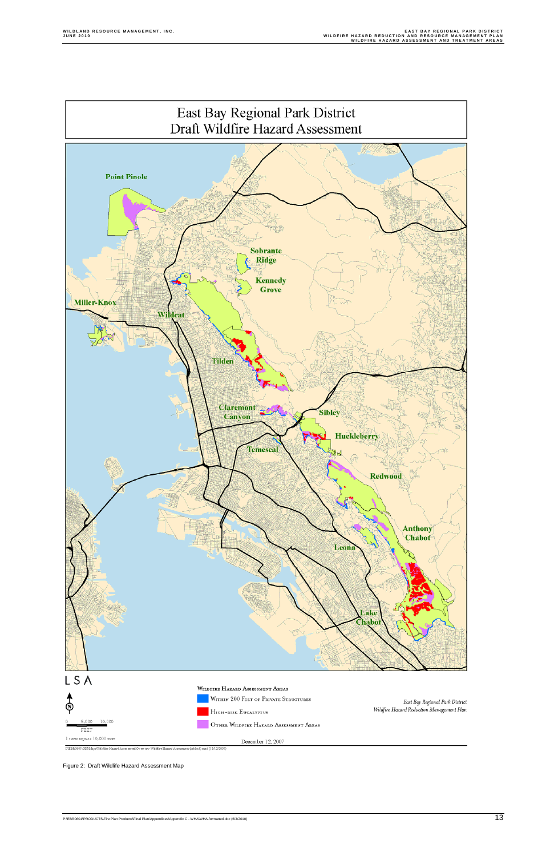

 $\textbf{I}\text{-}\texttt{EBR0601}\texttt{VJIS} \texttt{Maps} \texttt{Wildfire\textbf{Hazard Assessment}} \texttt{Cv} \texttt{e} \texttt{v} \texttt{i} \texttt{e} \texttt{w} \cdot \texttt{Wildfire\textbf{Hazard Assessment (tabloid)}\texttt{mxd (12/12/2007)}}$ 

Figure 2: Draft Wildlife Hazard Assessment Map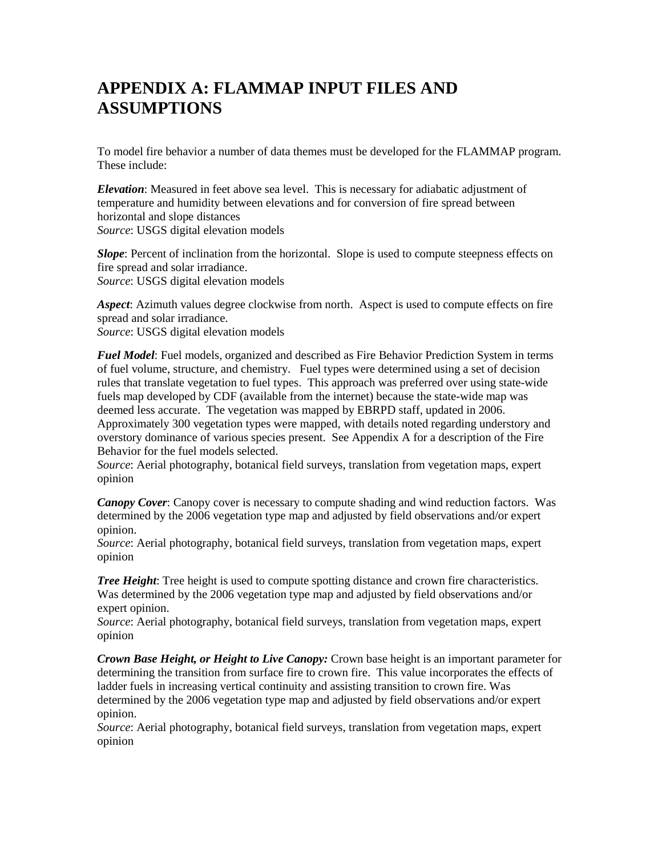### **APPENDIX A: FLAMMAP INPUT FILES AND ASSUMPTIONS**

To model fire behavior a number of data themes must be developed for the FLAMMAP program. These include:

*Elevation*: Measured in feet above sea level. This is necessary for adiabatic adjustment of temperature and humidity between elevations and for conversion of fire spread between horizontal and slope distances *Source*: USGS digital elevation models

*Slope*: Percent of inclination from the horizontal. Slope is used to compute steepness effects on fire spread and solar irradiance. *Source*: USGS digital elevation models

*Aspect*: Azimuth values degree clockwise from north. Aspect is used to compute effects on fire spread and solar irradiance. *Source*: USGS digital elevation models

*Fuel Model*: Fuel models, organized and described as Fire Behavior Prediction System in terms of fuel volume, structure, and chemistry. Fuel types were determined using a set of decision rules that translate vegetation to fuel types. This approach was preferred over using state-wide fuels map developed by CDF (available from the internet) because the state-wide map was deemed less accurate. The vegetation was mapped by EBRPD staff, updated in 2006. Approximately 300 vegetation types were mapped, with details noted regarding understory and overstory dominance of various species present. See Appendix A for a description of the Fire Behavior for the fuel models selected.

*Source*: Aerial photography, botanical field surveys, translation from vegetation maps, expert opinion

*Canopy Cover*: Canopy cover is necessary to compute shading and wind reduction factors. Was determined by the 2006 vegetation type map and adjusted by field observations and/or expert opinion.

*Source*: Aerial photography, botanical field surveys, translation from vegetation maps, expert opinion

*Tree Height*: Tree height is used to compute spotting distance and crown fire characteristics. Was determined by the 2006 vegetation type map and adjusted by field observations and/or expert opinion.

*Source*: Aerial photography, botanical field surveys, translation from vegetation maps, expert opinion

*Crown Base Height, or Height to Live Canopy:* Crown base height is an important parameter for determining the transition from surface fire to crown fire. This value incorporates the effects of ladder fuels in increasing vertical continuity and assisting transition to crown fire. Was determined by the 2006 vegetation type map and adjusted by field observations and/or expert opinion.

*Source*: Aerial photography, botanical field surveys, translation from vegetation maps, expert opinion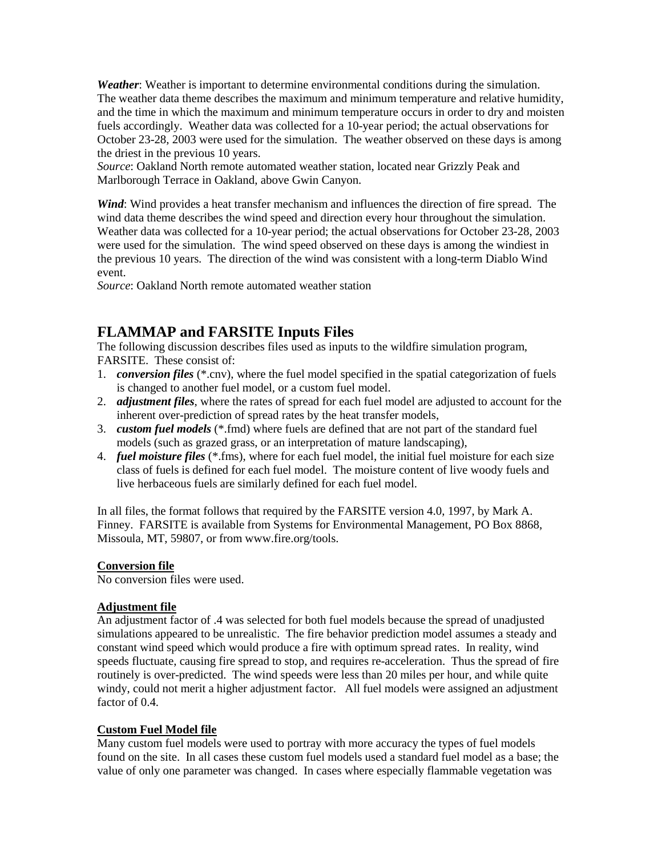*Weather*: Weather is important to determine environmental conditions during the simulation. The weather data theme describes the maximum and minimum temperature and relative humidity, and the time in which the maximum and minimum temperature occurs in order to dry and moisten fuels accordingly. Weather data was collected for a 10-year period; the actual observations for October 23-28, 2003 were used for the simulation. The weather observed on these days is among the driest in the previous 10 years.

*Source*: Oakland North remote automated weather station, located near Grizzly Peak and Marlborough Terrace in Oakland, above Gwin Canyon.

*Wind*: Wind provides a heat transfer mechanism and influences the direction of fire spread. The wind data theme describes the wind speed and direction every hour throughout the simulation. Weather data was collected for a 10-year period; the actual observations for October 23-28, 2003 were used for the simulation. The wind speed observed on these days is among the windiest in the previous 10 years. The direction of the wind was consistent with a long-term Diablo Wind event.

*Source*: Oakland North remote automated weather station

### **FLAMMAP and FARSITE Inputs Files**

The following discussion describes files used as inputs to the wildfire simulation program, FARSITE. These consist of:

- 1. *conversion files* (\*.cnv), where the fuel model specified in the spatial categorization of fuels is changed to another fuel model, or a custom fuel model.
- 2. *adjustment files*, where the rates of spread for each fuel model are adjusted to account for the inherent over-prediction of spread rates by the heat transfer models,
- 3. *custom fuel models* (\*.fmd) where fuels are defined that are not part of the standard fuel models (such as grazed grass, or an interpretation of mature landscaping),
- 4. *fuel moisture files* (\*.fms), where for each fuel model, the initial fuel moisture for each size class of fuels is defined for each fuel model. The moisture content of live woody fuels and live herbaceous fuels are similarly defined for each fuel model.

In all files, the format follows that required by the FARSITE version 4.0, 1997, by Mark A. Finney. FARSITE is available from Systems for Environmental Management, PO Box 8868, Missoula, MT, 59807, or from www.fire.org/tools.

#### **Conversion file**

No conversion files were used.

#### **Adjustment file**

An adjustment factor of .4 was selected for both fuel models because the spread of unadjusted simulations appeared to be unrealistic. The fire behavior prediction model assumes a steady and constant wind speed which would produce a fire with optimum spread rates. In reality, wind speeds fluctuate, causing fire spread to stop, and requires re-acceleration. Thus the spread of fire routinely is over-predicted. The wind speeds were less than 20 miles per hour, and while quite windy, could not merit a higher adjustment factor. All fuel models were assigned an adjustment factor of 0.4.

#### **Custom Fuel Model file**

Many custom fuel models were used to portray with more accuracy the types of fuel models found on the site. In all cases these custom fuel models used a standard fuel model as a base; the value of only one parameter was changed. In cases where especially flammable vegetation was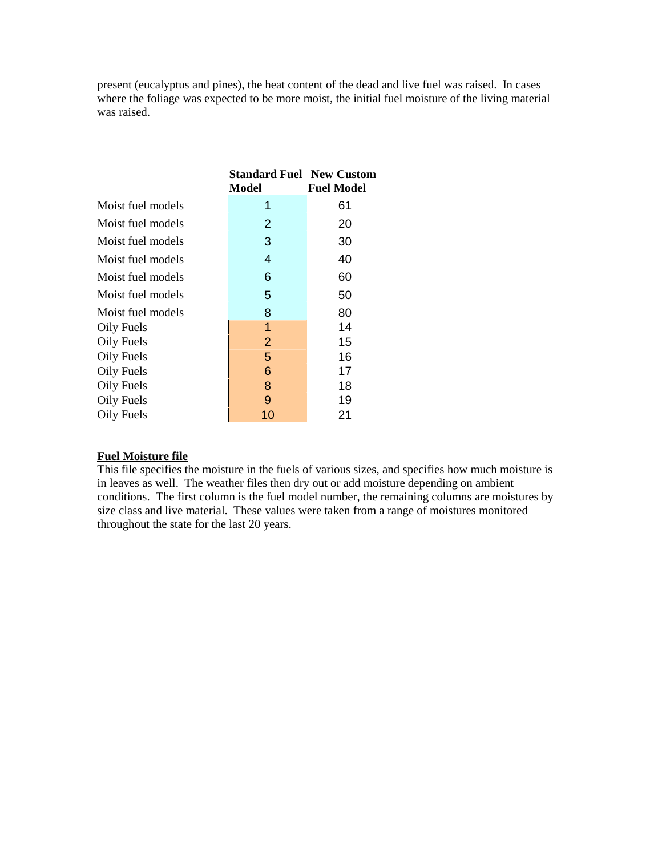present (eucalyptus and pines), the heat content of the dead and live fuel was raised. In cases where the foliage was expected to be more moist, the initial fuel moisture of the living material was raised.

|                   | <b>Standard Fuel New Custom</b><br>Model | <b>Fuel Model</b> |
|-------------------|------------------------------------------|-------------------|
| Moist fuel models | 1                                        | 61                |
| Moist fuel models | 2                                        | 20                |
| Moist fuel models | 3                                        | 30                |
| Moist fuel models | 4                                        | 40                |
| Moist fuel models | 6                                        | 60                |
| Moist fuel models | 5                                        | 50                |
| Moist fuel models | 8                                        | 80                |
| Oily Fuels        | 1                                        | 14                |
| Oily Fuels        | 2                                        | 15                |
| Oily Fuels        | 5                                        | 16                |
| Oily Fuels        | 6                                        | 17                |
| Oily Fuels        | 8                                        | 18                |
| Oily Fuels        | 9                                        | 19                |
| Oily Fuels        | 10                                       | 21                |

### **Fuel Moisture file**

This file specifies the moisture in the fuels of various sizes, and specifies how much moisture is in leaves as well. The weather files then dry out or add moisture depending on ambient conditions. The first column is the fuel model number, the remaining columns are moistures by size class and live material. These values were taken from a range of moistures monitored throughout the state for the last 20 years.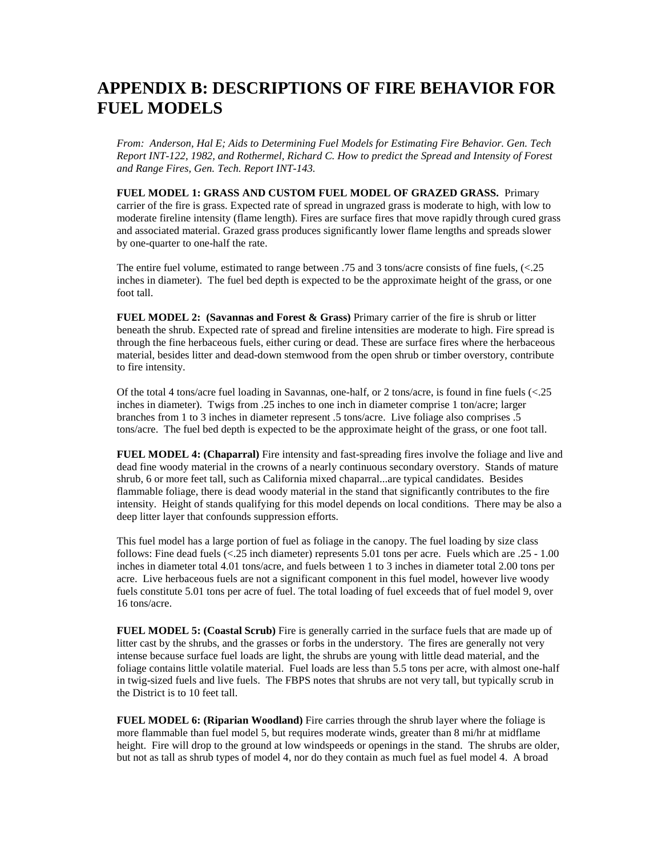### **APPENDIX B: DESCRIPTIONS OF FIRE BEHAVIOR FOR FUEL MODELS**

*From: Anderson, Hal E; Aids to Determining Fuel Models for Estimating Fire Behavior. Gen. Tech Report INT-122, 1982, and Rothermel, Richard C. How to predict the Spread and Intensity of Forest and Range Fires, Gen. Tech. Report INT-143.*

**FUEL MODEL 1: GRASS AND CUSTOM FUEL MODEL OF GRAZED GRASS.** Primary carrier of the fire is grass. Expected rate of spread in ungrazed grass is moderate to high, with low to moderate fireline intensity (flame length). Fires are surface fires that move rapidly through cured grass and associated material. Grazed grass produces significantly lower flame lengths and spreads slower by one-quarter to one-half the rate.

The entire fuel volume, estimated to range between .75 and 3 tons/acre consists of fine fuels, (<.25 inches in diameter). The fuel bed depth is expected to be the approximate height of the grass, or one foot tall.

**FUEL MODEL 2: (Savannas and Forest & Grass)** Primary carrier of the fire is shrub or litter beneath the shrub. Expected rate of spread and fireline intensities are moderate to high. Fire spread is through the fine herbaceous fuels, either curing or dead. These are surface fires where the herbaceous material, besides litter and dead-down stemwood from the open shrub or timber overstory, contribute to fire intensity.

Of the total 4 tons/acre fuel loading in Savannas, one-half, or 2 tons/acre, is found in fine fuels (<.25 inches in diameter). Twigs from .25 inches to one inch in diameter comprise 1 ton/acre; larger branches from 1 to 3 inches in diameter represent .5 tons/acre. Live foliage also comprises .5 tons/acre. The fuel bed depth is expected to be the approximate height of the grass, or one foot tall.

**FUEL MODEL 4: (Chaparral)** Fire intensity and fast-spreading fires involve the foliage and live and dead fine woody material in the crowns of a nearly continuous secondary overstory. Stands of mature shrub, 6 or more feet tall, such as California mixed chaparral...are typical candidates. Besides flammable foliage, there is dead woody material in the stand that significantly contributes to the fire intensity. Height of stands qualifying for this model depends on local conditions. There may be also a deep litter layer that confounds suppression efforts.

This fuel model has a large portion of fuel as foliage in the canopy. The fuel loading by size class follows: Fine dead fuels (<.25 inch diameter) represents 5.01 tons per acre. Fuels which are .25 - 1.00 inches in diameter total 4.01 tons/acre, and fuels between 1 to 3 inches in diameter total 2.00 tons per acre. Live herbaceous fuels are not a significant component in this fuel model, however live woody fuels constitute 5.01 tons per acre of fuel. The total loading of fuel exceeds that of fuel model 9, over 16 tons/acre.

**FUEL MODEL 5: (Coastal Scrub)** Fire is generally carried in the surface fuels that are made up of litter cast by the shrubs, and the grasses or forbs in the understory. The fires are generally not very intense because surface fuel loads are light, the shrubs are young with little dead material, and the foliage contains little volatile material. Fuel loads are less than 5.5 tons per acre, with almost one-half in twig-sized fuels and live fuels. The FBPS notes that shrubs are not very tall, but typically scrub in the District is to 10 feet tall.

**FUEL MODEL 6: (Riparian Woodland)** Fire carries through the shrub layer where the foliage is more flammable than fuel model 5, but requires moderate winds, greater than 8 mi/hr at midflame height. Fire will drop to the ground at low windspeeds or openings in the stand. The shrubs are older, but not as tall as shrub types of model 4, nor do they contain as much fuel as fuel model 4. A broad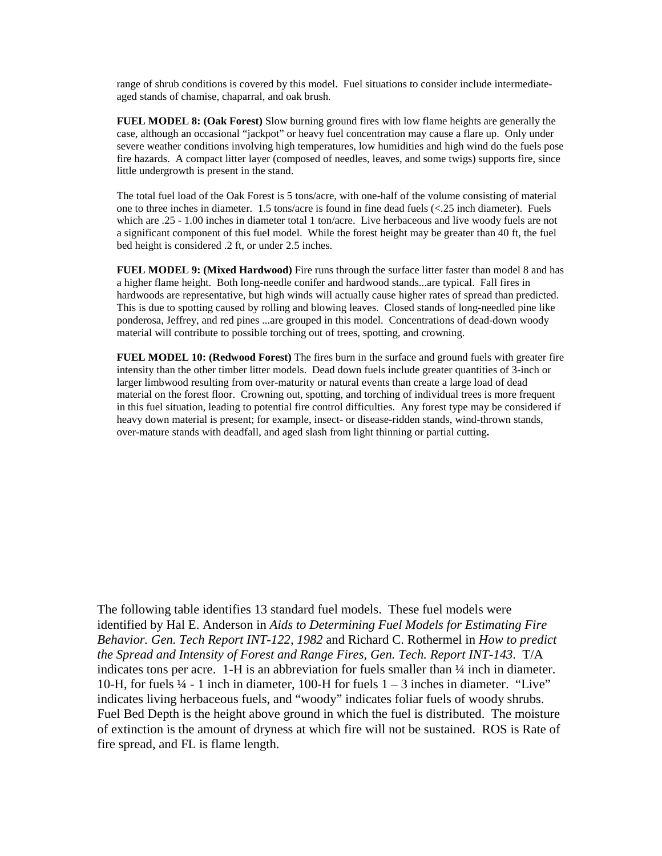range of shrub conditions is covered by this model. Fuel situations to consider include intermediateaged stands of chamise, chaparral, and oak brush.

**FUEL MODEL 8: (Oak Forest)** Slow burning ground fires with low flame heights are generally the case, although an occasional "jackpot" or heavy fuel concentration may cause a flare up. Only under severe weather conditions involving high temperatures, low humidities and high wind do the fuels pose fire hazards. A compact litter layer (composed of needles, leaves, and some twigs) supports fire, since little undergrowth is present in the stand.

The total fuel load of the Oak Forest is 5 tons/acre, with one-half of the volume consisting of material one to three inches in diameter. 1.5 tons/acre is found in fine dead fuels (<.25 inch diameter). Fuels which are .25 - 1.00 inches in diameter total 1 ton/acre. Live herbaceous and live woody fuels are not a significant component of this fuel model. While the forest height may be greater than 40 ft, the fuel bed height is considered .2 ft, or under 2.5 inches.

**FUEL MODEL 9: (Mixed Hardwood)** Fire runs through the surface litter faster than model 8 and has a higher flame height. Both long-needle conifer and hardwood stands...are typical. Fall fires in hardwoods are representative, but high winds will actually cause higher rates of spread than predicted. This is due to spotting caused by rolling and blowing leaves. Closed stands of long-needled pine like ponderosa, Jeffrey, and red pines ...are grouped in this model. Concentrations of dead-down woody material will contribute to possible torching out of trees, spotting, and crowning.

**FUEL MODEL 10: (Redwood Forest)** The fires burn in the surface and ground fuels with greater fire intensity than the other timber litter models. Dead down fuels include greater quantities of 3-inch or larger limbwood resulting from over-maturity or natural events than create a large load of dead material on the forest floor. Crowning out, spotting, and torching of individual trees is more frequent in this fuel situation, leading to potential fire control difficulties. Any forest type may be considered if heavy down material is present; for example, insect- or disease-ridden stands, wind-thrown stands, over-mature stands with deadfall, and aged slash from light thinning or partial cutting**.**

The following table identifies 13 standard fuel models. These fuel models were identified by Hal E. Anderson in *Aids to Determining Fuel Models for Estimating Fire Behavior. Gen. Tech Report INT-122, 1982* and Richard C. Rothermel in *How to predict the Spread and Intensity of Forest and Range Fires, Gen. Tech. Report INT-143*. T/A indicates tons per acre. 1-H is an abbreviation for fuels smaller than ¼ inch in diameter. 10-H, for fuels  $\frac{1}{4}$  - 1 inch in diameter, 100-H for fuels  $1 - 3$  inches in diameter. "Live" indicates living herbaceous fuels, and "woody" indicates foliar fuels of woody shrubs. Fuel Bed Depth is the height above ground in which the fuel is distributed. The moisture of extinction is the amount of dryness at which fire will not be sustained. ROS is Rate of fire spread, and FL is flame length.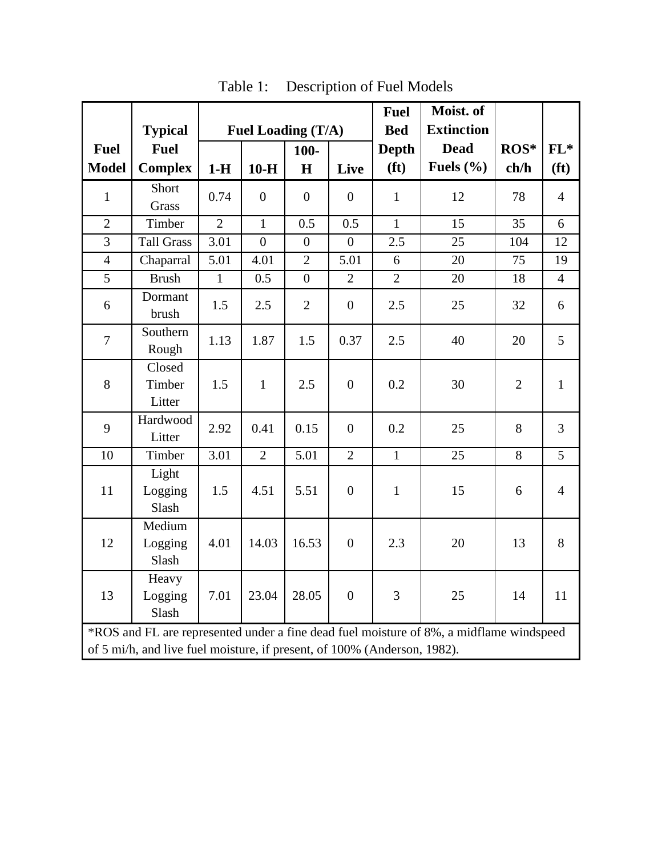|                |                                                                                                                                                                     |                    |                |                |                  | <b>Fuel</b>       | Moist. of         |                |                   |
|----------------|---------------------------------------------------------------------------------------------------------------------------------------------------------------------|--------------------|----------------|----------------|------------------|-------------------|-------------------|----------------|-------------------|
|                | <b>Typical</b>                                                                                                                                                      | Fuel Loading (T/A) |                |                |                  | <b>Bed</b>        | <b>Extinction</b> |                |                   |
| <b>Fuel</b>    | <b>Fuel</b>                                                                                                                                                         |                    |                | $100-$         |                  | <b>Depth</b>      | <b>Dead</b>       | ROS*           | $FL*$             |
| <b>Model</b>   | <b>Complex</b>                                                                                                                                                      | $1-H$              | $10-H$         | H              | Live             | (f <sup>t</sup> ) | Fuels $(\% )$     | ch/h           | (f <sup>t</sup> ) |
| $\mathbf{1}$   | Short<br>Grass                                                                                                                                                      | 0.74               | $\overline{0}$ | $\overline{0}$ | $\overline{0}$   | $\mathbf{1}$      | 12                | 78             | $\overline{4}$    |
| $\overline{2}$ | Timber                                                                                                                                                              | $\overline{2}$     | $\mathbf{1}$   | 0.5            | 0.5              | $\mathbf{1}$      | 15                | 35             | 6                 |
| $\overline{3}$ | <b>Tall Grass</b>                                                                                                                                                   | 3.01               | $\overline{0}$ | $\overline{0}$ | $\overline{0}$   | 2.5               | 25                | 104            | 12                |
| $\overline{4}$ | Chaparral                                                                                                                                                           | 5.01               | 4.01           | $\overline{2}$ | 5.01             | 6                 | 20                | 75             | 19                |
| 5              | <b>Brush</b>                                                                                                                                                        | $\mathbf{1}$       | 0.5            | $\overline{0}$ | $\overline{2}$   | $\overline{2}$    | 20                | 18             | $\overline{4}$    |
| 6              | Dormant<br>brush                                                                                                                                                    | 1.5                | 2.5            | $\mathbf{2}$   | $\boldsymbol{0}$ | 2.5               | 25                | 32             | 6                 |
| $\overline{7}$ | Southern<br>Rough                                                                                                                                                   | 1.13               | 1.87           | 1.5            | 0.37             | 2.5               | 40                | 20             | 5                 |
| $8\,$          | $\overline{\text{Closed}}$<br>Timber<br>Litter                                                                                                                      | 1.5                | $\mathbf{1}$   | 2.5            | $\boldsymbol{0}$ | 0.2               | 30                | $\overline{2}$ | $\mathbf{1}$      |
| 9              | Hardwood<br>Litter                                                                                                                                                  | 2.92               | 0.41           | 0.15           | $\overline{0}$   | 0.2               | 25                | 8              | 3                 |
| 10             | Timber                                                                                                                                                              | 3.01               | $\overline{2}$ | 5.01           | $\overline{2}$   | $\mathbf{1}$      | 25                | 8              | 5                 |
| 11             | Light<br>Logging<br>Slash                                                                                                                                           | 1.5                | 4.51           | 5.51           | $\boldsymbol{0}$ | $\mathbf{1}$      | 15                | 6              | $\overline{4}$    |
| 12             | Medium<br>Logging<br>Slash                                                                                                                                          | 4.01               | 14.03          | 16.53          | $\boldsymbol{0}$ | 2.3               | 20                | 13             | 8                 |
| 13             | Heavy<br>Logging<br>Slash                                                                                                                                           | 7.01               | 23.04          | 28.05          | $\boldsymbol{0}$ | 3                 | 25                | 14             | 11                |
|                | *ROS and FL are represented under a fine dead fuel moisture of 8%, a midflame windspeed<br>of 5 mi/h, and live fuel moisture, if present, of 100% (Anderson, 1982). |                    |                |                |                  |                   |                   |                |                   |

Table 1: Description of Fuel Models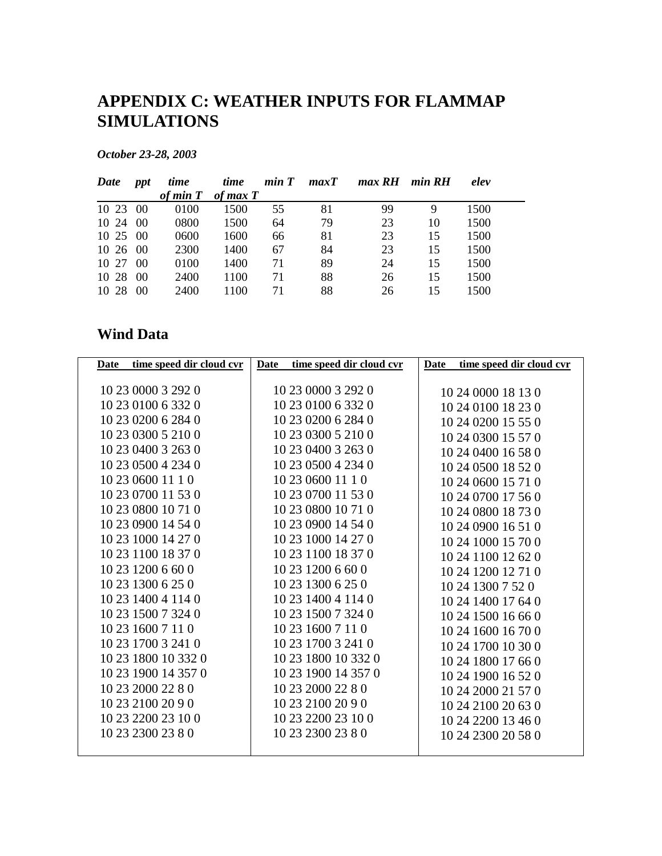### **APPENDIX C: WEATHER INPUTS FOR FLAMMAP SIMULATIONS**

*October 23-28, 2003* 

| Date         | ppt | time         | time       | min T | maxT | max RH min RH |    | elev |  |
|--------------|-----|--------------|------------|-------|------|---------------|----|------|--|
|              |     | $of$ min $T$ | of max $T$ |       |      |               |    |      |  |
| 10 23 00     |     | 0100         | 1500       | 55    | 81   | 99            | 9  | 1500 |  |
| 10 24 00     |     | 0800         | 1500       | 64    | 79   | 23            | 10 | 1500 |  |
| $10\,25\,00$ |     | 0600         | 1600       | 66    | 81   | 23            | 15 | 1500 |  |
| 10, 26, 00   |     | 2300         | 1400       | 67    | 84   | 23            | 15 | 1500 |  |
| $10\,27\,00$ |     | 0100         | 1400       | 71    | 89   | 24            | 15 | 1500 |  |
| 10 28 00     |     | 2400         | 1100       | 71    | 88   | 26            | 15 | 1500 |  |
| 10 28        | 00  | 2400         | 1100       | 71    | 88   | 26            | 15 | 1500 |  |

### **Wind Data**

| time speed dir cloud cvr<br>Date | Date time speed dir cloud cvr | Date time speed dir cloud cvr |
|----------------------------------|-------------------------------|-------------------------------|
|                                  |                               |                               |
| 10 23 0000 3 292 0               | 10 23 0000 3 292 0            | 10 24 0000 18 13 0            |
| 10 23 0100 6 332 0               | 10 23 0100 6 332 0            | 10 24 0100 18 23 0            |
| 10 23 0200 6 284 0               | 10 23 0200 6 284 0            | 10 24 0200 15 55 0            |
| 10 23 0300 5 210 0               | 10 23 0300 5 210 0            | 10 24 0300 15 57 0            |
| 10 23 0400 3 263 0               | 10 23 0400 3 263 0            | 10 24 0400 16 58 0            |
| 10 23 0500 4 234 0               | 10 23 0500 4 234 0            | 10 24 0500 18 52 0            |
| 10 23 0600 11 1 0                | 10 23 0600 11 1 0             | 10 24 0600 15 71 0            |
| 10 23 0700 11 53 0               | 10 23 0700 11 53 0            | 10 24 0700 17 56 0            |
| 10 23 0800 10 71 0               | 10 23 0800 10 71 0            | 10 24 0800 18 73 0            |
| 10 23 0900 14 54 0               | 10 23 0900 14 54 0            | 10 24 0900 16 51 0            |
| 10 23 1000 14 27 0               | 10 23 1000 14 27 0            | 10 24 1000 15 70 0            |
| 10 23 1100 18 37 0               | 10 23 1100 18 37 0            | 10 24 1100 12 62 0            |
| 10 23 1200 6 60 0                | 10 23 1200 6 60 0             | 10 24 1200 12 71 0            |
| 10 23 1300 6 25 0                | 10 23 1300 6 25 0             | 10 24 1300 7 52 0             |
| 10 23 1400 4 114 0               | 10 23 1400 4 114 0            | 10 24 1400 17 64 0            |
| 10 23 1500 7 324 0               | 10 23 1500 7 324 0            | 10 24 1500 16 66 0            |
| 10 23 1600 7 11 0                | 10 23 1600 7 11 0             | 10 24 1600 16 70 0            |
| 10 23 1700 3 241 0               | 10 23 1700 3 241 0            | 10 24 1700 10 30 0            |
| 10 23 1800 10 332 0              | 10 23 1800 10 332 0           | 10 24 1800 17 66 0            |
| 10 23 1900 14 357 0              | 10 23 1900 14 357 0           | 10 24 1900 16 52 0            |
| 10 23 2000 22 8 0                | 10 23 2000 22 8 0             | 10 24 2000 21 57 0            |
| 10 23 2100 20 9 0                | 10 23 2100 20 9 0             | 10 24 2100 20 63 0            |
| 10 23 2200 23 10 0               | 10 23 2200 23 10 0            | 10 24 2200 13 46 0            |
| 10 23 2300 23 8 0                | 10 23 2300 23 8 0             | 10 24 2300 20 58 0            |
|                                  |                               |                               |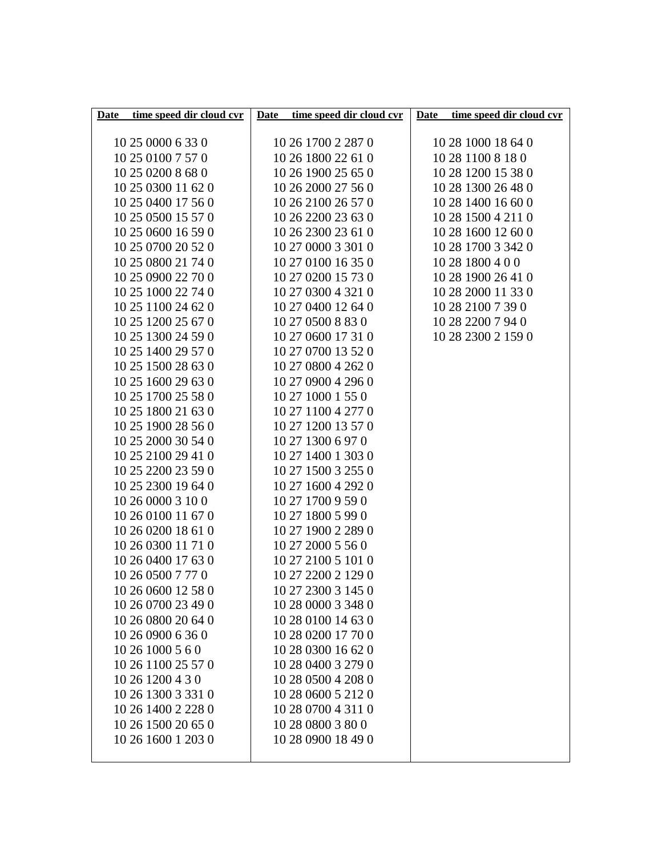| Date time speed dir cloud cvr | Date time speed dir cloud cvr | Date time speed dir cloud cvr |
|-------------------------------|-------------------------------|-------------------------------|
|                               |                               |                               |
| 10 25 0000 6 33 0             | 10 26 1700 2 287 0            | 10 28 1000 18 64 0            |
| 10 25 0100 7 57 0             | 10 26 1800 22 61 0            | 10 28 1100 8 18 0             |
| 10 25 0200 8 68 0             | 10 26 1900 25 65 0            | 10 28 1200 15 38 0            |
| 10 25 0300 11 62 0            | 10 26 2000 27 56 0            | 10 28 1300 26 48 0            |
| 10 25 0400 17 56 0            | 10 26 2100 26 57 0            | 10 28 1400 16 60 0            |
| 10 25 0500 15 57 0            | 10 26 2200 23 63 0            | 10 28 1500 4 211 0            |
| 10 25 0600 16 59 0            | 10 26 2300 23 61 0            | 10 28 1600 12 60 0            |
| 10 25 0700 20 52 0            | 10 27 0000 3 301 0            | 10 28 1700 3 342 0            |
| 10 25 0800 21 74 0            | 10 27 0100 16 35 0            | 10 28 1800 4 0 0              |
| 10 25 0900 22 70 0            | 10 27 0200 15 73 0            | 10 28 1900 26 41 0            |
| 10 25 1000 22 74 0            | 10 27 0300 4 321 0            | 10 28 2000 11 33 0            |
| 10 25 1100 24 62 0            | 10 27 0400 12 64 0            | 10 28 2100 7 39 0             |
| 10 25 1200 25 67 0            | 10 27 0500 8 83 0             | 10 28 2200 7 94 0             |
| 10 25 1300 24 59 0            | 10 27 0600 17 31 0            | 10 28 2300 2 159 0            |
| 10 25 1400 29 57 0            | 10 27 0700 13 52 0            |                               |
| 10 25 1500 28 63 0            | 10 27 0800 4 262 0            |                               |
| 10 25 1600 29 63 0            | 10 27 0900 4 296 0            |                               |
| 10 25 1700 25 58 0            | 10 27 1000 1 55 0             |                               |
| 10 25 1800 21 63 0            | 10 27 1100 4 277 0            |                               |
| 10 25 1900 28 56 0            | 10 27 1200 13 57 0            |                               |
| 10 25 2000 30 54 0            | 10 27 1300 6 97 0             |                               |
| 10 25 2100 29 41 0            | 10 27 1400 1 303 0            |                               |
| 10 25 2200 23 59 0            | 10 27 1500 3 255 0            |                               |
| 10 25 2300 19 64 0            | 10 27 1600 4 292 0            |                               |
| 10 26 0000 3 10 0             | 10 27 1700 9 59 0             |                               |
| 10 26 0100 11 67 0            | 10 27 1800 5 99 0             |                               |
| 10 26 0200 18 61 0            | 10 27 1900 2 289 0            |                               |
| 10 26 0300 11 71 0            | 10 27 2000 5 56 0             |                               |
| 10 26 0400 17 63 0            | 10 27 2100 5 101 0            |                               |
| 10 26 0500 7 77 0             | 10 27 2200 2 129 0            |                               |
| 10 26 0600 12 58 0            | 10 27 2300 3 145 0            |                               |
| 10 26 0700 23 49 0            | 10 28 0000 3 348 0            |                               |
| 10 26 0800 20 64 0            | 10 28 0100 14 63 0            |                               |
| 10 26 0900 6 36 0             | 10 28 0200 17 70 0            |                               |
| 10 26 1000 5 6 0              | 10 28 0300 16 62 0            |                               |
| 10 26 1100 25 57 0            | 10 28 0400 3 279 0            |                               |
| 10 26 1200 4 3 0              | 10 28 0500 4 208 0            |                               |
| 10 26 1300 3 331 0            | 10 28 0600 5 212 0            |                               |
| 10 26 1400 2 228 0            | 10 28 0700 4 311 0            |                               |
| 10 26 1500 20 65 0            | 10 28 0800 3 80 0             |                               |
| 10 26 1600 1 203 0            | 10 28 0900 18 49 0            |                               |
|                               |                               |                               |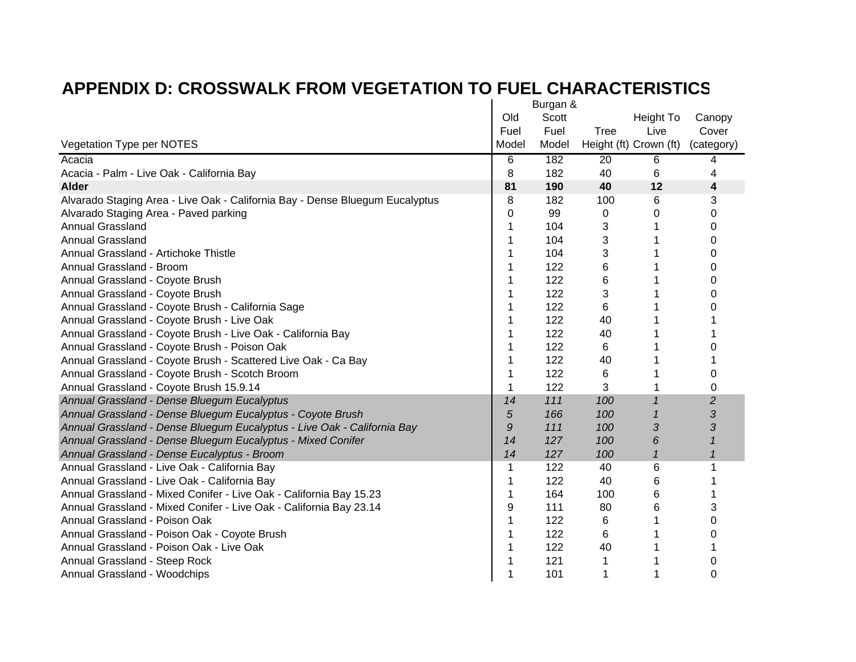|                                                                              | Burgan & |       |                        |              |                |
|------------------------------------------------------------------------------|----------|-------|------------------------|--------------|----------------|
|                                                                              | Old      | Scott |                        | Height To    | Canopy         |
|                                                                              | Fuel     | Fuel  | <b>Tree</b>            | Live         | Cover          |
| Vegetation Type per NOTES                                                    | Model    | Model | Height (ft) Crown (ft) |              | (category)     |
| Acacia                                                                       | 6        | 182   | $\overline{20}$        | 6            | 4              |
| Acacia - Palm - Live Oak - California Bay                                    | 8        | 182   | 40                     | 6            | 4              |
| <b>Alder</b>                                                                 | 81       | 190   | 40                     | 12           | 4              |
| Alvarado Staging Area - Live Oak - California Bay - Dense Bluegum Eucalyptus | 8        | 182   | 100                    | 6            | 3              |
| Alvarado Staging Area - Paved parking                                        | 0        | 99    | 0                      | 0            | 0              |
| <b>Annual Grassland</b>                                                      | 1        | 104   | 3                      |              | 0              |
| <b>Annual Grassland</b>                                                      | 1        | 104   | 3                      |              | 0              |
| Annual Grassland - Artichoke Thistle                                         | 1        | 104   | 3                      |              | 0              |
| Annual Grassland - Broom                                                     | 1        | 122   | 6                      |              | 0              |
| Annual Grassland - Coyote Brush                                              | 1        | 122   | 6                      |              | 0              |
| Annual Grassland - Coyote Brush                                              |          | 122   | 3                      |              | 0              |
| Annual Grassland - Coyote Brush - California Sage                            | 1        | 122   | 6                      |              | 0              |
| Annual Grassland - Coyote Brush - Live Oak                                   |          | 122   | 40                     |              |                |
| Annual Grassland - Coyote Brush - Live Oak - California Bay                  |          | 122   | 40                     |              |                |
| Annual Grassland - Coyote Brush - Poison Oak                                 | 1        | 122   | 6                      |              | 0              |
| Annual Grassland - Coyote Brush - Scattered Live Oak - Ca Bay                | 1        | 122   | 40                     |              |                |
| Annual Grassland - Coyote Brush - Scotch Broom                               | 1        | 122   | 6                      |              | 0              |
| Annual Grassland - Coyote Brush 15.9.14                                      | 1        | 122   | 3                      |              | 0              |
| Annual Grassland - Dense Bluegum Eucalyptus                                  | 14       | 111   | 100                    | 1            | $\overline{c}$ |
| Annual Grassland - Dense Bluegum Eucalyptus - Coyote Brush                   | 5        | 166   | 100                    | $\mathcal I$ | 3              |
| Annual Grassland - Dense Bluegum Eucalyptus - Live Oak - California Bay      | 9        | 111   | 100                    | 3            | 3              |
| Annual Grassland - Dense Bluegum Eucalyptus - Mixed Conifer                  | 14       | 127   | 100                    | 6            | $\mathcal I$   |
| Annual Grassland - Dense Eucalyptus - Broom                                  | 14       | 127   | 100                    | $\mathbf{1}$ | $\mathbf{1}$   |
| Annual Grassland - Live Oak - California Bay                                 | 1        | 122   | 40                     | 6            | 1              |
| Annual Grassland - Live Oak - California Bay                                 | 1        | 122   | 40                     | 6            |                |
| Annual Grassland - Mixed Conifer - Live Oak - California Bay 15.23           | 1        | 164   | 100                    | 6            |                |
| Annual Grassland - Mixed Conifer - Live Oak - California Bay 23.14           | 9        | 111   | 80                     | 6            | 3              |
| Annual Grassland - Poison Oak                                                | 1        | 122   | 6                      | 1            | 0              |
| Annual Grassland - Poison Oak - Coyote Brush                                 | 1        | 122   | 6                      |              | 0              |
| Annual Grassland - Poison Oak - Live Oak                                     | 1        | 122   | 40                     |              |                |
| Annual Grassland - Steep Rock                                                | 1        | 121   | 1                      |              | 0              |
| Annual Grassland - Woodchips                                                 | 1        | 101   | 1                      |              | 0              |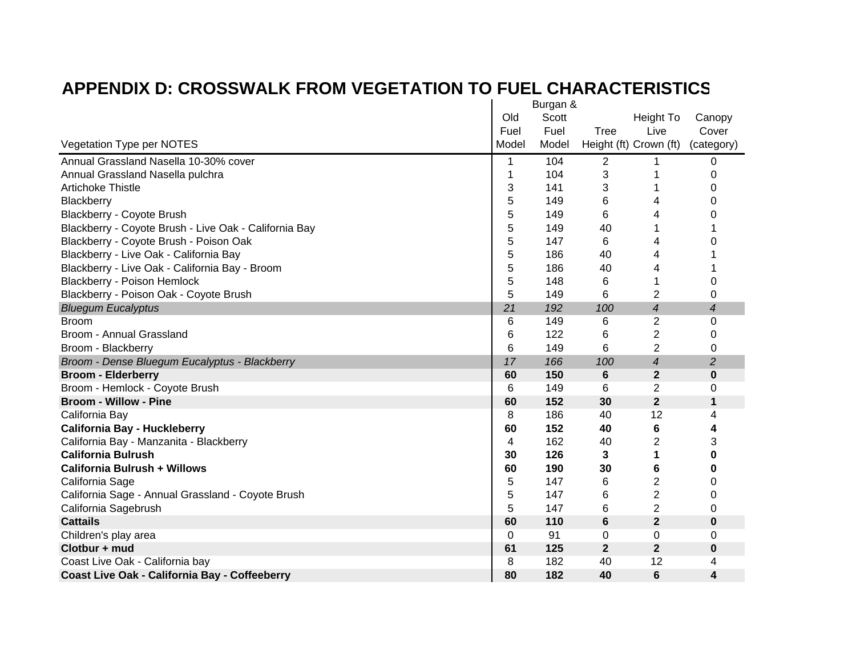|                                                       | Burgan & |       |              |                          |                |
|-------------------------------------------------------|----------|-------|--------------|--------------------------|----------------|
|                                                       | Old      | Scott |              | Height To                | Canopy         |
|                                                       | Fuel     | Fuel  | Tree         | Live                     | Cover          |
| Vegetation Type per NOTES                             | Model    | Model |              | Height (ft) Crown (ft)   | (category)     |
| Annual Grassland Nasella 10-30% cover                 | 1        | 104   | 2            |                          | 0              |
| Annual Grassland Nasella pulchra                      | 1        | 104   | 3            |                          | 0              |
| <b>Artichoke Thistle</b>                              | 3        | 141   | 3            |                          | 0              |
| Blackberry                                            | 5        | 149   | 6            | 4                        | 0              |
| Blackberry - Coyote Brush                             | 5        | 149   | 6            | 4                        | 0              |
| Blackberry - Coyote Brush - Live Oak - California Bay | 5        | 149   | 40           |                          |                |
| Blackberry - Coyote Brush - Poison Oak                | 5        | 147   | 6            | 4                        | 0              |
| Blackberry - Live Oak - California Bay                | 5        | 186   | 40           | 4                        |                |
| Blackberry - Live Oak - California Bay - Broom        | 5        | 186   | 40           | 4                        |                |
| <b>Blackberry - Poison Hemlock</b>                    | 5        | 148   | 6            | 1                        | 0              |
| Blackberry - Poison Oak - Coyote Brush                | 5        | 149   | 6            | $\overline{2}$           | 0              |
| <b>Bluegum Eucalyptus</b>                             | 21       | 192   | 100          | $\overline{\mathcal{A}}$ | 4              |
| <b>Broom</b>                                          | 6        | 149   | 6            | 2                        | 0              |
| Broom - Annual Grassland                              | 6        | 122   | 6            | $\overline{2}$           | 0              |
| Broom - Blackberry                                    | 6        | 149   | 6            | $\overline{2}$           | 0              |
| Broom - Dense Bluegum Eucalyptus - Blackberry         | 17       | 166   | 100          | $\overline{4}$           | $\overline{2}$ |
| <b>Broom - Elderberry</b>                             | 60       | 150   | 6            | $\mathbf{2}$             | $\bf{0}$       |
| Broom - Hemlock - Coyote Brush                        | 6        | 149   | 6            | $\overline{c}$           | 0              |
| <b>Broom - Willow - Pine</b>                          | 60       | 152   | 30           | $\overline{2}$           | $\mathbf{1}$   |
| California Bay                                        | 8        | 186   | 40           | 12                       | 4              |
| <b>California Bay - Huckleberry</b>                   | 60       | 152   | 40           | 6                        | 4              |
| California Bay - Manzanita - Blackberry               | 4        | 162   | 40           | 2                        | 3              |
| <b>California Bulrush</b>                             | 30       | 126   | 3            | 1                        | 0              |
| <b>California Bulrush + Willows</b>                   | 60       | 190   | 30           | 6                        | 0              |
| California Sage                                       | 5        | 147   | 6            | $\overline{2}$           | 0              |
| California Sage - Annual Grassland - Coyote Brush     | 5        | 147   | 6            | $\overline{2}$           | 0              |
| California Sagebrush                                  | 5        | 147   | 6            | 2                        | 0              |
| <b>Cattails</b>                                       | 60       | 110   | 6            | $\overline{2}$           | $\bf{0}$       |
| Children's play area                                  | 0        | 91    | 0            | $\mathbf 0$              | 0              |
| Clotbur + mud                                         | 61       | 125   | $\mathbf{2}$ | $\mathbf{2}$             | $\bf{0}$       |
| Coast Live Oak - California bay                       | 8        | 182   | 40           | 12                       | 4              |
| <b>Coast Live Oak - California Bay - Coffeeberry</b>  | 80       | 182   | 40           | $6\phantom{1}6$          | 4              |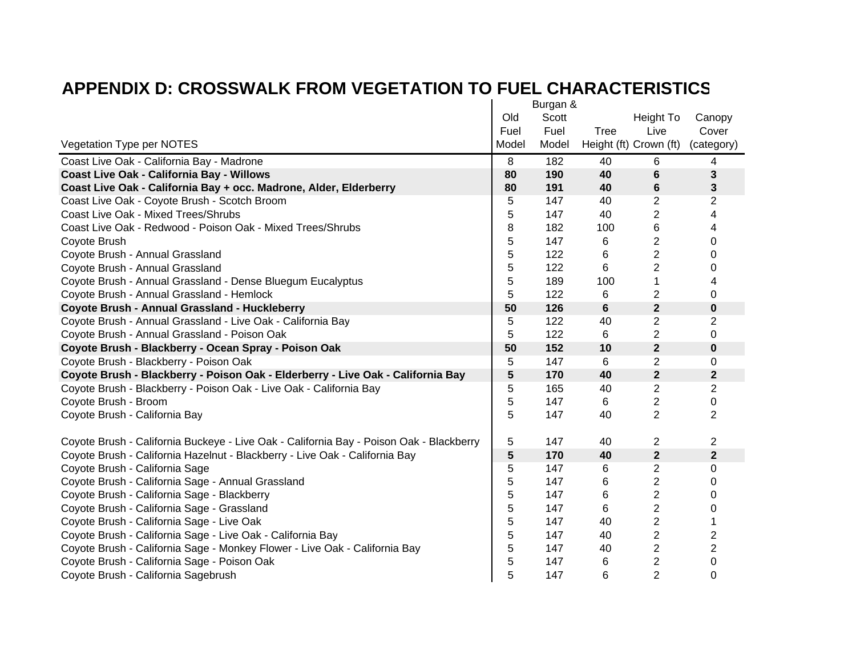|                                                                                         |       | Burgan & |                |                         |                |
|-----------------------------------------------------------------------------------------|-------|----------|----------------|-------------------------|----------------|
|                                                                                         | Old   | Scott    |                | Height To               | Canopy         |
|                                                                                         | Fuel  | Fuel     | <b>Tree</b>    | Live                    | Cover          |
| Vegetation Type per NOTES                                                               | Model | Model    |                | Height (ft) Crown (ft)  | (category)     |
| Coast Live Oak - California Bay - Madrone                                               | 8     | 182      | 40             | 6                       | 4              |
| <b>Coast Live Oak - California Bay - Willows</b>                                        | 80    | 190      | 40             | 6                       | 3              |
| Coast Live Oak - California Bay + occ. Madrone, Alder, Elderberry                       | 80    | 191      | 40             | 6                       | 3              |
| Coast Live Oak - Coyote Brush - Scotch Broom                                            | 5     | 147      | 40             | 2                       | 2              |
| <b>Coast Live Oak - Mixed Trees/Shrubs</b>                                              | 5     | 147      | 40             | 2                       | 4              |
| Coast Live Oak - Redwood - Poison Oak - Mixed Trees/Shrubs                              | 8     | 182      | 100            | 6                       | 4              |
| Coyote Brush                                                                            | 5     | 147      | 6              | 2                       | 0              |
| Coyote Brush - Annual Grassland                                                         | 5     | 122      | 6              | $\overline{2}$          | 0              |
| Coyote Brush - Annual Grassland                                                         | 5     | 122      | 6              | $\overline{2}$          | 0              |
| Coyote Brush - Annual Grassland - Dense Bluegum Eucalyptus                              | 5     | 189      | 100            | 1                       | 4              |
| Coyote Brush - Annual Grassland - Hemlock                                               | 5     | 122      | 6              | 2                       | 0              |
| Coyote Brush - Annual Grassland - Huckleberry                                           | 50    | 126      | $6\phantom{1}$ | $\overline{\mathbf{2}}$ | $\bf{0}$       |
| Coyote Brush - Annual Grassland - Live Oak - California Bay                             | 5     | 122      | 40             | 2                       | 2              |
| Coyote Brush - Annual Grassland - Poison Oak                                            | 5     | 122      | 6              | $\overline{2}$          | 0              |
| Coyote Brush - Blackberry - Ocean Spray - Poison Oak                                    | 50    | 152      | 10             | $\overline{2}$          | $\pmb{0}$      |
| Coyote Brush - Blackberry - Poison Oak                                                  | 5     | 147      | 6              | 2                       | 0              |
| Coyote Brush - Blackberry - Poison Oak - Elderberry - Live Oak - California Bay         | 5     | 170      | 40             | $\mathbf 2$             | $\mathbf{2}$   |
| Coyote Brush - Blackberry - Poison Oak - Live Oak - California Bay                      | 5     | 165      | 40             | 2                       | $\overline{2}$ |
| Coyote Brush - Broom                                                                    | 5     | 147      | 6              | $\overline{2}$          | 0              |
| Coyote Brush - California Bay                                                           | 5     | 147      | 40             | $\overline{2}$          | $\overline{2}$ |
| Coyote Brush - California Buckeye - Live Oak - California Bay - Poison Oak - Blackberry | 5     | 147      | 40             | 2                       | 2              |
| Coyote Brush - California Hazelnut - Blackberry - Live Oak - California Bay             | 5     | 170      | 40             | $\mathbf{2}$            | $\mathbf{2}$   |
| Coyote Brush - California Sage                                                          | 5     | 147      | 6              | 2                       | 0              |
| Coyote Brush - California Sage - Annual Grassland                                       | 5     | 147      | 6              | 2                       | 0              |
| Coyote Brush - California Sage - Blackberry                                             | 5     | 147      | 6              | 2                       | 0              |
| Coyote Brush - California Sage - Grassland                                              | 5     | 147      | 6              | 2                       | 0              |
| Coyote Brush - California Sage - Live Oak                                               | 5     | 147      | 40             | 2                       | 1              |
| Coyote Brush - California Sage - Live Oak - California Bay                              | 5     | 147      | 40             | 2                       | 2              |
| Coyote Brush - California Sage - Monkey Flower - Live Oak - California Bay              | 5     | 147      | 40             | 2                       | 2              |
| Coyote Brush - California Sage - Poison Oak                                             | 5     | 147      | 6              | 2                       | 0              |
| Coyote Brush - California Sagebrush                                                     | 5     | 147      | 6              | $\overline{2}$          | 0              |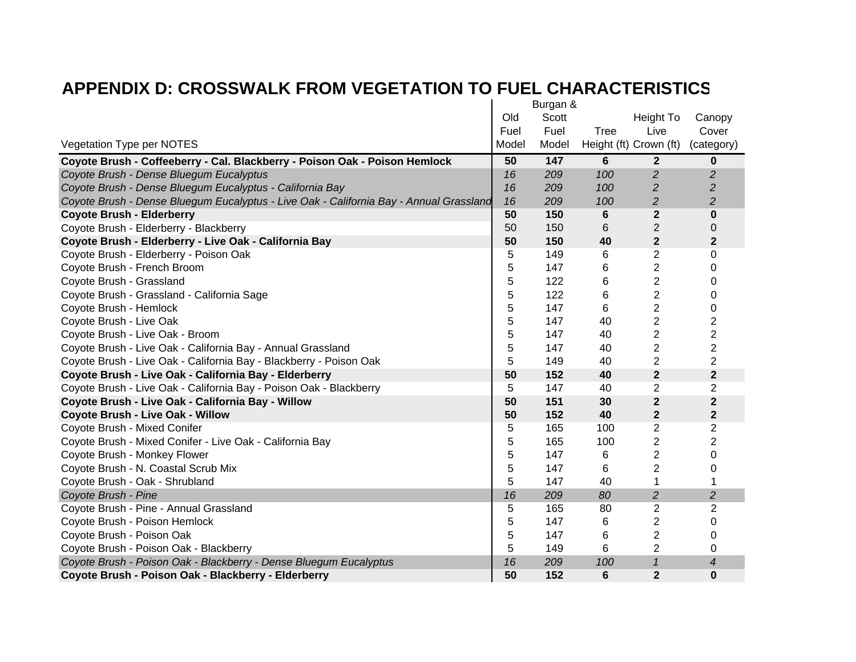|                                                                                        |       | Burgan & |      |                        |                |
|----------------------------------------------------------------------------------------|-------|----------|------|------------------------|----------------|
|                                                                                        | Old   | Scott    |      | Height To              | Canopy         |
|                                                                                        | Fuel  | Fuel     | Tree | Live                   | Cover          |
| Vegetation Type per NOTES                                                              | Model | Model    |      | Height (ft) Crown (ft) | (category)     |
| Coyote Brush - Coffeeberry - Cal. Blackberry - Poison Oak - Poison Hemlock             | 50    | 147      | 6    | $\mathbf{2}$           | 0              |
| Coyote Brush - Dense Bluegum Eucalyptus                                                | 16    | 209      | 100  | $\overline{c}$         | $\overline{2}$ |
| Coyote Brush - Dense Bluegum Eucalyptus - California Bay                               | 16    | 209      | 100  | $\overline{c}$         | $\overline{c}$ |
| Coyote Brush - Dense Bluegum Eucalyptus - Live Oak - California Bay - Annual Grassland | 16    | 209      | 100  | 2                      | 2              |
| <b>Coyote Brush - Elderberry</b>                                                       | 50    | 150      | 6    | $\mathbf 2$            | $\bf{0}$       |
| Coyote Brush - Elderberry - Blackberry                                                 | 50    | 150      | 6    | $\overline{c}$         | 0              |
| Coyote Brush - Elderberry - Live Oak - California Bay                                  | 50    | 150      | 40   | $\mathbf 2$            | $\mathbf 2$    |
| Coyote Brush - Elderberry - Poison Oak                                                 | 5     | 149      | 6    | 2                      | 0              |
| Coyote Brush - French Broom                                                            | 5     | 147      | 6    | 2                      | 0              |
| Coyote Brush - Grassland                                                               | 5     | 122      | 6    | 2                      | 0              |
| Coyote Brush - Grassland - California Sage                                             | 5     | 122      | 6    | $\overline{c}$         | 0              |
| Coyote Brush - Hemlock                                                                 | 5     | 147      | 6    | 2                      | 0              |
| Coyote Brush - Live Oak                                                                | 5     | 147      | 40   | $\overline{2}$         | 2              |
| Coyote Brush - Live Oak - Broom                                                        | 5     | 147      | 40   | 2                      | 2              |
| Coyote Brush - Live Oak - California Bay - Annual Grassland                            | 5     | 147      | 40   | 2                      | 2              |
| Coyote Brush - Live Oak - California Bay - Blackberry - Poison Oak                     | 5     | 149      | 40   | 2                      | $\overline{2}$ |
| Coyote Brush - Live Oak - California Bay - Elderberry                                  | 50    | 152      | 40   | $\mathbf{2}$           | $\mathbf{2}$   |
| Coyote Brush - Live Oak - California Bay - Poison Oak - Blackberry                     | 5     | 147      | 40   | $\overline{2}$         | $\overline{2}$ |
| Coyote Brush - Live Oak - California Bay - Willow                                      | 50    | 151      | 30   | $\mathbf 2$            | $\mathbf{2}$   |
| Coyote Brush - Live Oak - Willow                                                       | 50    | 152      | 40   | $\overline{2}$         | $\overline{2}$ |
| Coyote Brush - Mixed Conifer                                                           | 5     | 165      | 100  | 2                      | 2              |
| Coyote Brush - Mixed Conifer - Live Oak - California Bay                               | 5     | 165      | 100  | 2                      | 2              |
| Coyote Brush - Monkey Flower                                                           | 5     | 147      | 6    | $\overline{2}$         | 0              |
| Coyote Brush - N. Coastal Scrub Mix                                                    | 5     | 147      | 6    | 2                      | 0              |
| Coyote Brush - Oak - Shrubland                                                         | 5     | 147      | 40   | 1                      |                |
| Coyote Brush - Pine                                                                    | 16    | 209      | 80   | $\overline{2}$         | $\overline{2}$ |
| Coyote Brush - Pine - Annual Grassland                                                 | 5     | 165      | 80   | 2                      | 2              |
| Coyote Brush - Poison Hemlock                                                          | 5     | 147      | 6    | 2                      | 0              |
| Coyote Brush - Poison Oak                                                              | 5     | 147      | 6    | 2                      | 0              |
| Coyote Brush - Poison Oak - Blackberry                                                 | 5     | 149      | 6    | 2                      | 0              |
| Coyote Brush - Poison Oak - Blackberry - Dense Bluegum Eucalyptus                      | 16    | 209      | 100  | $\overline{1}$         | 4              |
| Coyote Brush - Poison Oak - Blackberry - Elderberry                                    | 50    | 152      | 6    | $\overline{2}$         | 0              |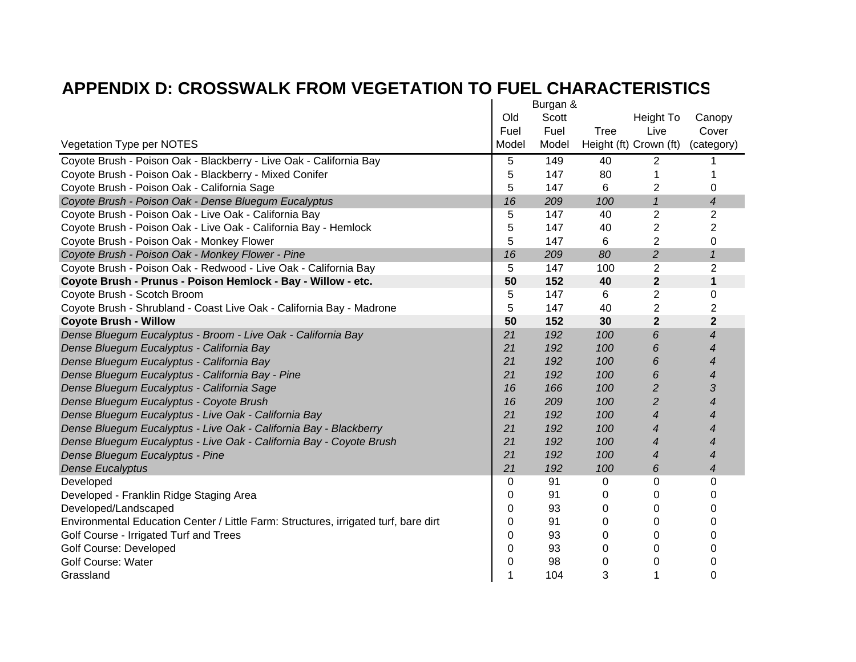|                                                                                     |          | Burgan & |             |                            |                            |
|-------------------------------------------------------------------------------------|----------|----------|-------------|----------------------------|----------------------------|
|                                                                                     | Old      | Scott    |             | Height To                  | Canopy                     |
|                                                                                     | Fuel     | Fuel     | <b>Tree</b> | Live                       | Cover                      |
| Vegetation Type per NOTES                                                           | Model    | Model    |             | Height (ft) Crown (ft)     | (category)                 |
| Coyote Brush - Poison Oak - Blackberry - Live Oak - California Bay                  | 5        | 149      | 40          | 2                          |                            |
| Coyote Brush - Poison Oak - Blackberry - Mixed Conifer                              | 5        | 147      | 80          | 1                          |                            |
| Coyote Brush - Poison Oak - California Sage                                         | 5        | 147      | 6           | 2                          | 0                          |
| Coyote Brush - Poison Oak - Dense Bluegum Eucalyptus                                | 16       | 209      | 100         | $\boldsymbol{\mathcal{I}}$ | 4                          |
| Coyote Brush - Poison Oak - Live Oak - California Bay                               | 5        | 147      | 40          | $\overline{2}$             | $\overline{2}$             |
| Coyote Brush - Poison Oak - Live Oak - California Bay - Hemlock                     | 5        | 147      | 40          | $\overline{2}$             | $\overline{2}$             |
| Coyote Brush - Poison Oak - Monkey Flower                                           | 5        | 147      | 6           | $\overline{2}$             | 0                          |
| Coyote Brush - Poison Oak - Monkey Flower - Pine                                    | 16       | 209      | 80          | $\overline{c}$             | $\boldsymbol{\mathcal{L}}$ |
| Coyote Brush - Poison Oak - Redwood - Live Oak - California Bay                     | 5        | 147      | 100         | $\overline{2}$             | $\overline{2}$             |
| Coyote Brush - Prunus - Poison Hemlock - Bay - Willow - etc.                        | 50       | 152      | 40          | $\mathbf{2}$               | $\mathbf{1}$               |
| Coyote Brush - Scotch Broom                                                         | 5        | 147      | 6           | $\overline{2}$             | 0                          |
| Coyote Brush - Shrubland - Coast Live Oak - California Bay - Madrone                | 5        | 147      | 40          | $\overline{2}$             | $\overline{2}$             |
| <b>Coyote Brush - Willow</b>                                                        | 50       | 152      | 30          | $\overline{2}$             | $\overline{2}$             |
| Dense Bluegum Eucalyptus - Broom - Live Oak - California Bay                        | 21       | 192      | 100         | 6                          | $\boldsymbol{4}$           |
| Dense Bluegum Eucalyptus - California Bay                                           | 21       | 192      | 100         | 6                          | 4                          |
| Dense Bluegum Eucalyptus - California Bay                                           | 21       | 192      | 100         | 6                          | 4                          |
| Dense Bluegum Eucalyptus - California Bay - Pine                                    | 21       | 192      | 100         | 6                          | 4                          |
| Dense Bluegum Eucalyptus - California Sage                                          | 16       | 166      | 100         | $\overline{c}$             | 3                          |
| Dense Bluegum Eucalyptus - Coyote Brush                                             | 16       | 209      | 100         | $\overline{c}$             | 4                          |
| Dense Bluegum Eucalyptus - Live Oak - California Bay                                | 21       | 192      | 100         | 4                          | 4                          |
| Dense Bluegum Eucalyptus - Live Oak - California Bay - Blackberry                   | 21       | 192      | 100         | 4                          | 4                          |
| Dense Bluegum Eucalyptus - Live Oak - California Bay - Coyote Brush                 | 21       | 192      | 100         | 4                          | 4                          |
| Dense Bluegum Eucalyptus - Pine                                                     | 21       | 192      | 100         | $\overline{4}$             | 4                          |
| <b>Dense Eucalyptus</b>                                                             | 21       | 192      | 100         | 6                          | $\boldsymbol{4}$           |
| Developed                                                                           | 0        | 91       | 0           | $\Omega$                   | $\Omega$                   |
| Developed - Franklin Ridge Staging Area                                             | 0        | 91       | 0           | 0                          | 0                          |
| Developed/Landscaped                                                                | $\Omega$ | 93       | 0           | 0                          | 0                          |
| Environmental Education Center / Little Farm: Structures, irrigated turf, bare dirt | 0        | 91       | 0           | 0                          | 0                          |
| Golf Course - Irrigated Turf and Trees                                              | 0        | 93       | 0           | 0                          | 0                          |
| <b>Golf Course: Developed</b>                                                       | 0        | 93       | 0           | 0                          | 0                          |
| <b>Golf Course: Water</b>                                                           | 0        | 98       | 0           | 0                          | 0                          |
| Grassland                                                                           |          | 104      | 3           |                            | 0                          |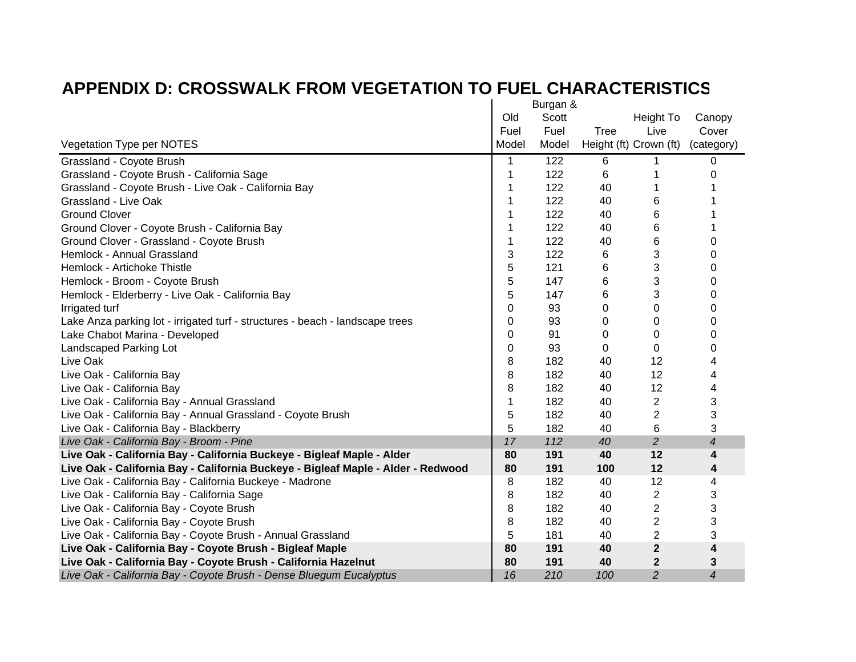|                                                                                  |          | Burgan & |             |                        |                          |
|----------------------------------------------------------------------------------|----------|----------|-------------|------------------------|--------------------------|
|                                                                                  | Old      | Scott    |             | Height To              | Canopy                   |
|                                                                                  | Fuel     | Fuel     | <b>Tree</b> | Live                   | Cover                    |
| Vegetation Type per NOTES                                                        | Model    | Model    |             | Height (ft) Crown (ft) | (category)               |
| Grassland - Coyote Brush                                                         | 1        | 122      | 6           |                        | 0                        |
| Grassland - Coyote Brush - California Sage                                       | 1        | 122      | 6           |                        | 0                        |
| Grassland - Coyote Brush - Live Oak - California Bay                             |          | 122      | 40          |                        |                          |
| Grassland - Live Oak                                                             | 1        | 122      | 40          | 6                      |                          |
| <b>Ground Clover</b>                                                             |          | 122      | 40          | 6                      |                          |
| Ground Clover - Coyote Brush - California Bay                                    |          | 122      | 40          | 6                      |                          |
| Ground Clover - Grassland - Coyote Brush                                         | 1        | 122      | 40          | 6                      | 0                        |
| Hemlock - Annual Grassland                                                       | 3        | 122      | 6           | 3                      | 0                        |
| Hemlock - Artichoke Thistle                                                      | 5        | 121      | 6           | 3                      | 0                        |
| Hemlock - Broom - Coyote Brush                                                   | 5        | 147      | 6           | 3                      | 0                        |
| Hemlock - Elderberry - Live Oak - California Bay                                 | 5        | 147      | 6           | 3                      | 0                        |
| Irrigated turf                                                                   | $\Omega$ | 93       | $\Omega$    | $\Omega$               | 0                        |
| Lake Anza parking lot - irrigated turf - structures - beach - landscape trees    | 0        | 93       | 0           | 0                      | 0                        |
| Lake Chabot Marina - Developed                                                   | 0        | 91       | 0           | 0                      | 0                        |
| Landscaped Parking Lot                                                           | 0        | 93       | 0           | $\Omega$               | 0                        |
| Live Oak                                                                         | 8        | 182      | 40          | 12                     | 4                        |
| Live Oak - California Bay                                                        | 8        | 182      | 40          | 12                     | 4                        |
| Live Oak - California Bay                                                        | 8        | 182      | 40          | 12                     | 4                        |
| Live Oak - California Bay - Annual Grassland                                     | 1        | 182      | 40          | $\overline{2}$         | 3                        |
| Live Oak - California Bay - Annual Grassland - Coyote Brush                      | 5        | 182      | 40          | $\overline{2}$         | 3                        |
| Live Oak - California Bay - Blackberry                                           | 5        | 182      | 40          | 6                      | 3                        |
| Live Oak - California Bay - Broom - Pine                                         | 17       | 112      | 40          | $\overline{a}$         | $\overline{\mathcal{A}}$ |
| Live Oak - California Bay - California Buckeye - Bigleaf Maple - Alder           | 80       | 191      | 40          | 12                     | $\overline{\mathbf{4}}$  |
| Live Oak - California Bay - California Buckeye - Bigleaf Maple - Alder - Redwood | 80       | 191      | 100         | 12                     | 4                        |
| Live Oak - California Bay - California Buckeye - Madrone                         | 8        | 182      | 40          | 12                     | 4                        |
| Live Oak - California Bay - California Sage                                      | 8        | 182      | 40          | 2                      | 3                        |
| Live Oak - California Bay - Coyote Brush                                         | 8        | 182      | 40          | $\overline{2}$         | 3                        |
| Live Oak - California Bay - Coyote Brush                                         | 8        | 182      | 40          | $\overline{2}$         | 3                        |
| Live Oak - California Bay - Coyote Brush - Annual Grassland                      | 5        | 181      | 40          | $\overline{2}$         | 3                        |
| Live Oak - California Bay - Coyote Brush - Bigleaf Maple                         | 80       | 191      | 40          | $\overline{2}$         | 4                        |
| Live Oak - California Bay - Coyote Brush - California Hazelnut                   | 80       | 191      | 40          | $\mathbf{2}$           | 3                        |
| Live Oak - California Bay - Coyote Brush - Dense Bluegum Eucalyptus              | 16       | 210      | 100         | $\overline{c}$         | 4                        |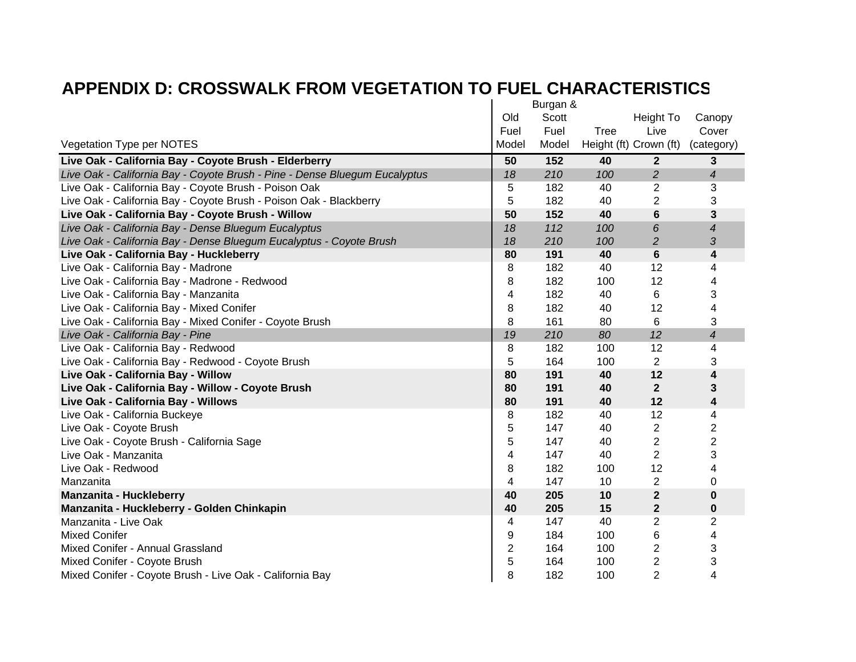|                                                                            |       | Burgan & |      |                         |                |
|----------------------------------------------------------------------------|-------|----------|------|-------------------------|----------------|
|                                                                            | Old   | Scott    |      | Height To               | Canopy         |
|                                                                            | Fuel  | Fuel     | Tree | Live                    | Cover          |
| Vegetation Type per NOTES                                                  | Model | Model    |      | Height (ft) Crown (ft)  | (category)     |
| Live Oak - California Bay - Coyote Brush - Elderberry                      | 50    | 152      | 40   | $\mathbf{2}$            | 3              |
| Live Oak - California Bay - Coyote Brush - Pine - Dense Bluegum Eucalyptus | 18    | 210      | 100  | $\overline{2}$          | 4              |
| Live Oak - California Bay - Coyote Brush - Poison Oak                      | 5     | 182      | 40   | 2                       | 3              |
| Live Oak - California Bay - Coyote Brush - Poison Oak - Blackberry         | 5     | 182      | 40   | 2                       | 3              |
| Live Oak - California Bay - Coyote Brush - Willow                          | 50    | 152      | 40   | 6                       | 3              |
| Live Oak - California Bay - Dense Bluegum Eucalyptus                       | 18    | 112      | 100  | 6                       | 4              |
| Live Oak - California Bay - Dense Bluegum Eucalyptus - Coyote Brush        | 18    | 210      | 100  | $\overline{c}$          | 3              |
| Live Oak - California Bay - Huckleberry                                    | 80    | 191      | 40   | 6                       | 4              |
| Live Oak - California Bay - Madrone                                        | 8     | 182      | 40   | 12                      | 4              |
| Live Oak - California Bay - Madrone - Redwood                              | 8     | 182      | 100  | 12                      | 4              |
| Live Oak - California Bay - Manzanita                                      | 4     | 182      | 40   | 6                       | 3              |
| Live Oak - California Bay - Mixed Conifer                                  | 8     | 182      | 40   | 12                      | 4              |
| Live Oak - California Bay - Mixed Conifer - Coyote Brush                   | 8     | 161      | 80   | 6                       | 3              |
| Live Oak - California Bay - Pine                                           | 19    | 210      | 80   | 12                      | 4              |
| Live Oak - California Bay - Redwood                                        | 8     | 182      | 100  | 12                      | 4              |
| Live Oak - California Bay - Redwood - Coyote Brush                         | 5     | 164      | 100  | $\overline{2}$          | 3              |
| Live Oak - California Bay - Willow                                         | 80    | 191      | 40   | 12                      | 4              |
| Live Oak - California Bay - Willow - Coyote Brush                          | 80    | 191      | 40   | $\mathbf{2}$            | 3              |
| Live Oak - California Bay - Willows                                        | 80    | 191      | 40   | 12                      | 4              |
| Live Oak - California Buckeye                                              | 8     | 182      | 40   | 12                      | 4              |
| Live Oak - Coyote Brush                                                    | 5     | 147      | 40   | $\overline{2}$          | $\overline{2}$ |
| Live Oak - Coyote Brush - California Sage                                  | 5     | 147      | 40   | $\overline{c}$          | $\overline{c}$ |
| Live Oak - Manzanita                                                       | 4     | 147      | 40   | $\overline{2}$          | 3              |
| Live Oak - Redwood                                                         | 8     | 182      | 100  | 12                      | 4              |
| Manzanita                                                                  | 4     | 147      | 10   | 2                       | 0              |
| <b>Manzanita - Huckleberry</b>                                             | 40    | 205      | 10   | $\mathbf 2$             | 0              |
| Manzanita - Huckleberry - Golden Chinkapin                                 | 40    | 205      | 15   | $\mathbf{2}$            | 0              |
| Manzanita - Live Oak                                                       | 4     | 147      | 40   | 2                       | $\overline{2}$ |
| <b>Mixed Conifer</b>                                                       | 9     | 184      | 100  | 6                       | 4              |
| Mixed Conifer - Annual Grassland                                           | 2     | 164      | 100  | 2                       | 3              |
| Mixed Conifer - Coyote Brush                                               | 5     | 164      | 100  | $\overline{\mathbf{c}}$ | 3              |
| Mixed Conifer - Coyote Brush - Live Oak - California Bay                   | 8     | 182      | 100  | $\overline{2}$          | 4              |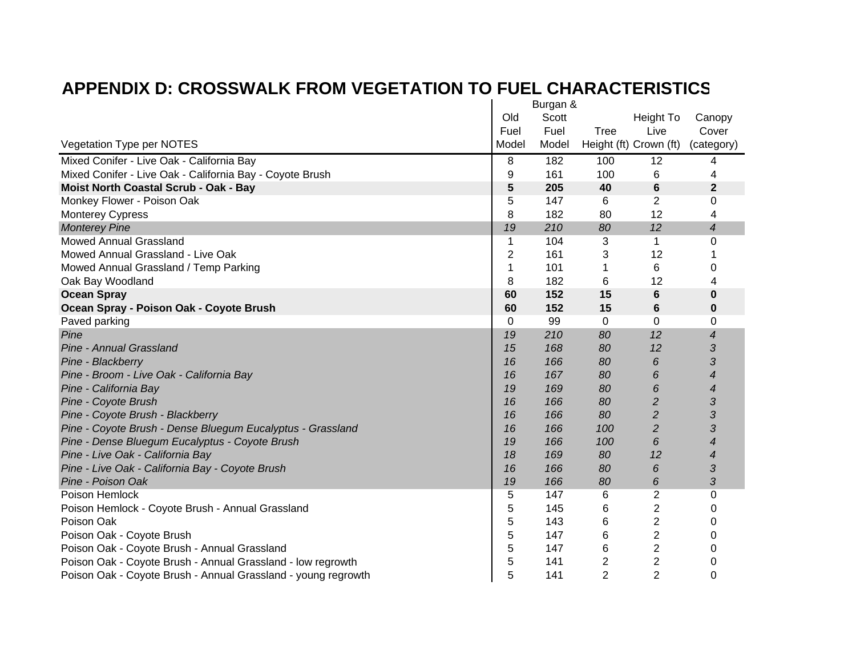|                                                               |                | Burgan & |                |                         |                          |  |
|---------------------------------------------------------------|----------------|----------|----------------|-------------------------|--------------------------|--|
|                                                               | Old            | Scott    |                | Height To               | Canopy                   |  |
|                                                               | Fuel           | Fuel     | Tree           | Live                    | Cover                    |  |
| Vegetation Type per NOTES                                     | Model          | Model    |                | Height (ft) Crown (ft)  | (category)               |  |
| Mixed Conifer - Live Oak - California Bay                     | 8              | 182      | 100            | 12                      | 4                        |  |
| Mixed Conifer - Live Oak - California Bay - Coyote Brush      | 9              | 161      | 100            | 6                       | 4                        |  |
| Moist North Coastal Scrub - Oak - Bay                         | 5              | 205      | 40             | $6\phantom{1}6$         | $\mathbf{2}$             |  |
| Monkey Flower - Poison Oak                                    | 5              | 147      | 6              | 2                       | 0                        |  |
| <b>Monterey Cypress</b>                                       | 8              | 182      | 80             | 12                      | 4                        |  |
| <b>Monterey Pine</b>                                          | 19             | 210      | 80             | 12                      | $\overline{\mathcal{A}}$ |  |
| <b>Mowed Annual Grassland</b>                                 | 1              | 104      | 3              | 1                       | 0                        |  |
| Mowed Annual Grassland - Live Oak                             | $\overline{2}$ | 161      | 3              | 12                      |                          |  |
| Mowed Annual Grassland / Temp Parking                         | 1              | 101      | 1              | 6                       | 0                        |  |
| Oak Bay Woodland                                              | 8              | 182      | 6              | 12                      | 4                        |  |
| <b>Ocean Spray</b>                                            | 60             | 152      | 15             | 6                       | $\bf{0}$                 |  |
| Ocean Spray - Poison Oak - Coyote Brush                       | 60             | 152      | 15             | 6                       | 0                        |  |
| Paved parking                                                 | 0              | 99       | 0              | $\Omega$                | $\Omega$                 |  |
| Pine                                                          | 19             | 210      | 80             | 12                      | $\overline{4}$           |  |
| Pine - Annual Grassland                                       | 15             | 168      | 80             | 12                      | 3                        |  |
| Pine - Blackberry                                             | 16             | 166      | 80             | 6                       | 3                        |  |
| Pine - Broom - Live Oak - California Bay                      | 16             | 167      | 80             | 6                       | 4                        |  |
| Pine - California Bay                                         | 19             | 169      | 80             | 6                       | 4                        |  |
| Pine - Coyote Brush                                           | 16             | 166      | 80             | $\overline{c}$          | 3                        |  |
| Pine - Coyote Brush - Blackberry                              | 16             | 166      | 80             | $\overline{c}$          | 3                        |  |
| Pine - Coyote Brush - Dense Bluegum Eucalyptus - Grassland    | 16             | 166      | 100            | $\overline{c}$          | 3                        |  |
| Pine - Dense Bluegum Eucalyptus - Coyote Brush                | 19             | 166      | 100            | 6                       | 4                        |  |
| Pine - Live Oak - California Bay                              | 18             | 169      | 80             | 12                      | 4                        |  |
| Pine - Live Oak - California Bay - Coyote Brush               | 16             | 166      | 80             | 6                       | 3                        |  |
| Pine - Poison Oak                                             | 19             | 166      | 80             | 6                       | 3                        |  |
| Poison Hemlock                                                | 5              | 147      | 6              | 2                       | 0                        |  |
| Poison Hemlock - Coyote Brush - Annual Grassland              | 5              | 145      | 6              | 2                       | 0                        |  |
| Poison Oak                                                    | 5              | 143      | 6              | 2                       | 0                        |  |
| Poison Oak - Coyote Brush                                     | 5              | 147      | 6              | 2                       | 0                        |  |
| Poison Oak - Coyote Brush - Annual Grassland                  | 5              | 147      | 6              | $\overline{c}$          | 0                        |  |
| Poison Oak - Coyote Brush - Annual Grassland - low regrowth   | 5              | 141      | 2              | $\overline{\mathbf{c}}$ | 0                        |  |
| Poison Oak - Coyote Brush - Annual Grassland - young regrowth | 5              | 141      | $\overline{2}$ | $\overline{2}$          | 0                        |  |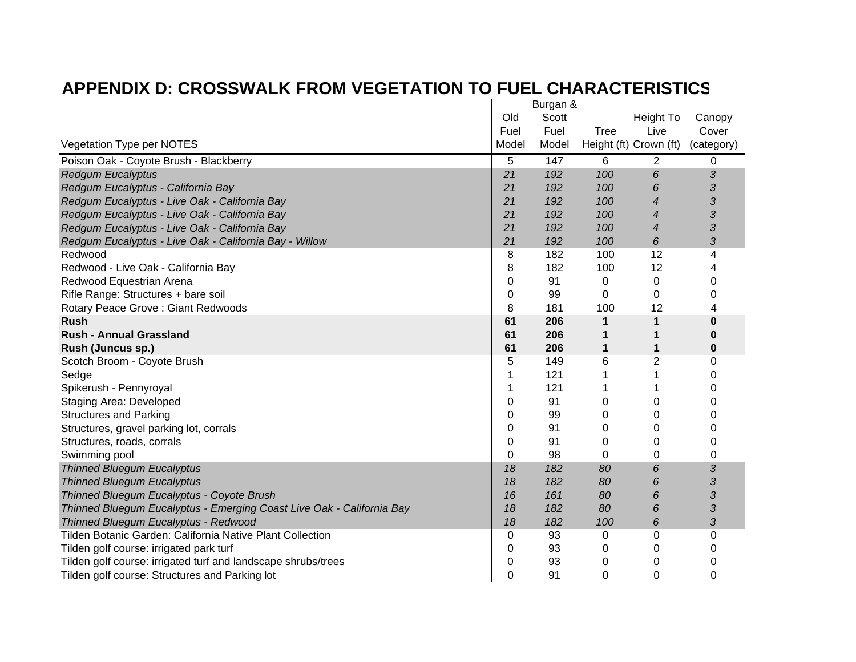|                                                                       |       | Burgan & |      |                        |            |
|-----------------------------------------------------------------------|-------|----------|------|------------------------|------------|
|                                                                       | Old   | Scott    |      | Height To              | Canopy     |
|                                                                       | Fuel  | Fuel     | Tree | Live                   | Cover      |
| Vegetation Type per NOTES                                             | Model | Model    |      | Height (ft) Crown (ft) | (category) |
| Poison Oak - Coyote Brush - Blackberry                                | 5     | 147      | 6    | 2                      | 0          |
| <b>Redgum Eucalyptus</b>                                              | 21    | 192      | 100  | 6                      | 3          |
| Redgum Eucalyptus - California Bay                                    | 21    | 192      | 100  | 6                      | 3          |
| Redgum Eucalyptus - Live Oak - California Bay                         | 21    | 192      | 100  | 4                      | 3          |
| Redgum Eucalyptus - Live Oak - California Bay                         | 21    | 192      | 100  | $\overline{4}$         | 3          |
| Redgum Eucalyptus - Live Oak - California Bay                         | 21    | 192      | 100  | 4                      | 3          |
| Redgum Eucalyptus - Live Oak - California Bay - Willow                | 21    | 192      | 100  | 6                      | 3          |
| Redwood                                                               | 8     | 182      | 100  | 12                     | 4          |
| Redwood - Live Oak - California Bay                                   | 8     | 182      | 100  | 12                     | 4          |
| Redwood Equestrian Arena                                              | 0     | 91       | 0    | 0                      | 0          |
| Rifle Range: Structures + bare soil                                   | 0     | 99       | 0    | 0                      | 0          |
| Rotary Peace Grove: Giant Redwoods                                    | 8     | 181      | 100  | 12                     | 4          |
| <b>Rush</b>                                                           | 61    | 206      | 1    | 1                      | 0          |
| <b>Rush - Annual Grassland</b>                                        | 61    | 206      | 1    | 1                      | 0          |
| Rush (Juncus sp.)                                                     | 61    | 206      | 1    | 1                      | 0          |
| Scotch Broom - Coyote Brush                                           | 5     | 149      | 6    | 2                      | 0          |
| Sedge                                                                 | 1     | 121      |      |                        | 0          |
| Spikerush - Pennyroyal                                                |       | 121      |      |                        | 0          |
| <b>Staging Area: Developed</b>                                        | 0     | 91       | 0    | 0                      | 0          |
| <b>Structures and Parking</b>                                         | 0     | 99       | 0    | 0                      | 0          |
| Structures, gravel parking lot, corrals                               | 0     | 91       | 0    | 0                      | 0          |
| Structures, roads, corrals                                            | 0     | 91       | 0    | 0                      | 0          |
| Swimming pool                                                         | 0     | 98       | 0    | 0                      | 0          |
| <b>Thinned Bluegum Eucalyptus</b>                                     | 18    | 182      | 80   | 6                      | 3          |
| <b>Thinned Bluegum Eucalyptus</b>                                     | 18    | 182      | 80   | 6                      | 3          |
| Thinned Bluegum Eucalyptus - Coyote Brush                             | 16    | 161      | 80   | 6                      | 3          |
| Thinned Bluegum Eucalyptus - Emerging Coast Live Oak - California Bay | 18    | 182      | 80   | 6                      | 3          |
| Thinned Bluegum Eucalyptus - Redwood                                  | 18    | 182      | 100  | 6                      | 3          |
| Tilden Botanic Garden: California Native Plant Collection             | 0     | 93       | 0    | 0                      | 0          |
| Tilden golf course: irrigated park turf                               | 0     | 93       | 0    | 0                      | 0          |
| Tilden golf course: irrigated turf and landscape shrubs/trees         | 0     | 93       | 0    | 0                      | 0          |
| Tilden golf course: Structures and Parking lot                        | 0     | 91       | 0    | 0                      | 0          |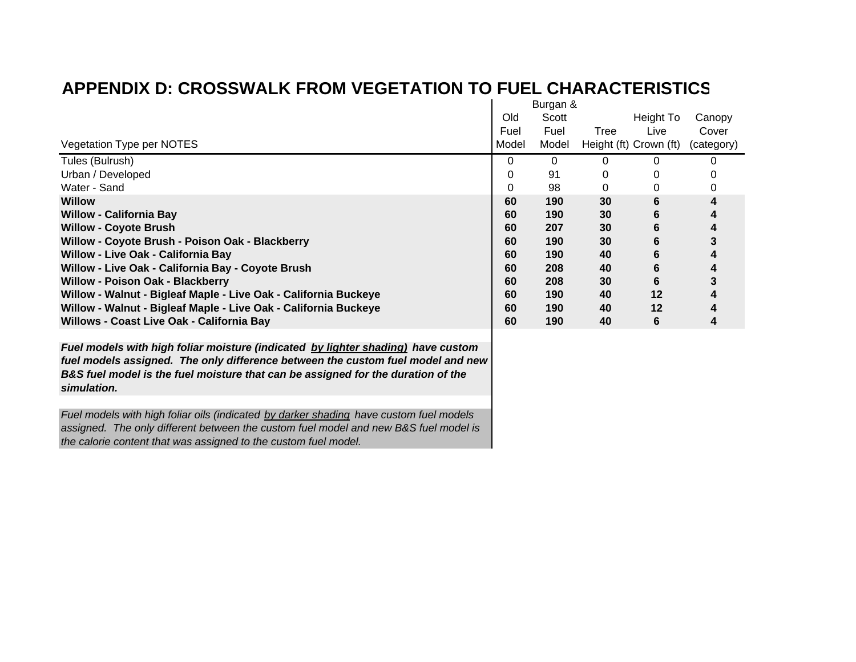|                                                                 |       | Burgan & |      |                        |            |  |  |
|-----------------------------------------------------------------|-------|----------|------|------------------------|------------|--|--|
|                                                                 | Old   | Scott    |      | Height To              | Canopy     |  |  |
|                                                                 | Fuel  | Fuel     | Tree | Live                   | Cover      |  |  |
| Vegetation Type per NOTES                                       | Model | Model    |      | Height (ft) Crown (ft) | (category) |  |  |
| Tules (Bulrush)                                                 | 0     | 0        |      |                        |            |  |  |
| Urban / Developed                                               | 0     | 91       |      |                        |            |  |  |
| Water - Sand                                                    | 0     | 98       |      |                        | 0          |  |  |
| <b>Willow</b>                                                   | 60    | 190      | 30   | 6                      |            |  |  |
| <b>Willow - California Bay</b>                                  | 60    | 190      | 30   | 6                      |            |  |  |
| <b>Willow - Coyote Brush</b>                                    | 60    | 207      | 30   | 6                      |            |  |  |
| Willow - Coyote Brush - Poison Oak - Blackberry                 | 60    | 190      | 30   | 6                      |            |  |  |
| Willow - Live Oak - California Bay                              | 60    | 190      | 40   | 6                      |            |  |  |
| Willow - Live Oak - California Bay - Coyote Brush               | 60    | 208      | 40   | 6                      |            |  |  |
| <b>Willow - Poison Oak - Blackberry</b>                         | 60    | 208      | 30   | 6                      |            |  |  |
| Willow - Walnut - Bigleaf Maple - Live Oak - California Buckeye | 60    | 190      | 40   | $12 \ \mathsf{d}$      |            |  |  |
| Willow - Walnut - Bigleaf Maple - Live Oak - California Buckeye | 60    | 190      | 40   | 12                     |            |  |  |
| Willows - Coast Live Oak - California Bay                       | 60    | 190      | 40   | 6                      |            |  |  |

*Fuel models with high foliar moisture (indicated by lighter shading) have custom fuel models assigned. The only difference between the custom fuel model and new B&S fuel model is the fuel moisture that can be assigned for the duration of the simulation.* 

*Fuel models with high foliar oils (indicated by darker shading have custom fuel models assigned. The only different between the custom fuel model and new B&S fuel model is the calorie content that was assigned to the custom fuel model.*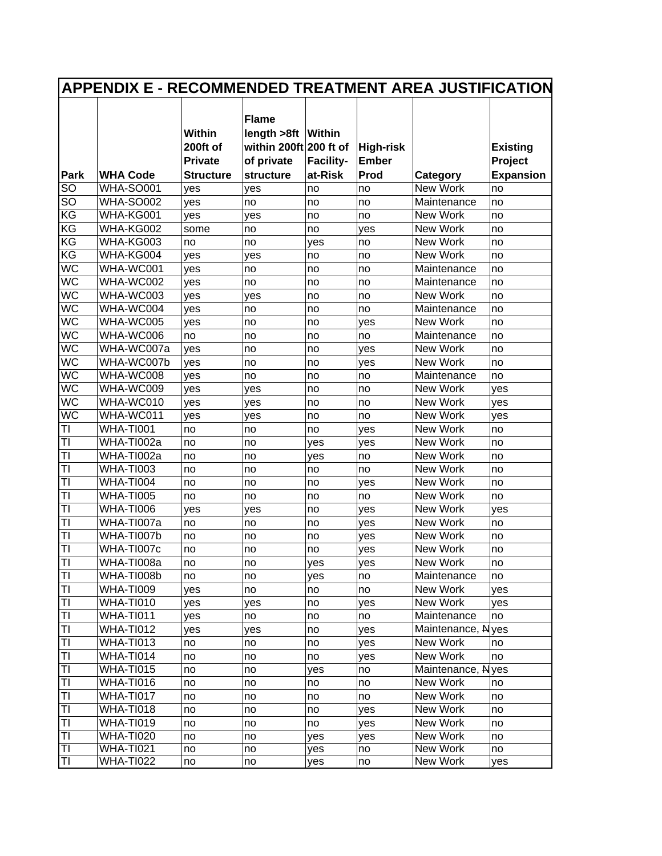| <b>Flame</b><br>length >8ft<br>Within<br><b>Within</b><br>200ft of<br>within 200ft 200 ft of<br><b>High-risk</b><br><b>Existing</b><br><b>Private</b><br>of private<br><b>Facility-</b><br><b>Ember</b><br>Project<br>Park<br><b>WHA Code</b><br>at-Risk<br>Prod<br><b>Expansion</b><br>Category<br><b>Structure</b><br>structure<br>SO<br><b>WHA-SO001</b><br>New Work<br>yes<br>yes<br>no<br>no<br>no<br>SO<br><b>WHA-SO002</b><br>Maintenance<br>no<br>yes<br>no<br>no<br>no<br>KG<br>WHA-KG001<br>New Work<br>yes<br>yes<br>no<br>no<br>no<br>KG<br>New Work<br>WHA-KG002<br>some<br>no<br>yes<br>no<br>no<br>KG<br>WHA-KG003<br>New Work<br>no<br>no<br>yes<br>no<br>no<br>KG<br>New Work<br>WHA-KG004<br>yes<br>yes<br>no<br>no<br>no<br>$W\overline{C}$<br>WHA-WC001<br>Maintenance<br>yes<br>no<br>no<br>no<br>no<br>WC<br>WHA-WC002<br>Maintenance<br>yes<br>no<br>no<br>no<br>no<br><b>WC</b><br>WHA-WC003<br>New Work<br>yes<br>yes<br>no<br>no<br>no<br><b>WC</b><br>WHA-WC004<br>Maintenance<br>yes<br>no<br>no<br>no<br>no<br><b>WC</b><br>New Work<br>WHA-WC005<br>yes<br>no<br>yes<br>no<br>no<br><b>WC</b><br>WHA-WC006<br>no<br>Maintenance<br>no<br>no<br>no<br>no<br>$W\overline{C}$<br>WHA-WC007a<br>New Work<br>yes<br>no<br>no<br>yes<br>no<br>$\overline{\text{WC}}$<br>WHA-WC007b<br>New Work<br>yes<br>no<br>yes<br>no<br>no<br><b>WC</b><br>WHA-WC008<br>Maintenance<br>yes<br>no<br>no<br>no<br>no<br>WC<br>WHA-WC009<br>New Work<br>yes<br>yes<br>no<br>no<br>yes<br>WC<br>New Work<br>WHA-WC010<br>yes<br>yes<br>no<br>no<br>yes<br><b>WC</b><br>New Work<br>WHA-WC011<br>yes<br>yes<br>no<br>no<br>yes<br><b>WHA-TI001</b><br>New Work<br>TI<br>no<br>no<br>no<br>yes<br>no<br>New Work<br>TI<br>WHA-TI002a<br>no<br>no<br>yes<br>yes<br>no<br>TI<br>New Work<br>WHA-TI002a<br>no<br>no<br>yes<br>no<br>no<br>TI<br><b>WHA-TI003</b><br>New Work<br>no<br>no<br>no<br>no<br>no<br>TI<br><b>WHA-TI004</b><br>New Work<br>no<br>no<br>no<br>yes<br>no<br>TI<br><b>WHA-TI005</b><br>New Work<br>no<br>no<br>no<br>no<br>no<br>TI<br><b>WHA-TI006</b><br>New Work<br>no<br>yes<br>yes<br>yes<br>yes<br>TI<br>WHA-TI007a<br>New Work<br>no<br>no<br>no<br>yes<br>no<br>TI<br>WHA-TI007b<br>New Work<br>no<br>no<br>no<br>no<br>yes<br>TI<br>WHA-TI007c<br>New Work<br>no<br>no<br>no<br>yes<br>no<br>TI<br>WHA-TI008a<br>no<br>New Work<br>no<br>yes<br>yes<br>no<br>TI<br>WHA-TI008b<br>Maintenance<br>no<br>no<br>yes<br>no<br>no<br>TI<br><b>WHA-TI009</b><br>New Work<br>no<br>yes<br>no<br>no<br>yes<br>TI<br><b>WHA-TI010</b><br>New Work<br>yes<br>yes<br>no<br>yes<br>yes<br>ΤI<br><b>WHA-TI011</b><br>Maintenance<br>yes<br>no<br>no<br>no<br>no<br><b>WHA-TI012</b><br>Maintenance, N<br>TI<br>lyes<br>yes<br>yes<br>no<br>yes<br>ΤI<br><b>WHA-TI013</b><br>New Work<br>no<br>no<br>no<br>yes<br>no<br>New Work<br>TI<br>WHA-TI014<br>no<br>no<br>no<br>yes<br>no<br>Maintenance, N<br>TI<br>WHA-TI015<br>no<br>no<br>yes<br>no<br>yes<br>TI<br>WHA-TI016<br>New Work<br>no<br>no<br>no<br>no<br>no<br>ΤI<br>WHA-TI017<br>New Work<br>no<br>no<br>no<br>no<br>no<br>TI<br><b>WHA-TI018</b><br>New Work<br>no<br>no<br>no<br>yes<br>no<br>ΤI<br><b>WHA-TI019</b><br>New Work<br>no<br>no<br>no<br>yes<br>no<br>New Work<br>TI<br>WHA-TI020<br>no<br>no<br>yes<br>yes<br>no<br>New Work<br>TI<br><b>WHA-TI021</b><br>no<br>no<br>no<br>yes<br>no<br>TI<br><b>WHA-TI022</b><br>New Work<br>no<br>no | <b>APPENDIX E - RECOMMENDED TREATMENT AREA JUSTIFICATION</b> |  |  |  |     |    |  |     |  |  |  |
|--------------------------------------------------------------------------------------------------------------------------------------------------------------------------------------------------------------------------------------------------------------------------------------------------------------------------------------------------------------------------------------------------------------------------------------------------------------------------------------------------------------------------------------------------------------------------------------------------------------------------------------------------------------------------------------------------------------------------------------------------------------------------------------------------------------------------------------------------------------------------------------------------------------------------------------------------------------------------------------------------------------------------------------------------------------------------------------------------------------------------------------------------------------------------------------------------------------------------------------------------------------------------------------------------------------------------------------------------------------------------------------------------------------------------------------------------------------------------------------------------------------------------------------------------------------------------------------------------------------------------------------------------------------------------------------------------------------------------------------------------------------------------------------------------------------------------------------------------------------------------------------------------------------------------------------------------------------------------------------------------------------------------------------------------------------------------------------------------------------------------------------------------------------------------------------------------------------------------------------------------------------------------------------------------------------------------------------------------------------------------------------------------------------------------------------------------------------------------------------------------------------------------------------------------------------------------------------------------------------------------------------------------------------------------------------------------------------------------------------------------------------------------------------------------------------------------------------------------------------------------------------------------------------------------------------------------------------------------------------------------------------------------------------------------------------------------------------------------------------------------------------------------------------------------------------------------------------------------------------------------------------------------------------------------------------------------------------------------------------------------------------------------------------------------------------|--------------------------------------------------------------|--|--|--|-----|----|--|-----|--|--|--|
|                                                                                                                                                                                                                                                                                                                                                                                                                                                                                                                                                                                                                                                                                                                                                                                                                                                                                                                                                                                                                                                                                                                                                                                                                                                                                                                                                                                                                                                                                                                                                                                                                                                                                                                                                                                                                                                                                                                                                                                                                                                                                                                                                                                                                                                                                                                                                                                                                                                                                                                                                                                                                                                                                                                                                                                                                                                                                                                                                                                                                                                                                                                                                                                                                                                                                                                                                                                                                                      |                                                              |  |  |  |     |    |  |     |  |  |  |
|                                                                                                                                                                                                                                                                                                                                                                                                                                                                                                                                                                                                                                                                                                                                                                                                                                                                                                                                                                                                                                                                                                                                                                                                                                                                                                                                                                                                                                                                                                                                                                                                                                                                                                                                                                                                                                                                                                                                                                                                                                                                                                                                                                                                                                                                                                                                                                                                                                                                                                                                                                                                                                                                                                                                                                                                                                                                                                                                                                                                                                                                                                                                                                                                                                                                                                                                                                                                                                      |                                                              |  |  |  |     |    |  |     |  |  |  |
|                                                                                                                                                                                                                                                                                                                                                                                                                                                                                                                                                                                                                                                                                                                                                                                                                                                                                                                                                                                                                                                                                                                                                                                                                                                                                                                                                                                                                                                                                                                                                                                                                                                                                                                                                                                                                                                                                                                                                                                                                                                                                                                                                                                                                                                                                                                                                                                                                                                                                                                                                                                                                                                                                                                                                                                                                                                                                                                                                                                                                                                                                                                                                                                                                                                                                                                                                                                                                                      |                                                              |  |  |  |     |    |  |     |  |  |  |
|                                                                                                                                                                                                                                                                                                                                                                                                                                                                                                                                                                                                                                                                                                                                                                                                                                                                                                                                                                                                                                                                                                                                                                                                                                                                                                                                                                                                                                                                                                                                                                                                                                                                                                                                                                                                                                                                                                                                                                                                                                                                                                                                                                                                                                                                                                                                                                                                                                                                                                                                                                                                                                                                                                                                                                                                                                                                                                                                                                                                                                                                                                                                                                                                                                                                                                                                                                                                                                      |                                                              |  |  |  |     |    |  |     |  |  |  |
|                                                                                                                                                                                                                                                                                                                                                                                                                                                                                                                                                                                                                                                                                                                                                                                                                                                                                                                                                                                                                                                                                                                                                                                                                                                                                                                                                                                                                                                                                                                                                                                                                                                                                                                                                                                                                                                                                                                                                                                                                                                                                                                                                                                                                                                                                                                                                                                                                                                                                                                                                                                                                                                                                                                                                                                                                                                                                                                                                                                                                                                                                                                                                                                                                                                                                                                                                                                                                                      |                                                              |  |  |  |     |    |  |     |  |  |  |
|                                                                                                                                                                                                                                                                                                                                                                                                                                                                                                                                                                                                                                                                                                                                                                                                                                                                                                                                                                                                                                                                                                                                                                                                                                                                                                                                                                                                                                                                                                                                                                                                                                                                                                                                                                                                                                                                                                                                                                                                                                                                                                                                                                                                                                                                                                                                                                                                                                                                                                                                                                                                                                                                                                                                                                                                                                                                                                                                                                                                                                                                                                                                                                                                                                                                                                                                                                                                                                      |                                                              |  |  |  |     |    |  |     |  |  |  |
|                                                                                                                                                                                                                                                                                                                                                                                                                                                                                                                                                                                                                                                                                                                                                                                                                                                                                                                                                                                                                                                                                                                                                                                                                                                                                                                                                                                                                                                                                                                                                                                                                                                                                                                                                                                                                                                                                                                                                                                                                                                                                                                                                                                                                                                                                                                                                                                                                                                                                                                                                                                                                                                                                                                                                                                                                                                                                                                                                                                                                                                                                                                                                                                                                                                                                                                                                                                                                                      |                                                              |  |  |  |     |    |  |     |  |  |  |
|                                                                                                                                                                                                                                                                                                                                                                                                                                                                                                                                                                                                                                                                                                                                                                                                                                                                                                                                                                                                                                                                                                                                                                                                                                                                                                                                                                                                                                                                                                                                                                                                                                                                                                                                                                                                                                                                                                                                                                                                                                                                                                                                                                                                                                                                                                                                                                                                                                                                                                                                                                                                                                                                                                                                                                                                                                                                                                                                                                                                                                                                                                                                                                                                                                                                                                                                                                                                                                      |                                                              |  |  |  |     |    |  |     |  |  |  |
|                                                                                                                                                                                                                                                                                                                                                                                                                                                                                                                                                                                                                                                                                                                                                                                                                                                                                                                                                                                                                                                                                                                                                                                                                                                                                                                                                                                                                                                                                                                                                                                                                                                                                                                                                                                                                                                                                                                                                                                                                                                                                                                                                                                                                                                                                                                                                                                                                                                                                                                                                                                                                                                                                                                                                                                                                                                                                                                                                                                                                                                                                                                                                                                                                                                                                                                                                                                                                                      |                                                              |  |  |  |     |    |  |     |  |  |  |
|                                                                                                                                                                                                                                                                                                                                                                                                                                                                                                                                                                                                                                                                                                                                                                                                                                                                                                                                                                                                                                                                                                                                                                                                                                                                                                                                                                                                                                                                                                                                                                                                                                                                                                                                                                                                                                                                                                                                                                                                                                                                                                                                                                                                                                                                                                                                                                                                                                                                                                                                                                                                                                                                                                                                                                                                                                                                                                                                                                                                                                                                                                                                                                                                                                                                                                                                                                                                                                      |                                                              |  |  |  |     |    |  |     |  |  |  |
|                                                                                                                                                                                                                                                                                                                                                                                                                                                                                                                                                                                                                                                                                                                                                                                                                                                                                                                                                                                                                                                                                                                                                                                                                                                                                                                                                                                                                                                                                                                                                                                                                                                                                                                                                                                                                                                                                                                                                                                                                                                                                                                                                                                                                                                                                                                                                                                                                                                                                                                                                                                                                                                                                                                                                                                                                                                                                                                                                                                                                                                                                                                                                                                                                                                                                                                                                                                                                                      |                                                              |  |  |  |     |    |  |     |  |  |  |
|                                                                                                                                                                                                                                                                                                                                                                                                                                                                                                                                                                                                                                                                                                                                                                                                                                                                                                                                                                                                                                                                                                                                                                                                                                                                                                                                                                                                                                                                                                                                                                                                                                                                                                                                                                                                                                                                                                                                                                                                                                                                                                                                                                                                                                                                                                                                                                                                                                                                                                                                                                                                                                                                                                                                                                                                                                                                                                                                                                                                                                                                                                                                                                                                                                                                                                                                                                                                                                      |                                                              |  |  |  |     |    |  |     |  |  |  |
|                                                                                                                                                                                                                                                                                                                                                                                                                                                                                                                                                                                                                                                                                                                                                                                                                                                                                                                                                                                                                                                                                                                                                                                                                                                                                                                                                                                                                                                                                                                                                                                                                                                                                                                                                                                                                                                                                                                                                                                                                                                                                                                                                                                                                                                                                                                                                                                                                                                                                                                                                                                                                                                                                                                                                                                                                                                                                                                                                                                                                                                                                                                                                                                                                                                                                                                                                                                                                                      |                                                              |  |  |  |     |    |  |     |  |  |  |
|                                                                                                                                                                                                                                                                                                                                                                                                                                                                                                                                                                                                                                                                                                                                                                                                                                                                                                                                                                                                                                                                                                                                                                                                                                                                                                                                                                                                                                                                                                                                                                                                                                                                                                                                                                                                                                                                                                                                                                                                                                                                                                                                                                                                                                                                                                                                                                                                                                                                                                                                                                                                                                                                                                                                                                                                                                                                                                                                                                                                                                                                                                                                                                                                                                                                                                                                                                                                                                      |                                                              |  |  |  |     |    |  |     |  |  |  |
|                                                                                                                                                                                                                                                                                                                                                                                                                                                                                                                                                                                                                                                                                                                                                                                                                                                                                                                                                                                                                                                                                                                                                                                                                                                                                                                                                                                                                                                                                                                                                                                                                                                                                                                                                                                                                                                                                                                                                                                                                                                                                                                                                                                                                                                                                                                                                                                                                                                                                                                                                                                                                                                                                                                                                                                                                                                                                                                                                                                                                                                                                                                                                                                                                                                                                                                                                                                                                                      |                                                              |  |  |  |     |    |  |     |  |  |  |
|                                                                                                                                                                                                                                                                                                                                                                                                                                                                                                                                                                                                                                                                                                                                                                                                                                                                                                                                                                                                                                                                                                                                                                                                                                                                                                                                                                                                                                                                                                                                                                                                                                                                                                                                                                                                                                                                                                                                                                                                                                                                                                                                                                                                                                                                                                                                                                                                                                                                                                                                                                                                                                                                                                                                                                                                                                                                                                                                                                                                                                                                                                                                                                                                                                                                                                                                                                                                                                      |                                                              |  |  |  |     |    |  |     |  |  |  |
|                                                                                                                                                                                                                                                                                                                                                                                                                                                                                                                                                                                                                                                                                                                                                                                                                                                                                                                                                                                                                                                                                                                                                                                                                                                                                                                                                                                                                                                                                                                                                                                                                                                                                                                                                                                                                                                                                                                                                                                                                                                                                                                                                                                                                                                                                                                                                                                                                                                                                                                                                                                                                                                                                                                                                                                                                                                                                                                                                                                                                                                                                                                                                                                                                                                                                                                                                                                                                                      |                                                              |  |  |  |     |    |  |     |  |  |  |
|                                                                                                                                                                                                                                                                                                                                                                                                                                                                                                                                                                                                                                                                                                                                                                                                                                                                                                                                                                                                                                                                                                                                                                                                                                                                                                                                                                                                                                                                                                                                                                                                                                                                                                                                                                                                                                                                                                                                                                                                                                                                                                                                                                                                                                                                                                                                                                                                                                                                                                                                                                                                                                                                                                                                                                                                                                                                                                                                                                                                                                                                                                                                                                                                                                                                                                                                                                                                                                      |                                                              |  |  |  |     |    |  |     |  |  |  |
|                                                                                                                                                                                                                                                                                                                                                                                                                                                                                                                                                                                                                                                                                                                                                                                                                                                                                                                                                                                                                                                                                                                                                                                                                                                                                                                                                                                                                                                                                                                                                                                                                                                                                                                                                                                                                                                                                                                                                                                                                                                                                                                                                                                                                                                                                                                                                                                                                                                                                                                                                                                                                                                                                                                                                                                                                                                                                                                                                                                                                                                                                                                                                                                                                                                                                                                                                                                                                                      |                                                              |  |  |  |     |    |  |     |  |  |  |
|                                                                                                                                                                                                                                                                                                                                                                                                                                                                                                                                                                                                                                                                                                                                                                                                                                                                                                                                                                                                                                                                                                                                                                                                                                                                                                                                                                                                                                                                                                                                                                                                                                                                                                                                                                                                                                                                                                                                                                                                                                                                                                                                                                                                                                                                                                                                                                                                                                                                                                                                                                                                                                                                                                                                                                                                                                                                                                                                                                                                                                                                                                                                                                                                                                                                                                                                                                                                                                      |                                                              |  |  |  |     |    |  |     |  |  |  |
|                                                                                                                                                                                                                                                                                                                                                                                                                                                                                                                                                                                                                                                                                                                                                                                                                                                                                                                                                                                                                                                                                                                                                                                                                                                                                                                                                                                                                                                                                                                                                                                                                                                                                                                                                                                                                                                                                                                                                                                                                                                                                                                                                                                                                                                                                                                                                                                                                                                                                                                                                                                                                                                                                                                                                                                                                                                                                                                                                                                                                                                                                                                                                                                                                                                                                                                                                                                                                                      |                                                              |  |  |  |     |    |  |     |  |  |  |
|                                                                                                                                                                                                                                                                                                                                                                                                                                                                                                                                                                                                                                                                                                                                                                                                                                                                                                                                                                                                                                                                                                                                                                                                                                                                                                                                                                                                                                                                                                                                                                                                                                                                                                                                                                                                                                                                                                                                                                                                                                                                                                                                                                                                                                                                                                                                                                                                                                                                                                                                                                                                                                                                                                                                                                                                                                                                                                                                                                                                                                                                                                                                                                                                                                                                                                                                                                                                                                      |                                                              |  |  |  |     |    |  |     |  |  |  |
|                                                                                                                                                                                                                                                                                                                                                                                                                                                                                                                                                                                                                                                                                                                                                                                                                                                                                                                                                                                                                                                                                                                                                                                                                                                                                                                                                                                                                                                                                                                                                                                                                                                                                                                                                                                                                                                                                                                                                                                                                                                                                                                                                                                                                                                                                                                                                                                                                                                                                                                                                                                                                                                                                                                                                                                                                                                                                                                                                                                                                                                                                                                                                                                                                                                                                                                                                                                                                                      |                                                              |  |  |  |     |    |  |     |  |  |  |
|                                                                                                                                                                                                                                                                                                                                                                                                                                                                                                                                                                                                                                                                                                                                                                                                                                                                                                                                                                                                                                                                                                                                                                                                                                                                                                                                                                                                                                                                                                                                                                                                                                                                                                                                                                                                                                                                                                                                                                                                                                                                                                                                                                                                                                                                                                                                                                                                                                                                                                                                                                                                                                                                                                                                                                                                                                                                                                                                                                                                                                                                                                                                                                                                                                                                                                                                                                                                                                      |                                                              |  |  |  |     |    |  |     |  |  |  |
|                                                                                                                                                                                                                                                                                                                                                                                                                                                                                                                                                                                                                                                                                                                                                                                                                                                                                                                                                                                                                                                                                                                                                                                                                                                                                                                                                                                                                                                                                                                                                                                                                                                                                                                                                                                                                                                                                                                                                                                                                                                                                                                                                                                                                                                                                                                                                                                                                                                                                                                                                                                                                                                                                                                                                                                                                                                                                                                                                                                                                                                                                                                                                                                                                                                                                                                                                                                                                                      |                                                              |  |  |  |     |    |  |     |  |  |  |
|                                                                                                                                                                                                                                                                                                                                                                                                                                                                                                                                                                                                                                                                                                                                                                                                                                                                                                                                                                                                                                                                                                                                                                                                                                                                                                                                                                                                                                                                                                                                                                                                                                                                                                                                                                                                                                                                                                                                                                                                                                                                                                                                                                                                                                                                                                                                                                                                                                                                                                                                                                                                                                                                                                                                                                                                                                                                                                                                                                                                                                                                                                                                                                                                                                                                                                                                                                                                                                      |                                                              |  |  |  |     |    |  |     |  |  |  |
|                                                                                                                                                                                                                                                                                                                                                                                                                                                                                                                                                                                                                                                                                                                                                                                                                                                                                                                                                                                                                                                                                                                                                                                                                                                                                                                                                                                                                                                                                                                                                                                                                                                                                                                                                                                                                                                                                                                                                                                                                                                                                                                                                                                                                                                                                                                                                                                                                                                                                                                                                                                                                                                                                                                                                                                                                                                                                                                                                                                                                                                                                                                                                                                                                                                                                                                                                                                                                                      |                                                              |  |  |  |     |    |  |     |  |  |  |
|                                                                                                                                                                                                                                                                                                                                                                                                                                                                                                                                                                                                                                                                                                                                                                                                                                                                                                                                                                                                                                                                                                                                                                                                                                                                                                                                                                                                                                                                                                                                                                                                                                                                                                                                                                                                                                                                                                                                                                                                                                                                                                                                                                                                                                                                                                                                                                                                                                                                                                                                                                                                                                                                                                                                                                                                                                                                                                                                                                                                                                                                                                                                                                                                                                                                                                                                                                                                                                      |                                                              |  |  |  |     |    |  |     |  |  |  |
|                                                                                                                                                                                                                                                                                                                                                                                                                                                                                                                                                                                                                                                                                                                                                                                                                                                                                                                                                                                                                                                                                                                                                                                                                                                                                                                                                                                                                                                                                                                                                                                                                                                                                                                                                                                                                                                                                                                                                                                                                                                                                                                                                                                                                                                                                                                                                                                                                                                                                                                                                                                                                                                                                                                                                                                                                                                                                                                                                                                                                                                                                                                                                                                                                                                                                                                                                                                                                                      |                                                              |  |  |  |     |    |  |     |  |  |  |
|                                                                                                                                                                                                                                                                                                                                                                                                                                                                                                                                                                                                                                                                                                                                                                                                                                                                                                                                                                                                                                                                                                                                                                                                                                                                                                                                                                                                                                                                                                                                                                                                                                                                                                                                                                                                                                                                                                                                                                                                                                                                                                                                                                                                                                                                                                                                                                                                                                                                                                                                                                                                                                                                                                                                                                                                                                                                                                                                                                                                                                                                                                                                                                                                                                                                                                                                                                                                                                      |                                                              |  |  |  |     |    |  |     |  |  |  |
|                                                                                                                                                                                                                                                                                                                                                                                                                                                                                                                                                                                                                                                                                                                                                                                                                                                                                                                                                                                                                                                                                                                                                                                                                                                                                                                                                                                                                                                                                                                                                                                                                                                                                                                                                                                                                                                                                                                                                                                                                                                                                                                                                                                                                                                                                                                                                                                                                                                                                                                                                                                                                                                                                                                                                                                                                                                                                                                                                                                                                                                                                                                                                                                                                                                                                                                                                                                                                                      |                                                              |  |  |  |     |    |  |     |  |  |  |
|                                                                                                                                                                                                                                                                                                                                                                                                                                                                                                                                                                                                                                                                                                                                                                                                                                                                                                                                                                                                                                                                                                                                                                                                                                                                                                                                                                                                                                                                                                                                                                                                                                                                                                                                                                                                                                                                                                                                                                                                                                                                                                                                                                                                                                                                                                                                                                                                                                                                                                                                                                                                                                                                                                                                                                                                                                                                                                                                                                                                                                                                                                                                                                                                                                                                                                                                                                                                                                      |                                                              |  |  |  |     |    |  |     |  |  |  |
|                                                                                                                                                                                                                                                                                                                                                                                                                                                                                                                                                                                                                                                                                                                                                                                                                                                                                                                                                                                                                                                                                                                                                                                                                                                                                                                                                                                                                                                                                                                                                                                                                                                                                                                                                                                                                                                                                                                                                                                                                                                                                                                                                                                                                                                                                                                                                                                                                                                                                                                                                                                                                                                                                                                                                                                                                                                                                                                                                                                                                                                                                                                                                                                                                                                                                                                                                                                                                                      |                                                              |  |  |  |     |    |  |     |  |  |  |
|                                                                                                                                                                                                                                                                                                                                                                                                                                                                                                                                                                                                                                                                                                                                                                                                                                                                                                                                                                                                                                                                                                                                                                                                                                                                                                                                                                                                                                                                                                                                                                                                                                                                                                                                                                                                                                                                                                                                                                                                                                                                                                                                                                                                                                                                                                                                                                                                                                                                                                                                                                                                                                                                                                                                                                                                                                                                                                                                                                                                                                                                                                                                                                                                                                                                                                                                                                                                                                      |                                                              |  |  |  |     |    |  |     |  |  |  |
|                                                                                                                                                                                                                                                                                                                                                                                                                                                                                                                                                                                                                                                                                                                                                                                                                                                                                                                                                                                                                                                                                                                                                                                                                                                                                                                                                                                                                                                                                                                                                                                                                                                                                                                                                                                                                                                                                                                                                                                                                                                                                                                                                                                                                                                                                                                                                                                                                                                                                                                                                                                                                                                                                                                                                                                                                                                                                                                                                                                                                                                                                                                                                                                                                                                                                                                                                                                                                                      |                                                              |  |  |  |     |    |  |     |  |  |  |
|                                                                                                                                                                                                                                                                                                                                                                                                                                                                                                                                                                                                                                                                                                                                                                                                                                                                                                                                                                                                                                                                                                                                                                                                                                                                                                                                                                                                                                                                                                                                                                                                                                                                                                                                                                                                                                                                                                                                                                                                                                                                                                                                                                                                                                                                                                                                                                                                                                                                                                                                                                                                                                                                                                                                                                                                                                                                                                                                                                                                                                                                                                                                                                                                                                                                                                                                                                                                                                      |                                                              |  |  |  |     |    |  |     |  |  |  |
|                                                                                                                                                                                                                                                                                                                                                                                                                                                                                                                                                                                                                                                                                                                                                                                                                                                                                                                                                                                                                                                                                                                                                                                                                                                                                                                                                                                                                                                                                                                                                                                                                                                                                                                                                                                                                                                                                                                                                                                                                                                                                                                                                                                                                                                                                                                                                                                                                                                                                                                                                                                                                                                                                                                                                                                                                                                                                                                                                                                                                                                                                                                                                                                                                                                                                                                                                                                                                                      |                                                              |  |  |  |     |    |  |     |  |  |  |
|                                                                                                                                                                                                                                                                                                                                                                                                                                                                                                                                                                                                                                                                                                                                                                                                                                                                                                                                                                                                                                                                                                                                                                                                                                                                                                                                                                                                                                                                                                                                                                                                                                                                                                                                                                                                                                                                                                                                                                                                                                                                                                                                                                                                                                                                                                                                                                                                                                                                                                                                                                                                                                                                                                                                                                                                                                                                                                                                                                                                                                                                                                                                                                                                                                                                                                                                                                                                                                      |                                                              |  |  |  |     |    |  |     |  |  |  |
|                                                                                                                                                                                                                                                                                                                                                                                                                                                                                                                                                                                                                                                                                                                                                                                                                                                                                                                                                                                                                                                                                                                                                                                                                                                                                                                                                                                                                                                                                                                                                                                                                                                                                                                                                                                                                                                                                                                                                                                                                                                                                                                                                                                                                                                                                                                                                                                                                                                                                                                                                                                                                                                                                                                                                                                                                                                                                                                                                                                                                                                                                                                                                                                                                                                                                                                                                                                                                                      |                                                              |  |  |  |     |    |  |     |  |  |  |
|                                                                                                                                                                                                                                                                                                                                                                                                                                                                                                                                                                                                                                                                                                                                                                                                                                                                                                                                                                                                                                                                                                                                                                                                                                                                                                                                                                                                                                                                                                                                                                                                                                                                                                                                                                                                                                                                                                                                                                                                                                                                                                                                                                                                                                                                                                                                                                                                                                                                                                                                                                                                                                                                                                                                                                                                                                                                                                                                                                                                                                                                                                                                                                                                                                                                                                                                                                                                                                      |                                                              |  |  |  |     |    |  |     |  |  |  |
|                                                                                                                                                                                                                                                                                                                                                                                                                                                                                                                                                                                                                                                                                                                                                                                                                                                                                                                                                                                                                                                                                                                                                                                                                                                                                                                                                                                                                                                                                                                                                                                                                                                                                                                                                                                                                                                                                                                                                                                                                                                                                                                                                                                                                                                                                                                                                                                                                                                                                                                                                                                                                                                                                                                                                                                                                                                                                                                                                                                                                                                                                                                                                                                                                                                                                                                                                                                                                                      |                                                              |  |  |  |     |    |  |     |  |  |  |
|                                                                                                                                                                                                                                                                                                                                                                                                                                                                                                                                                                                                                                                                                                                                                                                                                                                                                                                                                                                                                                                                                                                                                                                                                                                                                                                                                                                                                                                                                                                                                                                                                                                                                                                                                                                                                                                                                                                                                                                                                                                                                                                                                                                                                                                                                                                                                                                                                                                                                                                                                                                                                                                                                                                                                                                                                                                                                                                                                                                                                                                                                                                                                                                                                                                                                                                                                                                                                                      |                                                              |  |  |  |     |    |  |     |  |  |  |
|                                                                                                                                                                                                                                                                                                                                                                                                                                                                                                                                                                                                                                                                                                                                                                                                                                                                                                                                                                                                                                                                                                                                                                                                                                                                                                                                                                                                                                                                                                                                                                                                                                                                                                                                                                                                                                                                                                                                                                                                                                                                                                                                                                                                                                                                                                                                                                                                                                                                                                                                                                                                                                                                                                                                                                                                                                                                                                                                                                                                                                                                                                                                                                                                                                                                                                                                                                                                                                      |                                                              |  |  |  |     |    |  |     |  |  |  |
|                                                                                                                                                                                                                                                                                                                                                                                                                                                                                                                                                                                                                                                                                                                                                                                                                                                                                                                                                                                                                                                                                                                                                                                                                                                                                                                                                                                                                                                                                                                                                                                                                                                                                                                                                                                                                                                                                                                                                                                                                                                                                                                                                                                                                                                                                                                                                                                                                                                                                                                                                                                                                                                                                                                                                                                                                                                                                                                                                                                                                                                                                                                                                                                                                                                                                                                                                                                                                                      |                                                              |  |  |  |     |    |  |     |  |  |  |
|                                                                                                                                                                                                                                                                                                                                                                                                                                                                                                                                                                                                                                                                                                                                                                                                                                                                                                                                                                                                                                                                                                                                                                                                                                                                                                                                                                                                                                                                                                                                                                                                                                                                                                                                                                                                                                                                                                                                                                                                                                                                                                                                                                                                                                                                                                                                                                                                                                                                                                                                                                                                                                                                                                                                                                                                                                                                                                                                                                                                                                                                                                                                                                                                                                                                                                                                                                                                                                      |                                                              |  |  |  | yes | no |  | yes |  |  |  |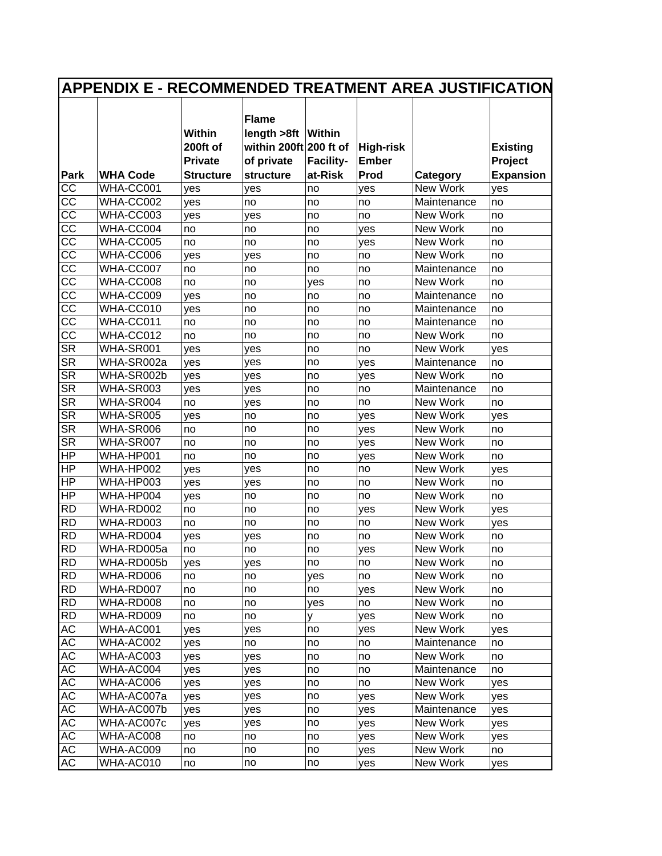|                        | <b>APPENDIX E - RECOMMENDED TREATMENT AREA JUSTIFICATION</b> |                                             |                                                                              |                  |                                  |             |                            |
|------------------------|--------------------------------------------------------------|---------------------------------------------|------------------------------------------------------------------------------|------------------|----------------------------------|-------------|----------------------------|
|                        |                                                              | <b>Within</b><br>200ft of<br><b>Private</b> | <b>Flame</b><br>length >8ft   Within<br>within 200ft 200 ft of<br>of private | <b>Facility-</b> | <b>High-risk</b><br><b>Ember</b> |             | <b>Existing</b><br>Project |
| <b>Park</b>            | <b>WHA Code</b>                                              | <b>Structure</b>                            | structure                                                                    | at-Risk          | Prod                             | Category    | <b>Expansion</b>           |
| CC                     | WHA-CC001                                                    | yes                                         | yes                                                                          | no               | yes                              | New Work    | yes                        |
| $\overline{cc}$        | WHA-CC002                                                    | yes                                         | no                                                                           | no               | no                               | Maintenance | no                         |
| $\overline{cc}$        | WHA-CC003                                                    | yes                                         | yes                                                                          | no               | no                               | New Work    | no                         |
| $\overline{cc}$        | WHA-CC004                                                    | no                                          | no                                                                           | no               | yes                              | New Work    | no                         |
| $\overline{cc}$        | WHA-CC005                                                    | no                                          | no                                                                           | no               | yes                              | New Work    | no                         |
| $\overline{cc}$        | WHA-CC006                                                    | yes                                         | yes                                                                          | no               | no                               | New Work    | no                         |
| $\overline{cc}$        | WHA-CC007                                                    | no                                          | no                                                                           | no               | no                               | Maintenance | no                         |
| $\overline{cc}$        | WHA-CC008                                                    | no                                          | no                                                                           | yes              | no                               | New Work    | no                         |
| $\overline{cc}$        | WHA-CC009                                                    | yes                                         | no                                                                           | no               | no                               | Maintenance | no                         |
| CC                     | WHA-CC010                                                    | yes                                         | no                                                                           | no               | no                               | Maintenance | no                         |
| $\overline{cc}$        | WHA-CC011                                                    | no                                          | no                                                                           | no               | no                               | Maintenance | no                         |
| $\overline{\text{cc}}$ | WHA-CC012                                                    | no                                          | no                                                                           | no               | no                               | New Work    | no                         |
| <b>SR</b>              | WHA-SR001                                                    | yes                                         | yes                                                                          | no               | no                               | New Work    | yes                        |
| <b>SR</b>              | WHA-SR002a                                                   | yes                                         | yes                                                                          | no               | yes                              | Maintenance | no                         |
| <b>SR</b>              | WHA-SR002b                                                   | yes                                         | yes                                                                          | no               | yes                              | New Work    | no                         |
| <b>SR</b>              | WHA-SR003                                                    | yes                                         | yes                                                                          | no               | no                               | Maintenance | no                         |
| <b>SR</b>              | WHA-SR004                                                    | no                                          | yes                                                                          | no               | no                               | New Work    | no                         |
| <b>SR</b>              | WHA-SR005                                                    | yes                                         | no                                                                           | no               | yes                              | New Work    | yes                        |
| SR                     | WHA-SR006                                                    | no                                          | no                                                                           | no               | yes                              | New Work    | no                         |
| $\overline{\text{SR}}$ | WHA-SR007                                                    | no                                          | no                                                                           | no               | yes                              | New Work    | no                         |
| HP                     | WHA-HP001                                                    | no                                          | no                                                                           | no               | yes                              | New Work    | no                         |
| ΗP                     | WHA-HP002                                                    | yes                                         | yes                                                                          | no               | no                               | New Work    | yes                        |
| HP                     | WHA-HP003                                                    | yes                                         | yes                                                                          | no               | no                               | New Work    | no                         |
| HP                     | WHA-HP004                                                    | yes                                         | no                                                                           | no               | no                               | New Work    | no                         |
| <b>RD</b>              | WHA-RD002                                                    | no                                          | no                                                                           | no               | yes                              | New Work    | yes                        |
| <b>RD</b>              | WHA-RD003                                                    | no                                          | no                                                                           | no               | no                               | New Work    | yes                        |
| <b>RD</b>              | WHA-RD004                                                    | yes                                         | yes                                                                          | no               | no                               | New Work    | no                         |
| <b>RD</b>              | WHA-RD005a                                                   | no                                          | no                                                                           | no               | yes                              | New Work    | no                         |
| <b>RD</b>              | WHA-RD005b                                                   | yes                                         | yes                                                                          | no               | no                               | New Work    | no                         |
| <b>RD</b>              | WHA-RD006                                                    | no                                          | no                                                                           | yes              | no                               | New Work    | no                         |
| <b>RD</b>              | WHA-RD007                                                    | no                                          | no                                                                           | no               | yes                              | New Work    | no                         |
| <b>RD</b>              | WHA-RD008                                                    | no                                          | no                                                                           | yes              | no                               | New Work    | no                         |
| <b>RD</b>              | WHA-RD009                                                    | no                                          | no                                                                           | y                | yes                              | New Work    | no                         |
| АC                     | WHA-AC001                                                    | yes                                         | yes                                                                          | no               | yes                              | New Work    | yes                        |
| AC                     | WHA-AC002                                                    | yes                                         | no                                                                           | no               | no                               | Maintenance | no                         |
| AC                     | WHA-AC003                                                    | yes                                         | yes                                                                          | no               | no                               | New Work    | no                         |
| AC                     | WHA-AC004                                                    | yes                                         | yes                                                                          | no               | no                               | Maintenance | no                         |
| AC                     | WHA-AC006                                                    | yes                                         | yes                                                                          | no               | no                               | New Work    | yes                        |
| AC                     | WHA-AC007a                                                   | yes                                         | yes                                                                          | no               | yes                              | New Work    | yes                        |
| AC                     | WHA-AC007b                                                   | yes                                         | yes                                                                          | no               | yes                              | Maintenance | yes                        |
| AC                     | WHA-AC007c                                                   | yes                                         | yes                                                                          | no               | yes                              | New Work    | yes                        |
| AC                     | WHA-AC008                                                    | no                                          | no                                                                           | no               | yes                              | New Work    | yes                        |
| АC                     | WHA-AC009                                                    | no                                          | no                                                                           | no               | yes                              | New Work    | no                         |
| AC                     | WHA-AC010                                                    | no                                          | no                                                                           | no               | yes                              | New Work    | yes                        |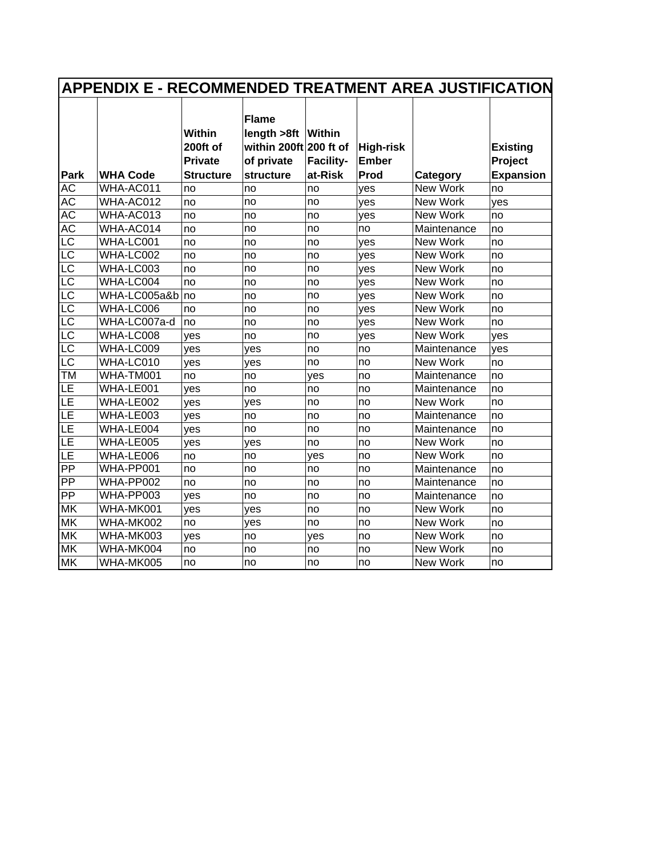|                          |                 | <b>Within</b><br>200ft of<br><b>Private</b> | <b>Flame</b><br>length >8ft   Within<br>within 200ft 200 ft of<br>of private | Facility- | <b>High-risk</b><br><b>Ember</b> |             | <b>Existing</b><br>Project |
|--------------------------|-----------------|---------------------------------------------|------------------------------------------------------------------------------|-----------|----------------------------------|-------------|----------------------------|
| Park                     | <b>WHA Code</b> | <b>Structure</b>                            | structure                                                                    | at-Risk   | Prod                             | Category    | <b>Expansion</b>           |
| <b>AC</b>                | WHA-AC011       | no                                          | no                                                                           | no        | yes                              | New Work    | no                         |
| <b>AC</b>                | WHA-AC012       | no                                          | no                                                                           | no        | yes                              | New Work    | yes                        |
| $\overline{AC}$          | WHA-AC013       | no                                          | no                                                                           | no        | yes                              | New Work    | no                         |
| <b>AC</b>                | WHA-AC014       | no                                          | no                                                                           | no        | no                               | Maintenance | no                         |
| $\overline{\text{LC}}$   | WHA-LC001       | no                                          | no                                                                           | no        | yes                              | New Work    | no                         |
| $\overline{\mathsf{LC}}$ | WHA-LC002       | no                                          | no                                                                           | no        | yes                              | New Work    | no                         |
| $\overline{\mathsf{LC}}$ | WHA-LC003       | no                                          | no                                                                           | no        | yes                              | New Work    | no                         |
| LC                       | WHA-LC004       | no                                          | no                                                                           | no        | yes                              | New Work    | no                         |
| $\overline{\text{LC}}$   | WHA-LC005a&b    | no                                          | no                                                                           | no        | yes                              | New Work    | no                         |
| $\overline{\text{LC}}$   | WHA-LC006       | no                                          | no                                                                           | no        | yes                              | New Work    | no                         |
| $\overline{\text{LC}}$   | WHA-LC007a-d    | no                                          | no                                                                           | no        | yes                              | New Work    | no                         |
| $\overline{\text{LC}}$   | WHA-LC008       | yes                                         | no                                                                           | no        | yes                              | New Work    | yes                        |
| $\overline{\mathsf{LC}}$ | WHA-LC009       | yes                                         | yes                                                                          | no        | no                               | Maintenance | yes                        |
| $\overline{\mathsf{LC}}$ | WHA-LC010       | ves                                         | ves                                                                          | no        | no                               | New Work    | no                         |
| TM                       | WHA-TM001       | no                                          | no                                                                           | ves       | no                               | Maintenance | no                         |
| LE                       | WHA-LE001       | yes                                         | no                                                                           | no        | no                               | Maintenance | no                         |
| $\overline{\mathsf{LE}}$ | WHA-LE002       | yes                                         | yes                                                                          | no        | no                               | New Work    | no                         |
| LE                       | WHA-LE003       | ves                                         | no                                                                           | no        | no                               | Maintenance | no                         |
| $\overline{\mathsf{LE}}$ | WHA-LE004       | yes                                         | no                                                                           | no        | no                               | Maintenance | no                         |
| LE                       | WHA-LE005       | yes                                         | yes                                                                          | no        | no                               | New Work    | no                         |
| LΕ                       | WHA-LE006       | no                                          | no                                                                           | yes       | no                               | New Work    | no                         |
| $\overline{PP}$          | WHA-PP001       | no                                          | no                                                                           | no        | no                               | Maintenance | no                         |
| PP                       | WHA-PP002       | no                                          | no                                                                           | no        | no                               | Maintenance | no                         |
| $\overline{PP}$          | WHA-PP003       | yes                                         | no                                                                           | no        | no                               | Maintenance | no                         |
| <b>MK</b>                | WHA-MK001       | yes                                         | yes                                                                          | no        | no                               | New Work    | no                         |
| <b>MK</b>                | WHA-MK002       | no                                          | yes                                                                          | no        | no                               | New Work    | no                         |
| <b>MK</b>                | WHA-MK003       | yes                                         | no                                                                           | yes       | no                               | New Work    | no                         |
| <b>MK</b>                | WHA-MK004       | no                                          | no                                                                           | no        | no                               | New Work    | no                         |
| MK                       | WHA-MK005       | no                                          | no                                                                           | no        | no                               | New Work    | no                         |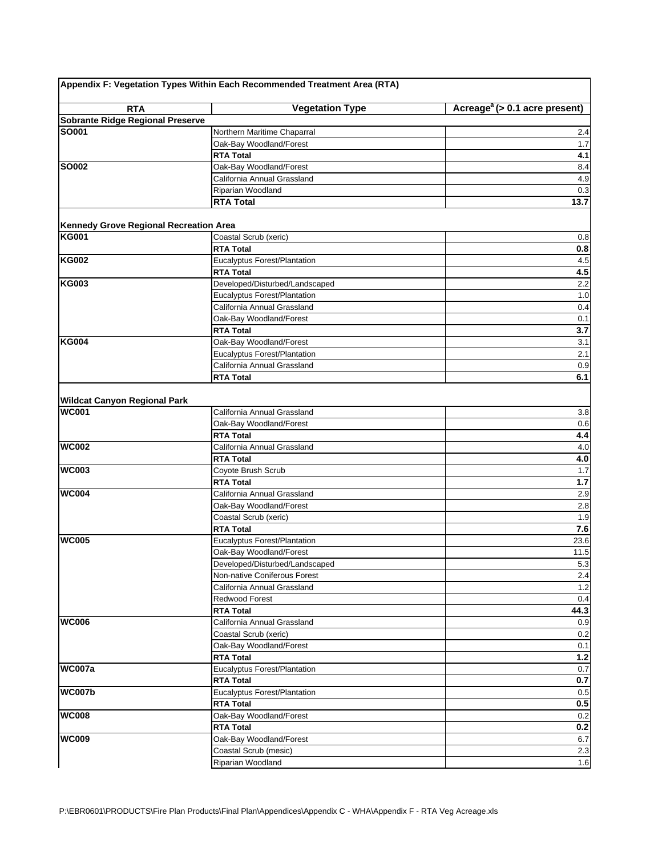|                                                     | Appendix F: Vegetation Types Within Each Recommended Treatment Area (RTA) |                                           |
|-----------------------------------------------------|---------------------------------------------------------------------------|-------------------------------------------|
| <b>RTA</b>                                          | <b>Vegetation Type</b>                                                    | Acreage <sup>a</sup> (> 0.1 acre present) |
| Sobrante Ridge Regional Preserve                    |                                                                           |                                           |
| <b>SO001</b>                                        | Northern Maritime Chaparral                                               | 2.4                                       |
|                                                     | Oak-Bay Woodland/Forest                                                   | 1.7                                       |
|                                                     | <b>RTA Total</b>                                                          | 4.1                                       |
| <b>SO002</b>                                        | Oak-Bay Woodland/Forest                                                   | 8.4                                       |
|                                                     | California Annual Grassland                                               | 4.9                                       |
|                                                     | Riparian Woodland                                                         | 0.3                                       |
|                                                     | RTA Total                                                                 | 13.7                                      |
| Kennedy Grove Regional Recreation Area              |                                                                           |                                           |
| <b>KG001</b>                                        | Coastal Scrub (xeric)                                                     | 0.8                                       |
|                                                     | <b>RTA Total</b>                                                          | 0.8                                       |
| <b>KG002</b>                                        | Eucalyptus Forest/Plantation                                              | 4.5                                       |
|                                                     | <b>RTA Total</b>                                                          | 4.5                                       |
| <b>KG003</b>                                        | Developed/Disturbed/Landscaped                                            | 2.2                                       |
|                                                     | Eucalyptus Forest/Plantation                                              | 1.0                                       |
|                                                     | California Annual Grassland                                               | 0.4                                       |
|                                                     | Oak-Bay Woodland/Forest                                                   | 0.1                                       |
|                                                     | <b>RTA Total</b>                                                          | 3.7                                       |
| <b>KG004</b>                                        | Oak-Bay Woodland/Forest                                                   | 3.1                                       |
|                                                     | Eucalyptus Forest/Plantation                                              | 2.1                                       |
|                                                     | California Annual Grassland                                               | 0.9                                       |
|                                                     | <b>RTA Total</b>                                                          | 6.1                                       |
|                                                     |                                                                           |                                           |
| <b>Wildcat Canyon Regional Park</b><br><b>WC001</b> | California Annual Grassland                                               | 3.8                                       |
|                                                     |                                                                           |                                           |
|                                                     | Oak-Bay Woodland/Forest<br><b>RTA Total</b>                               | 0.6                                       |
| <b>WC002</b>                                        | California Annual Grassland                                               | 4.4<br>$4.0\,$                            |
|                                                     | <b>RTA Total</b>                                                          | 4.0                                       |
| <b>WC003</b>                                        | Coyote Brush Scrub                                                        | 1.7                                       |
|                                                     | <b>RTA Total</b>                                                          | 1.7                                       |
| <b>WC004</b>                                        | California Annual Grassland                                               | 2.9                                       |
|                                                     | Oak-Bay Woodland/Forest                                                   | 2.8                                       |
|                                                     | Coastal Scrub (xeric)                                                     | 1.9                                       |
|                                                     | <b>RTA Total</b>                                                          | 7.6                                       |
| <b>WC005</b>                                        | Eucalyptus Forest/Plantation                                              | 23.6                                      |
|                                                     | Oak-Bay Woodland/Forest                                                   | 11.5                                      |
|                                                     | Developed/Disturbed/Landscaped                                            | 5.3                                       |
|                                                     | Non-native Coniferous Forest                                              | 2.4                                       |
|                                                     | California Annual Grassland                                               | 1.2                                       |
|                                                     | <b>Redwood Forest</b>                                                     | 0.4                                       |
|                                                     | <b>RTA Total</b>                                                          | 44.3                                      |
| <b>WC006</b>                                        | California Annual Grassland                                               | 0.9                                       |
|                                                     | Coastal Scrub (xeric)                                                     | 0.2                                       |
|                                                     | Oak-Bay Woodland/Forest                                                   | 0.1                                       |
|                                                     | <b>RTA Total</b>                                                          | $1.2$                                     |
| <b>WC007a</b>                                       | Eucalyptus Forest/Plantation                                              | 0.7                                       |
|                                                     | <b>RTA Total</b>                                                          | $0.7\,$                                   |
| <b>WC007b</b>                                       | Eucalyptus Forest/Plantation                                              | $0.5\,$                                   |
|                                                     | <b>RTA Total</b>                                                          | 0.5                                       |
| <b>WC008</b>                                        | Oak-Bay Woodland/Forest                                                   | 0.2                                       |
|                                                     | <b>RTA Total</b>                                                          | 0.2                                       |
| <b>WC009</b>                                        | Oak-Bay Woodland/Forest                                                   | 6.7                                       |
|                                                     | Coastal Scrub (mesic)                                                     | 2.3                                       |
|                                                     | Riparian Woodland                                                         | 1.6                                       |
|                                                     |                                                                           |                                           |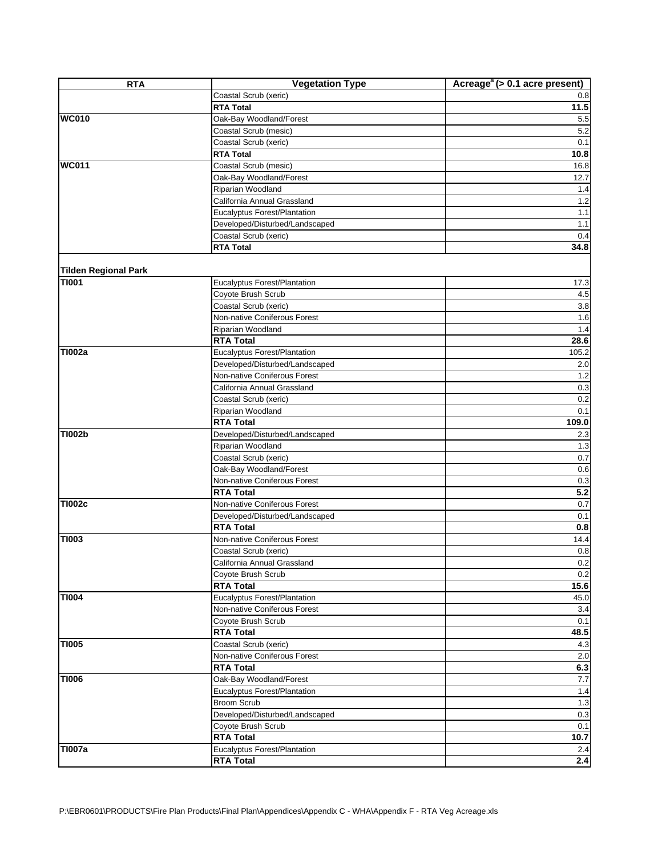| <b>RTA</b>                  | <b>Vegetation Type</b>                             | Acreage <sup>a</sup> (> 0.1 acre present) |
|-----------------------------|----------------------------------------------------|-------------------------------------------|
|                             | Coastal Scrub (xeric)                              | 0.8                                       |
|                             | <b>RTA Total</b>                                   | $\overline{11.5}$                         |
| <b>WC010</b>                | Oak-Bay Woodland/Forest                            | 5.5                                       |
|                             | Coastal Scrub (mesic)                              | 5.2                                       |
|                             | Coastal Scrub (xeric)                              | 0.1                                       |
|                             | <b>RTA Total</b>                                   | 10.8                                      |
| <b>WC011</b>                | Coastal Scrub (mesic)                              | 16.8                                      |
|                             | Oak-Bay Woodland/Forest                            | 12.7                                      |
|                             | Riparian Woodland                                  | 1.4                                       |
|                             | California Annual Grassland                        | 1.2                                       |
|                             | Eucalyptus Forest/Plantation                       | 1.1                                       |
|                             | Developed/Disturbed/Landscaped                     | 1.1                                       |
|                             | Coastal Scrub (xeric)                              | 0.4                                       |
|                             | <b>RTA Total</b>                                   | 34.8                                      |
|                             |                                                    |                                           |
| <b>Tilden Regional Park</b> |                                                    |                                           |
| <b>TI001</b>                | Eucalyptus Forest/Plantation                       | 17.3                                      |
|                             | Coyote Brush Scrub                                 | 4.5                                       |
|                             | Coastal Scrub (xeric)                              | 3.8                                       |
|                             | Non-native Coniferous Forest                       | 1.6                                       |
|                             | Riparian Woodland                                  | 1.4                                       |
|                             | <b>RTA Total</b>                                   | 28.6                                      |
| <b>TI002a</b>               | Eucalyptus Forest/Plantation                       | 105.2                                     |
|                             | Developed/Disturbed/Landscaped                     | 2.0                                       |
|                             | Non-native Coniferous Forest                       | 1.2                                       |
|                             | California Annual Grassland                        | 0.3                                       |
|                             | Coastal Scrub (xeric)                              | 0.2                                       |
|                             | Riparian Woodland                                  | 0.1                                       |
|                             | <b>RTA Total</b>                                   | 109.0                                     |
| <b>TI002b</b>               | Developed/Disturbed/Landscaped                     | 2.3                                       |
|                             | Riparian Woodland                                  | 1.3                                       |
|                             | Coastal Scrub (xeric)                              | 0.7                                       |
|                             | Oak-Bay Woodland/Forest                            | 0.6                                       |
|                             | Non-native Coniferous Forest                       | 0.3                                       |
|                             | <b>RTA Total</b>                                   | 5.2                                       |
| <b>TI002c</b>               | Non-native Coniferous Forest                       |                                           |
|                             |                                                    | 0.7<br>0.1                                |
|                             | Developed/Disturbed/Landscaped<br><b>RTA Total</b> | 0.8                                       |
| <b>TI003</b>                | Non-native Coniferous Forest                       |                                           |
|                             |                                                    | 14.4                                      |
|                             | Coastal Scrub (xeric)                              | 0.8                                       |
|                             | California Annual Grassland                        | 0.2                                       |
|                             | Coyote Brush Scrub                                 | 0.2                                       |
|                             | <b>RTA Total</b>                                   | 15.6                                      |
| <b>TI004</b>                | Eucalyptus Forest/Plantation                       | 45.0                                      |
|                             | Non-native Coniferous Forest                       | 3.4                                       |
|                             | Coyote Brush Scrub                                 | 0.1                                       |
|                             | <b>RTA Total</b>                                   | 48.5                                      |
| <b>TI005</b>                | Coastal Scrub (xeric)                              | 4.3                                       |
|                             | Non-native Coniferous Forest                       | 2.0                                       |
|                             | <b>RTA Total</b>                                   | 6.3                                       |
| <b>TI006</b>                | Oak-Bay Woodland/Forest                            | 7.7                                       |
|                             | Eucalyptus Forest/Plantation                       | 1.4                                       |
|                             | <b>Broom Scrub</b>                                 | 1.3                                       |
|                             | Developed/Disturbed/Landscaped                     | 0.3                                       |
|                             | Coyote Brush Scrub                                 | 0.1                                       |
|                             | <b>RTA Total</b>                                   | 10.7                                      |
| <b>TI007a</b>               | Eucalyptus Forest/Plantation                       | 2.4                                       |
|                             | <b>RTA Total</b>                                   | $2.4\,$                                   |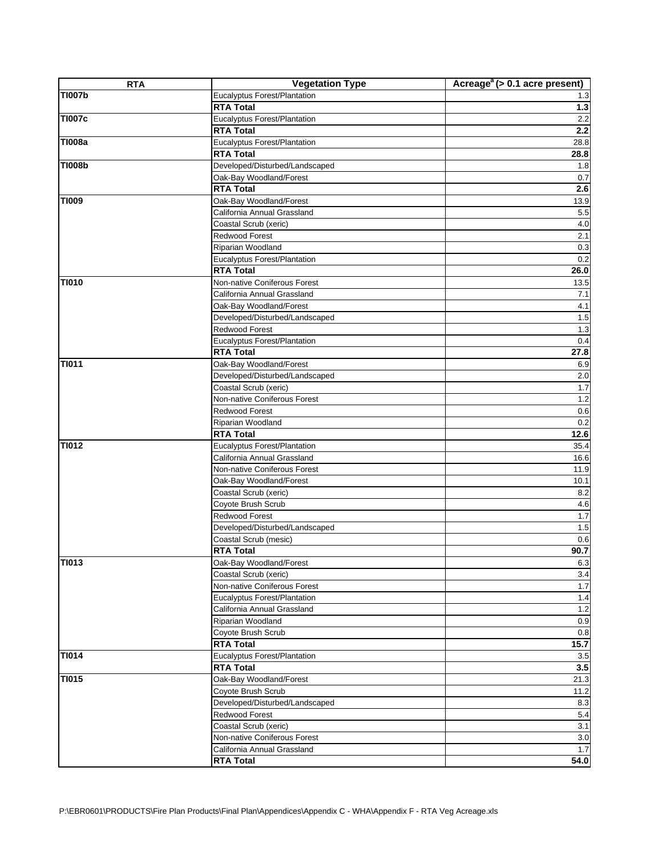| <b>RTA</b>    | <b>Vegetation Type</b>                                             | Acreage <sup><math>a</math></sup> (> 0.1 acre present) |
|---------------|--------------------------------------------------------------------|--------------------------------------------------------|
| <b>TI007b</b> | Eucalyptus Forest/Plantation                                       | 1.3                                                    |
|               | <b>RTA Total</b>                                                   | $1.3$                                                  |
| <b>TI007c</b> | <b>Eucalyptus Forest/Plantation</b>                                | 2.2                                                    |
|               | <b>RTA Total</b>                                                   | 2.2                                                    |
| <b>TI008a</b> | Eucalyptus Forest/Plantation                                       | 28.8                                                   |
|               | <b>RTA Total</b>                                                   | 28.8                                                   |
| <b>TI008b</b> | Developed/Disturbed/Landscaped                                     | 1.8                                                    |
|               | Oak-Bay Woodland/Forest                                            | 0.7                                                    |
|               | <b>RTA Total</b>                                                   | 2.6                                                    |
| <b>TI009</b>  | Oak-Bay Woodland/Forest                                            | 13.9                                                   |
|               | California Annual Grassland                                        | 5.5                                                    |
|               | Coastal Scrub (xeric)                                              | 4.0                                                    |
|               | Redwood Forest                                                     | 2.1                                                    |
|               | Riparian Woodland                                                  | 0.3                                                    |
|               | Eucalyptus Forest/Plantation                                       | 0.2                                                    |
|               | <b>RTA Total</b>                                                   | 26.0                                                   |
| <b>TI010</b>  | Non-native Coniferous Forest                                       | 13.5                                                   |
|               | California Annual Grassland                                        | 7.1                                                    |
|               | Oak-Bay Woodland/Forest                                            | 4.1                                                    |
|               | Developed/Disturbed/Landscaped                                     | 1.5                                                    |
|               | Redwood Forest                                                     | 1.3                                                    |
|               | <b>Eucalyptus Forest/Plantation</b>                                | 0.4                                                    |
|               | <b>RTA Total</b>                                                   | 27.8                                                   |
| <b>TI011</b>  | Oak-Bay Woodland/Forest                                            | 6.9                                                    |
|               | Developed/Disturbed/Landscaped                                     | 2.0                                                    |
|               | Coastal Scrub (xeric)                                              | 1.7                                                    |
|               | Non-native Coniferous Forest                                       | 1.2                                                    |
|               | Redwood Forest                                                     | 0.6                                                    |
|               | Riparian Woodland                                                  | 0.2                                                    |
|               | <b>RTA Total</b>                                                   | 12.6                                                   |
| TI012         | Eucalyptus Forest/Plantation                                       | 35.4                                                   |
|               | California Annual Grassland                                        | 16.6                                                   |
|               | Non-native Coniferous Forest                                       | 11.9                                                   |
|               | Oak-Bay Woodland/Forest                                            | 10.1                                                   |
|               | Coastal Scrub (xeric)                                              | 8.2                                                    |
|               | Coyote Brush Scrub                                                 | 4.6                                                    |
|               | Redwood Forest                                                     | 1.7                                                    |
|               | Developed/Disturbed/Landscaped                                     | 1.5                                                    |
|               | Coastal Scrub (mesic)                                              | 0.6                                                    |
|               | <b>RTA Total</b>                                                   | 90.7                                                   |
| <b>TI013</b>  | Oak-Bay Woodland/Forest<br>Coastal Scrub (xeric)                   | 6.3                                                    |
|               | Non-native Coniferous Forest                                       | 3.4<br>1.7                                             |
|               |                                                                    |                                                        |
|               | <b>Eucalyptus Forest/Plantation</b><br>California Annual Grassland | 1.4                                                    |
|               | Riparian Woodland                                                  | 1.2<br>0.9                                             |
|               | Coyote Brush Scrub                                                 | $0.8\,$                                                |
|               | <b>RTA Total</b>                                                   | 15.7                                                   |
| <b>TI014</b>  | <b>Eucalyptus Forest/Plantation</b>                                | 3.5                                                    |
|               | <b>RTA Total</b>                                                   | 3.5                                                    |
| <b>TI015</b>  | Oak-Bay Woodland/Forest                                            | 21.3                                                   |
|               | Coyote Brush Scrub                                                 | 11.2                                                   |
|               | Developed/Disturbed/Landscaped                                     | 8.3                                                    |
|               | Redwood Forest                                                     | 5.4                                                    |
|               | Coastal Scrub (xeric)                                              | 3.1                                                    |
|               | Non-native Coniferous Forest                                       | 3.0                                                    |
|               | California Annual Grassland                                        | 1.7                                                    |
|               | <b>RTA Total</b>                                                   | 54.0                                                   |
|               |                                                                    |                                                        |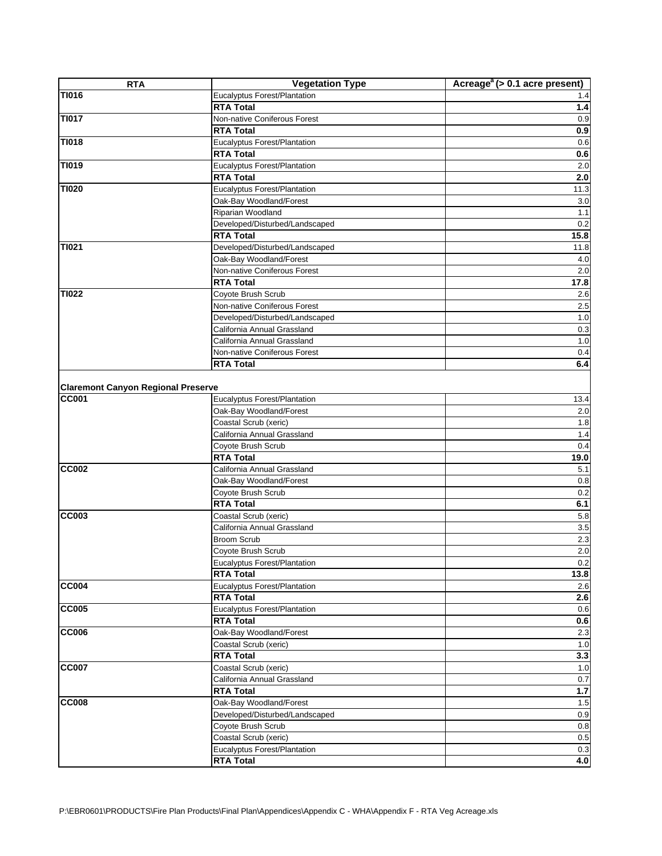| <b>RTA</b>                                                | <b>Vegetation Type</b>                                  | Acreage <sup><math>a</math></sup> (> 0.1 acre present) |
|-----------------------------------------------------------|---------------------------------------------------------|--------------------------------------------------------|
| <b>TI016</b>                                              | Eucalyptus Forest/Plantation                            | 1.4                                                    |
|                                                           | <b>RTA Total</b>                                        | $1.4$                                                  |
| <b>TI017</b>                                              | Non-native Coniferous Forest                            | 0.9                                                    |
|                                                           | <b>RTA Total</b>                                        | 0.9                                                    |
| <b>TI018</b>                                              | Eucalyptus Forest/Plantation                            | 0.6                                                    |
|                                                           | <b>RTA Total</b>                                        | 0.6                                                    |
| TI019                                                     | Eucalyptus Forest/Plantation                            | $2.0\,$                                                |
|                                                           | <b>RTA Total</b>                                        | 2.0                                                    |
| <b>TI020</b>                                              | Eucalyptus Forest/Plantation                            | 11.3                                                   |
|                                                           | Oak-Bay Woodland/Forest                                 | 3.0                                                    |
|                                                           | Riparian Woodland                                       | 1.1                                                    |
|                                                           | Developed/Disturbed/Landscaped                          | 0.2                                                    |
|                                                           | <b>RTA Total</b>                                        | 15.8                                                   |
| TI021                                                     | Developed/Disturbed/Landscaped                          | 11.8                                                   |
|                                                           | Oak-Bay Woodland/Forest                                 | 4.0                                                    |
|                                                           | Non-native Coniferous Forest                            | 2.0                                                    |
|                                                           | <b>RTA Total</b>                                        | 17.8                                                   |
| <b>TI022</b>                                              | Coyote Brush Scrub                                      | 2.6                                                    |
|                                                           | Non-native Coniferous Forest                            | 2.5                                                    |
|                                                           | Developed/Disturbed/Landscaped                          | $1.0$                                                  |
|                                                           | California Annual Grassland                             | 0.3                                                    |
|                                                           | California Annual Grassland                             | 1.0                                                    |
|                                                           | Non-native Coniferous Forest                            | 0.4                                                    |
|                                                           | <b>RTA Total</b>                                        | 6.4                                                    |
|                                                           |                                                         |                                                        |
| <b>Claremont Canyon Regional Preserve</b><br><b>CC001</b> |                                                         |                                                        |
|                                                           | Eucalyptus Forest/Plantation<br>Oak-Bay Woodland/Forest | 13.4<br>2.0                                            |
|                                                           | Coastal Scrub (xeric)                                   | 1.8                                                    |
|                                                           | California Annual Grassland                             | 1.4                                                    |
|                                                           | Coyote Brush Scrub                                      | 0.4                                                    |
|                                                           | <b>RTA Total</b>                                        | 19.0                                                   |
| <b>CC002</b>                                              | California Annual Grassland                             | 5.1                                                    |
|                                                           | Oak-Bay Woodland/Forest                                 | 0.8                                                    |
|                                                           | Coyote Brush Scrub                                      | 0.2                                                    |
|                                                           | <b>RTA Total</b>                                        | 6.1                                                    |
| <b>CC003</b>                                              | Coastal Scrub (xeric)                                   | 5.8                                                    |
|                                                           | California Annual Grassland                             | 3.5                                                    |
|                                                           | <b>Broom Scrub</b>                                      | $2.3\,$                                                |
|                                                           | Coyote Brush Scrub                                      | 2.0                                                    |
|                                                           | Eucalyptus Forest/Plantation                            | 0.2                                                    |
|                                                           | <b>RTA Total</b>                                        | 13.8                                                   |
| <b>CC004</b>                                              | Eucalyptus Forest/Plantation                            | 2.6                                                    |
|                                                           | <b>RTA Total</b>                                        | 2.6                                                    |
| <b>CC005</b>                                              | Eucalyptus Forest/Plantation                            | 0.6                                                    |
|                                                           | <b>RTA Total</b>                                        | 0.6                                                    |
| <b>CC006</b>                                              | Oak-Bay Woodland/Forest                                 | 2.3                                                    |
|                                                           | Coastal Scrub (xeric)                                   | 1.0                                                    |
|                                                           | <b>RTA Total</b>                                        | 3.3                                                    |
| <b>CC007</b>                                              | Coastal Scrub (xeric)                                   | $1.0$                                                  |
|                                                           | California Annual Grassland                             | 0.7                                                    |
|                                                           | <b>RTA Total</b>                                        | 1.7                                                    |
| <b>CC008</b>                                              | Oak-Bay Woodland/Forest                                 | 1.5                                                    |
|                                                           | Developed/Disturbed/Landscaped                          | 0.9                                                    |
|                                                           | Coyote Brush Scrub                                      | $0.8\,$                                                |
|                                                           | Coastal Scrub (xeric)                                   | 0.5                                                    |
|                                                           | Eucalyptus Forest/Plantation                            | 0.3                                                    |
|                                                           | <b>RTA Total</b>                                        | $4.0$                                                  |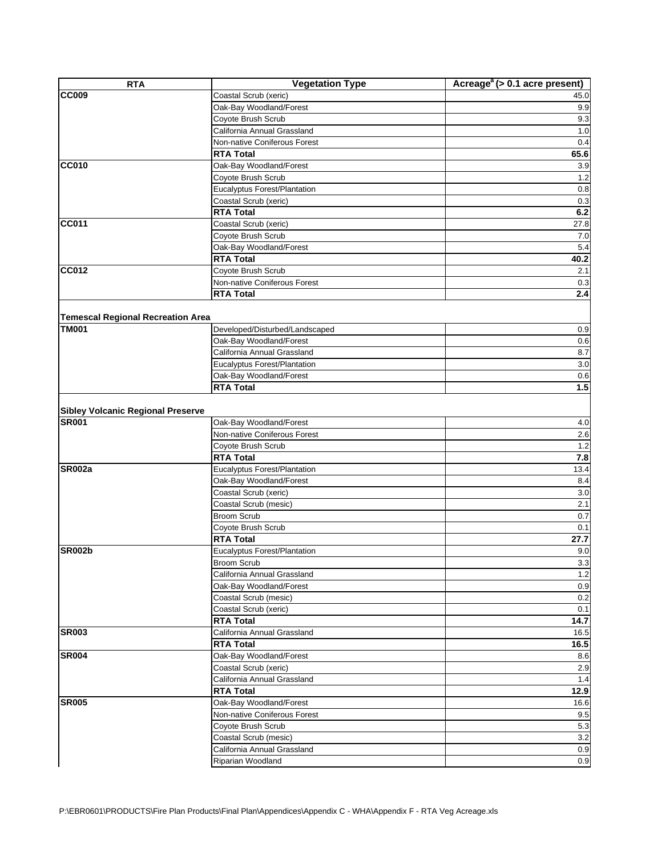| <b>RTA</b>                               | <b>Vegetation Type</b>         | Acreage <sup>a</sup> (> 0.1 acre present) |
|------------------------------------------|--------------------------------|-------------------------------------------|
| <b>CC009</b>                             | Coastal Scrub (xeric)          | 45.0                                      |
|                                          | Oak-Bay Woodland/Forest        | 9.9                                       |
|                                          | Coyote Brush Scrub             | 9.3                                       |
|                                          | California Annual Grassland    | 1.0                                       |
|                                          | Non-native Coniferous Forest   | 0.4                                       |
|                                          | <b>RTA Total</b>               | 65.6                                      |
| <b>CC010</b>                             | Oak-Bay Woodland/Forest        | 3.9                                       |
|                                          | Coyote Brush Scrub             | 1.2                                       |
|                                          | Eucalyptus Forest/Plantation   | 0.8                                       |
|                                          | Coastal Scrub (xeric)          | 0.3                                       |
|                                          | <b>RTA Total</b>               | 6.2                                       |
| <b>CC011</b>                             | Coastal Scrub (xeric)          | 27.8                                      |
|                                          | Coyote Brush Scrub             | 7.0                                       |
|                                          | Oak-Bay Woodland/Forest        | 5.4                                       |
|                                          | <b>RTA Total</b>               | 40.2                                      |
| CC012                                    | Coyote Brush Scrub             | 2.1                                       |
|                                          | Non-native Coniferous Forest   | 0.3                                       |
|                                          | <b>RTA Total</b>               | 2.4                                       |
|                                          |                                |                                           |
| <b>Temescal Regional Recreation Area</b> |                                |                                           |
| <b>TM001</b>                             | Developed/Disturbed/Landscaped | 0.9                                       |
|                                          | Oak-Bay Woodland/Forest        | 0.6                                       |
|                                          | California Annual Grassland    | 8.7                                       |
|                                          | Eucalyptus Forest/Plantation   | 3.0                                       |
|                                          | Oak-Bay Woodland/Forest        | 0.6                                       |
|                                          | <b>RTA Total</b>               | 1.5                                       |
|                                          |                                |                                           |
| <b>Sibley Volcanic Regional Preserve</b> |                                |                                           |
| <b>SR001</b>                             | Oak-Bay Woodland/Forest        | 4.0                                       |
|                                          | Non-native Coniferous Forest   | 2.6                                       |
|                                          | Coyote Brush Scrub             | 1.2                                       |
|                                          | <b>RTA Total</b>               | 7.8                                       |
| <b>SR002a</b>                            | Eucalyptus Forest/Plantation   | 13.4                                      |
|                                          | Oak-Bay Woodland/Forest        | 8.4                                       |
|                                          | Coastal Scrub (xeric)          | 3.0                                       |
|                                          | Coastal Scrub (mesic)          | 2.1                                       |
|                                          | <b>Broom Scrub</b>             | 0.7                                       |
|                                          | Coyote Brush Scrub             | 0.1                                       |
|                                          | <b>RTA Total</b>               | 27.7                                      |
| <b>SR002b</b>                            | Eucalyptus Forest/Plantation   | 9.0                                       |
|                                          | Broom Scrub                    | 3.3                                       |
|                                          | California Annual Grassland    | 1.2                                       |
|                                          | Oak-Bay Woodland/Forest        | 0.9                                       |
|                                          | Coastal Scrub (mesic)          | 0.2                                       |
|                                          | Coastal Scrub (xeric)          | 0.1                                       |
|                                          | <b>RTA Total</b>               | 14.7                                      |
| <b>SR003</b>                             | California Annual Grassland    | 16.5                                      |
|                                          | <b>RTA Total</b>               | 16.5                                      |
| <b>SR004</b>                             | Oak-Bay Woodland/Forest        | 8.6                                       |
|                                          | Coastal Scrub (xeric)          | 2.9                                       |
|                                          | California Annual Grassland    | 1.4                                       |
|                                          | <b>RTA Total</b>               | 12.9                                      |
| <b>SR005</b>                             | Oak-Bay Woodland/Forest        | 16.6                                      |
|                                          | Non-native Coniferous Forest   | 9.5                                       |
|                                          | Coyote Brush Scrub             | 5.3                                       |
|                                          | Coastal Scrub (mesic)          | 3.2                                       |
|                                          | California Annual Grassland    | 0.9                                       |
|                                          | Riparian Woodland              | 0.9                                       |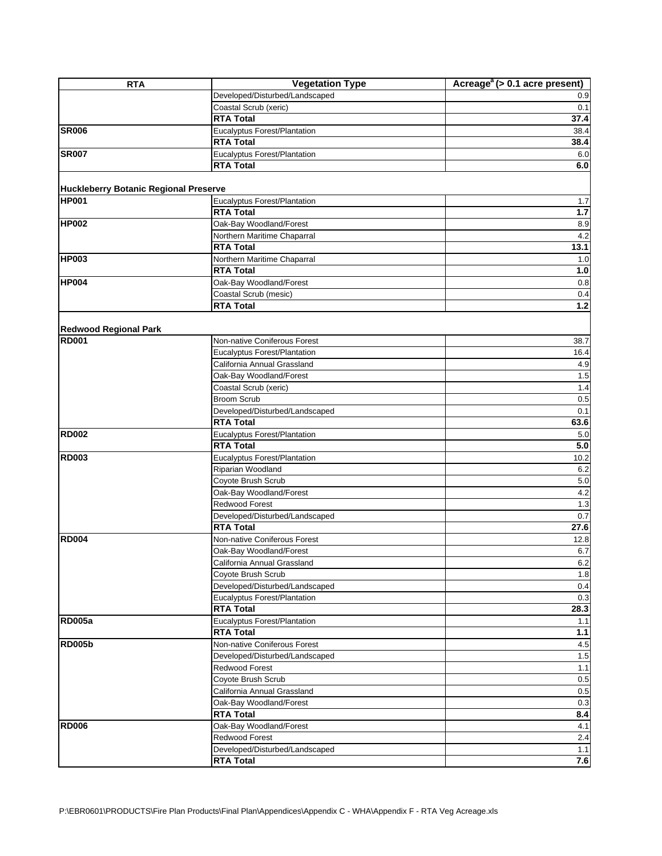| <b>RTA</b>                                   | <b>Vegetation Type</b>                            | Acreage <sup><math>a</math></sup> (> 0.1 acre present) |
|----------------------------------------------|---------------------------------------------------|--------------------------------------------------------|
|                                              | Developed/Disturbed/Landscaped                    | 0.9                                                    |
|                                              | Coastal Scrub (xeric)                             | 0.1                                                    |
|                                              | <b>RTA Total</b>                                  | 37.4                                                   |
| <b>SR006</b>                                 | Eucalyptus Forest/Plantation                      | 38.4                                                   |
|                                              | <b>RTA Total</b>                                  | 38.4                                                   |
| <b>SR007</b>                                 | Eucalyptus Forest/Plantation                      | 6.0                                                    |
|                                              | <b>RTA Total</b>                                  | 6.0                                                    |
|                                              |                                                   |                                                        |
| <b>Huckleberry Botanic Regional Preserve</b> |                                                   |                                                        |
| <b>HP001</b>                                 | Eucalyptus Forest/Plantation                      | 1.7                                                    |
|                                              | <b>RTA Total</b>                                  | $1.7$                                                  |
| <b>HP002</b>                                 | Oak-Bay Woodland/Forest                           | 8.9                                                    |
|                                              | Northern Maritime Chaparral                       | 4.2                                                    |
|                                              | <b>RTA Total</b>                                  | 13.1                                                   |
| <b>HP003</b>                                 | Northern Maritime Chaparral                       | 1.0                                                    |
|                                              | <b>RTA Total</b>                                  | 1.0                                                    |
| <b>HP004</b>                                 | Oak-Bay Woodland/Forest                           | 0.8                                                    |
|                                              | Coastal Scrub (mesic)                             | 0.4                                                    |
|                                              | <b>RTA Total</b>                                  | $1.2$                                                  |
|                                              |                                                   |                                                        |
| <b>Redwood Regional Park</b>                 |                                                   |                                                        |
| <b>RD001</b>                                 | Non-native Coniferous Forest                      | 38.7                                                   |
|                                              | Eucalyptus Forest/Plantation                      | 16.4                                                   |
|                                              | California Annual Grassland                       | 4.9                                                    |
|                                              | Oak-Bay Woodland/Forest                           | 1.5                                                    |
|                                              | Coastal Scrub (xeric)                             | 1.4                                                    |
|                                              | <b>Broom Scrub</b>                                | 0.5                                                    |
|                                              | Developed/Disturbed/Landscaped                    | 0.1                                                    |
|                                              | <b>RTA Total</b>                                  | 63.6                                                   |
| <b>RD002</b>                                 | Eucalyptus Forest/Plantation                      | 5.0                                                    |
|                                              | <b>RTA Total</b>                                  | 5.0                                                    |
| <b>RD003</b>                                 | Eucalyptus Forest/Plantation                      | 10.2                                                   |
|                                              | Riparian Woodland                                 | 6.2                                                    |
|                                              | Coyote Brush Scrub                                | 5.0                                                    |
|                                              | Oak-Bay Woodland/Forest                           | 4.2                                                    |
|                                              | Redwood Forest                                    | 1.3                                                    |
|                                              | Developed/Disturbed/Landscaped                    | 0.7                                                    |
| <b>RD004</b>                                 | <b>RTA Total</b>                                  | 27.6                                                   |
|                                              | Non-native Coniferous Forest                      | 12.8                                                   |
|                                              | Oak-Bay Woodland/Forest                           | 6.7                                                    |
|                                              | California Annual Grassland<br>Coyote Brush Scrub | $6.2\,$<br>1.8                                         |
|                                              | Developed/Disturbed/Landscaped                    | 0.4                                                    |
|                                              | Eucalyptus Forest/Plantation                      | 0.3                                                    |
|                                              | <b>RTA Total</b>                                  | 28.3                                                   |
| <b>RD005a</b>                                | Eucalyptus Forest/Plantation                      | 1.1                                                    |
|                                              | <b>RTA Total</b>                                  | $1.1$                                                  |
| <b>RD005b</b>                                | Non-native Coniferous Forest                      | 4.5                                                    |
|                                              | Developed/Disturbed/Landscaped                    | $1.5$                                                  |
|                                              | <b>Redwood Forest</b>                             | 1.1                                                    |
|                                              | Coyote Brush Scrub                                | 0.5                                                    |
|                                              | California Annual Grassland                       | 0.5                                                    |
|                                              | Oak-Bay Woodland/Forest                           | 0.3                                                    |
|                                              | <b>RTA Total</b>                                  | 8.4                                                    |
| <b>RD006</b>                                 | Oak-Bay Woodland/Forest                           | 4.1                                                    |
|                                              | Redwood Forest                                    | 2.4                                                    |
|                                              | Developed/Disturbed/Landscaped                    | 1.1                                                    |
|                                              | <b>RTA Total</b>                                  | 7.6                                                    |
|                                              |                                                   |                                                        |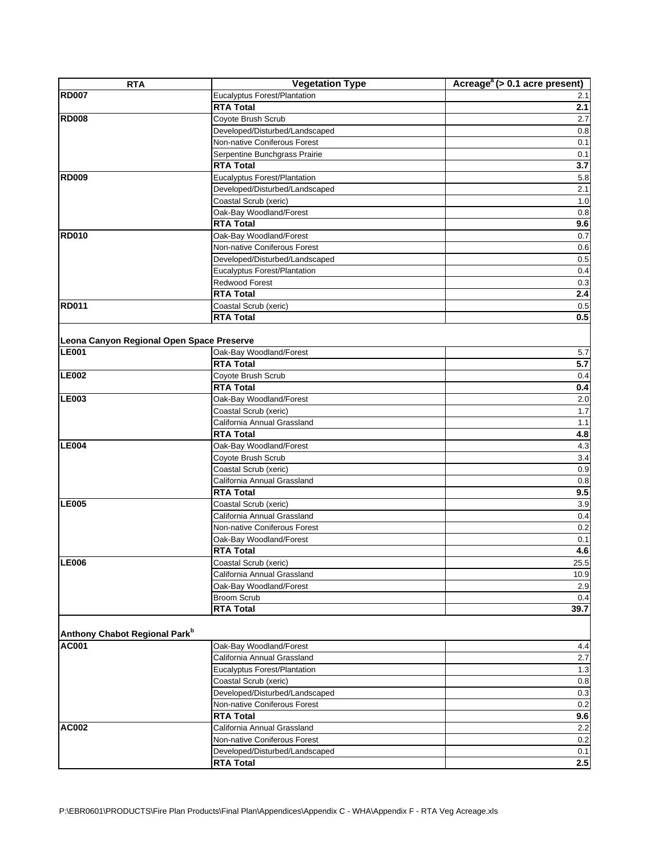| <b>RTA</b>                                | <b>Vegetation Type</b>                                 | Acreage <sup>a</sup> (> 0.1 acre present) |
|-------------------------------------------|--------------------------------------------------------|-------------------------------------------|
| <b>RD007</b>                              | Eucalyptus Forest/Plantation                           | 2.1                                       |
|                                           | <b>RTA Total</b>                                       | 2.1                                       |
| <b>RD008</b>                              | Coyote Brush Scrub                                     | 2.7                                       |
|                                           | Developed/Disturbed/Landscaped                         | 0.8                                       |
|                                           | Non-native Coniferous Forest                           | 0.1                                       |
|                                           | Serpentine Bunchgrass Prairie                          | 0.1                                       |
|                                           | <b>RTA Total</b>                                       | 3.7                                       |
| <b>RD009</b>                              | Eucalyptus Forest/Plantation                           | 5.8                                       |
|                                           | Developed/Disturbed/Landscaped                         | 2.1                                       |
|                                           | Coastal Scrub (xeric)                                  | 1.0                                       |
|                                           | Oak-Bay Woodland/Forest                                | 0.8                                       |
|                                           | <b>RTA Total</b>                                       | 9.6                                       |
| <b>RD010</b>                              | Oak-Bay Woodland/Forest                                | 0.7                                       |
|                                           | Non-native Coniferous Forest                           | 0.6                                       |
|                                           | Developed/Disturbed/Landscaped                         | 0.5                                       |
|                                           | Eucalyptus Forest/Plantation                           | 0.4                                       |
|                                           | Redwood Forest                                         | 0.3                                       |
|                                           | <b>RTA Total</b>                                       | 2.4                                       |
| <b>RD011</b>                              | Coastal Scrub (xeric)                                  | 0.5                                       |
|                                           | <b>RTA Total</b>                                       | 0.5                                       |
|                                           |                                                        |                                           |
| Leona Canyon Regional Open Space Preserve |                                                        |                                           |
| <b>LE001</b>                              | Oak-Bay Woodland/Forest                                | 5.7                                       |
|                                           | <b>RTA Total</b>                                       | 5.7                                       |
| <b>LE002</b>                              | Coyote Brush Scrub                                     | 0.4                                       |
|                                           | <b>RTA Total</b>                                       | 0.4                                       |
| <b>LE003</b>                              | Oak-Bay Woodland/Forest                                | 2.0                                       |
|                                           | Coastal Scrub (xeric)                                  | 1.7                                       |
|                                           | California Annual Grassland                            | 1.1                                       |
|                                           | <b>RTA Total</b>                                       | 4.8                                       |
| LE004                                     | Oak-Bay Woodland/Forest                                | 4.3                                       |
|                                           | Coyote Brush Scrub                                     | 3.4                                       |
|                                           | Coastal Scrub (xeric)                                  | 0.9                                       |
|                                           | California Annual Grassland                            | 0.8                                       |
|                                           | <b>RTA Total</b>                                       | 9.5                                       |
| <b>LE005</b>                              | Coastal Scrub (xeric)                                  | 3.9                                       |
|                                           | California Annual Grassland                            | 0.4                                       |
|                                           | Non-native Coniferous Forest                           | 0.2                                       |
|                                           | Oak-Bay Woodland/Forest                                | 0.1                                       |
|                                           | <b>RTA Total</b>                                       | 4.6                                       |
| <b>LE006</b>                              | Coastal Scrub (xeric)                                  | 25.5                                      |
|                                           | California Annual Grassland                            | 10.9                                      |
|                                           | Oak-Bay Woodland/Forest                                | 2.9                                       |
|                                           | Broom Scrub                                            | 0.4                                       |
|                                           | <b>RTA Total</b>                                       | 39.7                                      |
|                                           |                                                        |                                           |
| Anthony Chabot Regional Park <sup>b</sup> |                                                        |                                           |
| <b>AC001</b>                              |                                                        | 4.4                                       |
|                                           | Oak-Bay Woodland/Forest<br>California Annual Grassland |                                           |
|                                           |                                                        | 2.7                                       |
|                                           | Eucalyptus Forest/Plantation                           | 1.3                                       |
|                                           | Coastal Scrub (xeric)                                  | 0.8                                       |
|                                           | Developed/Disturbed/Landscaped                         | 0.3                                       |
|                                           | Non-native Coniferous Forest                           | 0.2                                       |
|                                           | <b>RTA Total</b>                                       | 9.6                                       |
| <b>AC002</b>                              | California Annual Grassland                            | 2.2                                       |
|                                           | Non-native Coniferous Forest                           | 0.2                                       |
|                                           | Developed/Disturbed/Landscaped                         | 0.1                                       |
|                                           | <b>RTA Total</b>                                       | $2.5\,$                                   |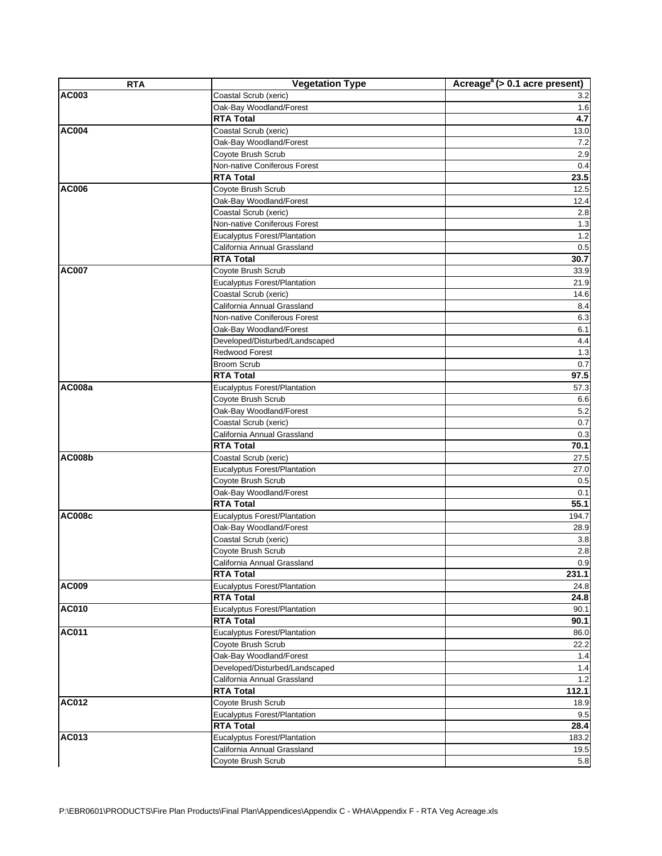| <b>RTA</b>    | <b>Vegetation Type</b>              | Acreage <sup><math>a</math></sup> ( $> 0.1$ acre present) |
|---------------|-------------------------------------|-----------------------------------------------------------|
| AC003         | Coastal Scrub (xeric)               | 3.2                                                       |
|               | Oak-Bay Woodland/Forest             | 1.6                                                       |
|               | <b>RTA Total</b>                    | 4.7                                                       |
| <b>AC004</b>  | Coastal Scrub (xeric)               | 13.0                                                      |
|               | Oak-Bay Woodland/Forest             | 7.2                                                       |
|               | Coyote Brush Scrub                  | 2.9                                                       |
|               | Non-native Coniferous Forest        | 0.4                                                       |
|               | <b>RTA Total</b>                    | 23.5                                                      |
| AC006         | Coyote Brush Scrub                  | 12.5                                                      |
|               | Oak-Bay Woodland/Forest             | 12.4                                                      |
|               | Coastal Scrub (xeric)               | 2.8                                                       |
|               | Non-native Coniferous Forest        | 1.3                                                       |
|               | <b>Eucalyptus Forest/Plantation</b> | 1.2                                                       |
|               | California Annual Grassland         | 0.5                                                       |
|               | <b>RTA Total</b>                    | 30.7                                                      |
| <b>AC007</b>  | Coyote Brush Scrub                  | 33.9                                                      |
|               | Eucalyptus Forest/Plantation        | 21.9                                                      |
|               | Coastal Scrub (xeric)               | 14.6                                                      |
|               | California Annual Grassland         | 8.4                                                       |
|               | Non-native Coniferous Forest        | 6.3                                                       |
|               | Oak-Bay Woodland/Forest             | 6.1                                                       |
|               | Developed/Disturbed/Landscaped      | 4.4                                                       |
|               | Redwood Forest                      | 1.3                                                       |
|               | <b>Broom Scrub</b>                  | 0.7                                                       |
|               | <b>RTA Total</b>                    | 97.5                                                      |
| AC008a        | <b>Eucalyptus Forest/Plantation</b> | 57.3                                                      |
|               | Coyote Brush Scrub                  | 6.6                                                       |
|               | Oak-Bay Woodland/Forest             | 5.2                                                       |
|               | Coastal Scrub (xeric)               | 0.7                                                       |
|               | California Annual Grassland         | 0.3                                                       |
|               | <b>RTA Total</b>                    | 70.1                                                      |
| <b>AC008b</b> | Coastal Scrub (xeric)               | 27.5                                                      |
|               | Eucalyptus Forest/Plantation        | 27.0                                                      |
|               | Coyote Brush Scrub                  | 0.5                                                       |
|               | Oak-Bay Woodland/Forest             | 0.1                                                       |
|               | <b>RTA Total</b>                    | 55.1                                                      |
| <b>AC008c</b> | Eucalyptus Forest/Plantation        | 194.7                                                     |
|               | Oak-Bay Woodland/Forest             | 28.9                                                      |
|               | Coastal Scrub (xeric)               | 3.8                                                       |
|               | Coyote Brush Scrub                  | 2.8                                                       |
|               | California Annual Grassland         | 0.9                                                       |
|               | <b>RTA Total</b>                    | 231.1                                                     |
| <b>AC009</b>  | Eucalyptus Forest/Plantation        | 24.8                                                      |
|               | <b>RTA Total</b>                    | 24.8                                                      |
| <b>AC010</b>  | Eucalyptus Forest/Plantation        | 90.1                                                      |
|               | <b>RTA Total</b>                    | 90.1                                                      |
| <b>AC011</b>  | Eucalyptus Forest/Plantation        | 86.0                                                      |
|               | Coyote Brush Scrub                  | 22.2                                                      |
|               | Oak-Bay Woodland/Forest             | 1.4                                                       |
|               | Developed/Disturbed/Landscaped      | 1.4                                                       |
|               | California Annual Grassland         | $1.2$                                                     |
|               | <b>RTA Total</b>                    | 112.1                                                     |
| AC012         | Coyote Brush Scrub                  |                                                           |
|               |                                     | 18.9                                                      |
|               | Eucalyptus Forest/Plantation        | 9.5                                                       |
|               | <b>RTA Total</b>                    | 28.4                                                      |
| AC013         | Eucalyptus Forest/Plantation        | 183.2                                                     |
|               | California Annual Grassland         | 19.5                                                      |
|               | Coyote Brush Scrub                  | 5.8                                                       |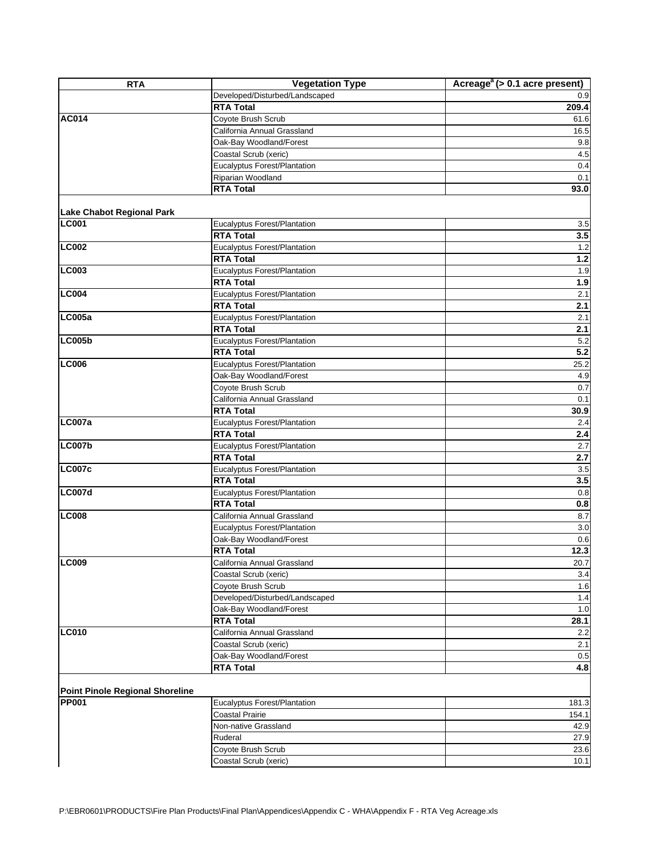| <b>RTA</b>                             | <b>Vegetation Type</b>                               | Acreage <sup><math>a</math></sup> (> 0.1 acre present) |
|----------------------------------------|------------------------------------------------------|--------------------------------------------------------|
|                                        | Developed/Disturbed/Landscaped                       | 0.9                                                    |
|                                        | <b>RTA Total</b>                                     | 209.4                                                  |
| <b>AC014</b>                           | Coyote Brush Scrub                                   | 61.6                                                   |
|                                        | California Annual Grassland                          | 16.5                                                   |
|                                        | Oak-Bay Woodland/Forest                              | 9.8                                                    |
|                                        | Coastal Scrub (xeric)                                | 4.5                                                    |
|                                        | Eucalyptus Forest/Plantation                         | 0.4                                                    |
|                                        | Riparian Woodland                                    | 0.1                                                    |
|                                        | <b>RTA Total</b>                                     | 93.0                                                   |
| <b>Lake Chabot Regional Park</b>       |                                                      |                                                        |
| <b>LC001</b>                           | Eucalyptus Forest/Plantation                         | 3.5                                                    |
|                                        | <b>RTA Total</b>                                     | 3.5                                                    |
| <b>LC002</b>                           | Eucalyptus Forest/Plantation                         | 1.2                                                    |
|                                        | <b>RTA Total</b>                                     | $1.2$                                                  |
| <b>LC003</b>                           | Eucalyptus Forest/Plantation                         | 1.9                                                    |
|                                        | <b>RTA Total</b>                                     | 1.9                                                    |
| <b>LC004</b>                           | Eucalyptus Forest/Plantation                         | 2.1                                                    |
|                                        | <b>RTA Total</b>                                     | 2.1                                                    |
| <b>LC005a</b>                          | Eucalyptus Forest/Plantation                         | 2.1                                                    |
|                                        | <b>RTA Total</b>                                     | 2.1                                                    |
| <b>LC005b</b>                          | <b>Eucalyptus Forest/Plantation</b>                  | 5.2                                                    |
|                                        | <b>RTA Total</b>                                     | 5.2                                                    |
| <b>LC006</b>                           | Eucalyptus Forest/Plantation                         | 25.2                                                   |
|                                        | Oak-Bay Woodland/Forest                              | 4.9                                                    |
|                                        | Coyote Brush Scrub                                   | 0.7                                                    |
|                                        | California Annual Grassland                          | 0.1                                                    |
|                                        | <b>RTA Total</b>                                     | 30.9                                                   |
| <b>LC007a</b>                          | Eucalyptus Forest/Plantation                         | 2.4                                                    |
|                                        | <b>RTA Total</b>                                     | 2.4                                                    |
| <b>LC007b</b>                          | Eucalyptus Forest/Plantation                         | 2.7                                                    |
|                                        | <b>RTA Total</b>                                     | 2.7                                                    |
| <b>LC007c</b>                          | Eucalyptus Forest/Plantation                         | 3.5                                                    |
|                                        | <b>RTA Total</b>                                     | 3.5                                                    |
| <b>LC007d</b>                          | <b>Eucalyptus Forest/Plantation</b>                  | 0.8                                                    |
|                                        | <b>RTA Total</b>                                     | $0.8\,$                                                |
| <b>LC008</b>                           | California Annual Grassland                          | 8.7                                                    |
|                                        | Eucalyptus Forest/Plantation                         | 3.0                                                    |
|                                        | Oak-Bay Woodland/Forest                              | 0.6                                                    |
|                                        | <b>RTA Total</b>                                     | 12.3                                                   |
| <b>LC009</b>                           |                                                      |                                                        |
|                                        | California Annual Grassland<br>Coastal Scrub (xeric) | 20.7<br>3.4                                            |
|                                        | Coyote Brush Scrub                                   | 1.6                                                    |
|                                        | Developed/Disturbed/Landscaped                       | 1.4                                                    |
|                                        | Oak-Bay Woodland/Forest                              | 1.0                                                    |
|                                        | <b>RTA Total</b>                                     | 28.1                                                   |
| <b>LC010</b>                           | California Annual Grassland                          | 2.2                                                    |
|                                        | Coastal Scrub (xeric)                                | 2.1                                                    |
|                                        |                                                      | 0.5                                                    |
|                                        | Oak-Bay Woodland/Forest<br><b>RTA Total</b>          | 4.8                                                    |
|                                        |                                                      |                                                        |
| <b>Point Pinole Regional Shoreline</b> |                                                      |                                                        |
| <b>PP001</b>                           | Eucalyptus Forest/Plantation                         | 181.3                                                  |
|                                        | <b>Coastal Prairie</b>                               | 154.1                                                  |
|                                        | Non-native Grassland                                 | 42.9                                                   |
|                                        | Ruderal                                              | 27.9                                                   |
|                                        | Coyote Brush Scrub                                   | 23.6                                                   |
|                                        | Coastal Scrub (xeric)                                | 10.1                                                   |